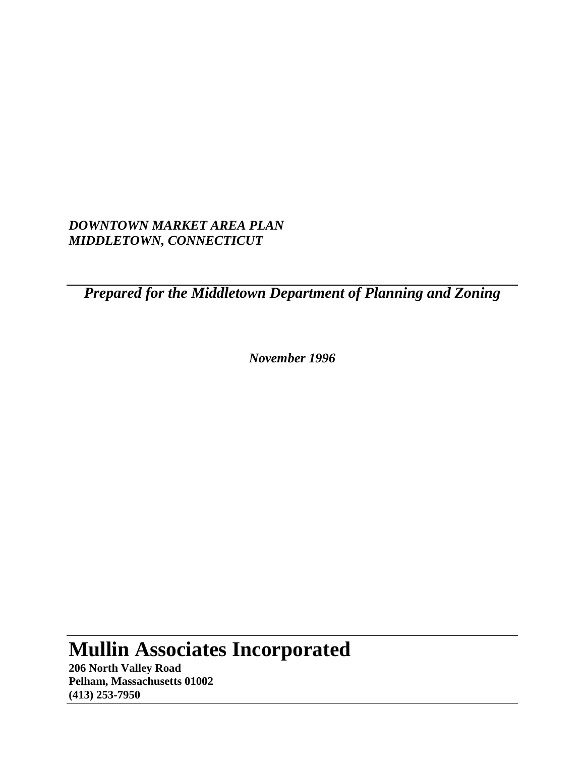*DOWNTOWN MARKET AREA PLAN MIDDLETOWN, CONNECTICUT*

*Prepared for the Middletown Department of Planning and Zoning* 

*November 1996*

# **Mullin Associates Incorporated**

**206 North Valley Road Pelham, Massachusetts 01002 (413) 253-7950**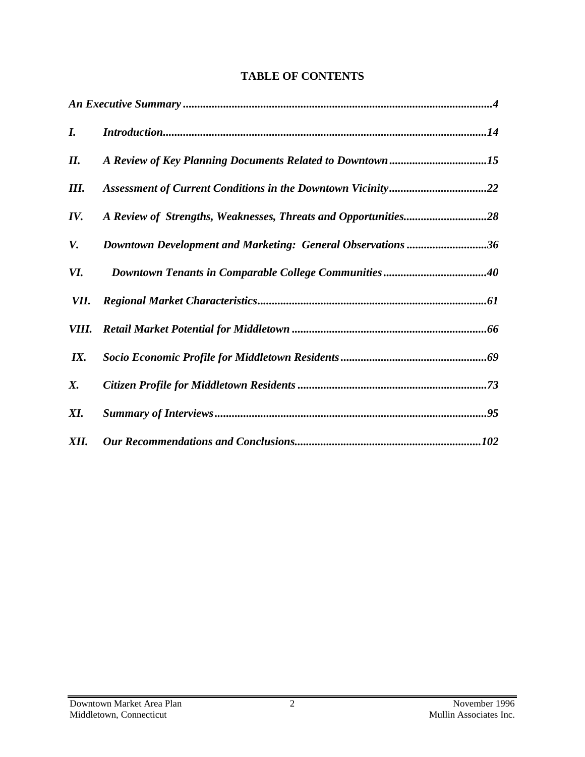| I.   |                                                             |
|------|-------------------------------------------------------------|
| Н.   |                                                             |
| Ш.   | Assessment of Current Conditions in the Downtown Vicinity22 |
| IV.  |                                                             |
| V.   | Downtown Development and Marketing: General Observations 36 |
| VI.  |                                                             |
| VII. |                                                             |
|      |                                                             |
| IX.  |                                                             |
| X.   |                                                             |
| XI.  |                                                             |
| XII. |                                                             |

# **TABLE OF CONTENTS**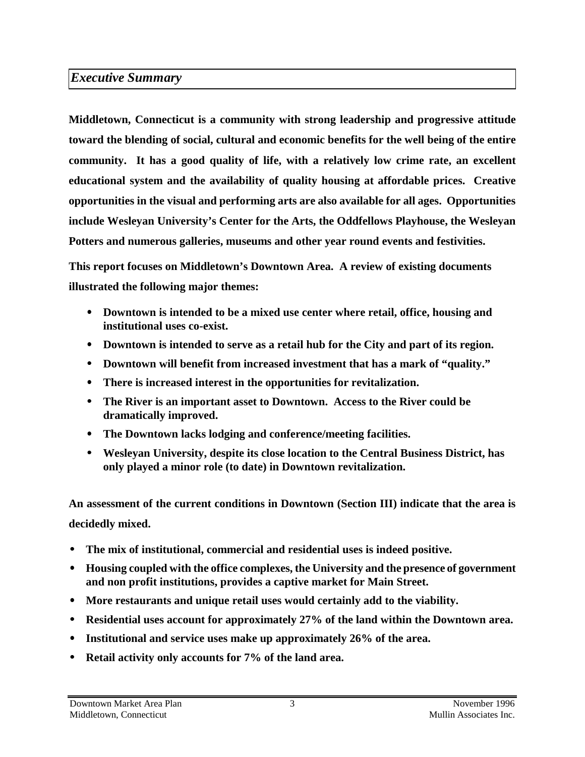# *Executive Summary*

**Middletown, Connecticut is a community with strong leadership and progressive attitude toward the blending of social, cultural and economic benefits for the well being of the entire community. It has a good quality of life, with a relatively low crime rate, an excellent educational system and the availability of quality housing at affordable prices. Creative opportunities in the visual and performing arts are also available for all ages. Opportunities include Wesleyan University's Center for the Arts, the Oddfellows Playhouse, the Wesleyan Potters and numerous galleries, museums and other year round events and festivities.** 

**This report focuses on Middletown's Downtown Area. A review of existing documents illustrated the following major themes:** 

- • **Downtown is intended to be a mixed use center where retail, office, housing and institutional uses co-exist.**
- • **Downtown is intended to serve as a retail hub for the City and part of its region.**
- Downtown will benefit from increased investment that has a mark of "quality."
- • **There is increased interest in the opportunities for revitalization.**
- • **The River is an important asset to Downtown. Access to the River could be dramatically improved.**
- • **The Downtown lacks lodging and conference/meeting facilities.**
- • **Wesleyan University, despite its close location to the Central Business District, has only played a minor role (to date) in Downtown revitalization.**

**An assessment of the current conditions in Downtown (Section III) indicate that the area is decidedly mixed.** 

- • **The mix of institutional, commercial and residential uses is indeed positive.**
- • **Housing coupled with the office complexes, the University and the presence of government and non profit institutions, provides a captive market for Main Street.**
- • **More restaurants and unique retail uses would certainly add to the viability.**
- • **Residential uses account for approximately 27% of the land within the Downtown area.**
- • **Institutional and service uses make up approximately 26% of the area.**
- • **Retail activity only accounts for 7% of the land area.**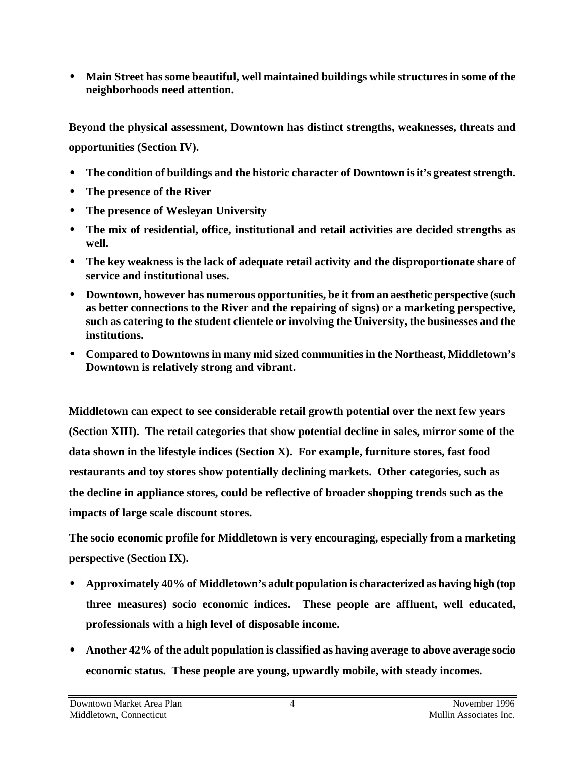• **Main Street has some beautiful, well maintained buildings while structures in some of the neighborhoods need attention.** 

**Beyond the physical assessment, Downtown has distinct strengths, weaknesses, threats and opportunities (Section IV).** 

- • **The condition of buildings and the historic character of Downtown is it's greatest strength.**
- • **The presence of the River**
- • **The presence of Wesleyan University**
- • **The mix of residential, office, institutional and retail activities are decided strengths as well.**
- • **The key weakness is the lack of adequate retail activity and the disproportionate share of service and institutional uses.**
- • **Downtown, however has numerous opportunities, be it from an aesthetic perspective (such as better connections to the River and the repairing of signs) or a marketing perspective, such as catering to the student clientele or involving the University, the businesses and the institutions.**
- • **Compared to Downtowns in many mid sized communities in the Northeast, Middletown's Downtown is relatively strong and vibrant.**

**Middletown can expect to see considerable retail growth potential over the next few years (Section XIII). The retail categories that show potential decline in sales, mirror some of the data shown in the lifestyle indices (Section X). For example, furniture stores, fast food restaurants and toy stores show potentially declining markets. Other categories, such as the decline in appliance stores, could be reflective of broader shopping trends such as the impacts of large scale discount stores.** 

**The socio economic profile for Middletown is very encouraging, especially from a marketing perspective (Section IX).** 

- • **Approximately 40% of Middletown's adult population is characterized as having high (top three measures) socio economic indices. These people are affluent, well educated, professionals with a high level of disposable income.**
- • **Another 42% of the adult population is classified as having average to above average socio economic status. These people are young, upwardly mobile, with steady incomes.**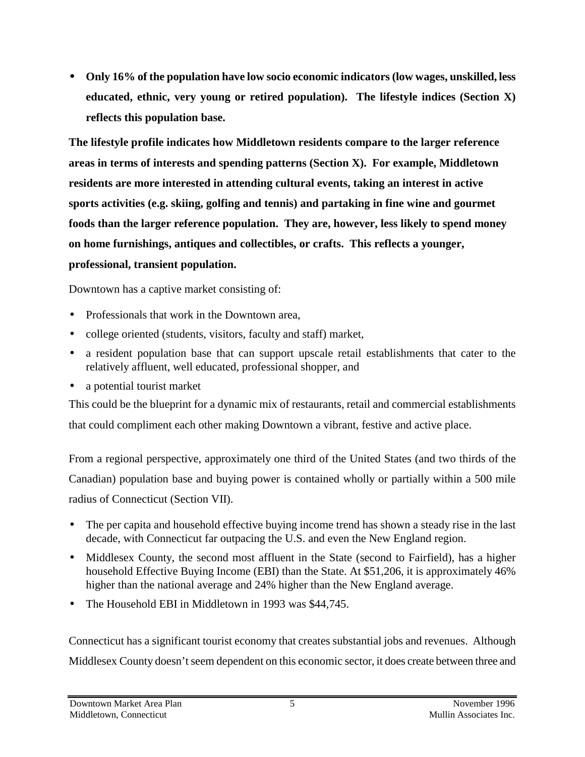• **Only 16% of the population have low socio economic indicators (low wages, unskilled, less educated, ethnic, very young or retired population). The lifestyle indices (Section X) reflects this population base.** 

**The lifestyle profile indicates how Middletown residents compare to the larger reference areas in terms of interests and spending patterns (Section X). For example, Middletown residents are more interested in attending cultural events, taking an interest in active sports activities (e.g. skiing, golfing and tennis) and partaking in fine wine and gourmet foods than the larger reference population. They are, however, less likely to spend money on home furnishings, antiques and collectibles, or crafts. This reflects a younger, professional, transient population.** 

Downtown has a captive market consisting of:

- Professionals that work in the Downtown area,
- college oriented (students, visitors, faculty and staff) market,
- a resident population base that can support upscale retail establishments that cater to the relatively affluent, well educated, professional shopper, and
- a potential tourist market

This could be the blueprint for a dynamic mix of restaurants, retail and commercial establishments that could compliment each other making Downtown a vibrant, festive and active place.

From a regional perspective, approximately one third of the United States (and two thirds of the Canadian) population base and buying power is contained wholly or partially within a 500 mile radius of Connecticut (Section VII).

- The per capita and household effective buying income trend has shown a steady rise in the last decade, with Connecticut far outpacing the U.S. and even the New England region.
- Middlesex County, the second most affluent in the State (second to Fairfield), has a higher household Effective Buying Income (EBI) than the State. At \$51,206, it is approximately 46% higher than the national average and 24% higher than the New England average.
- The Household EBI in Middletown in 1993 was \$44,745.

Connecticut has a significant tourist economy that creates substantial jobs and revenues. Although Middlesex County doesn't seem dependent on this economic sector, it does create between three and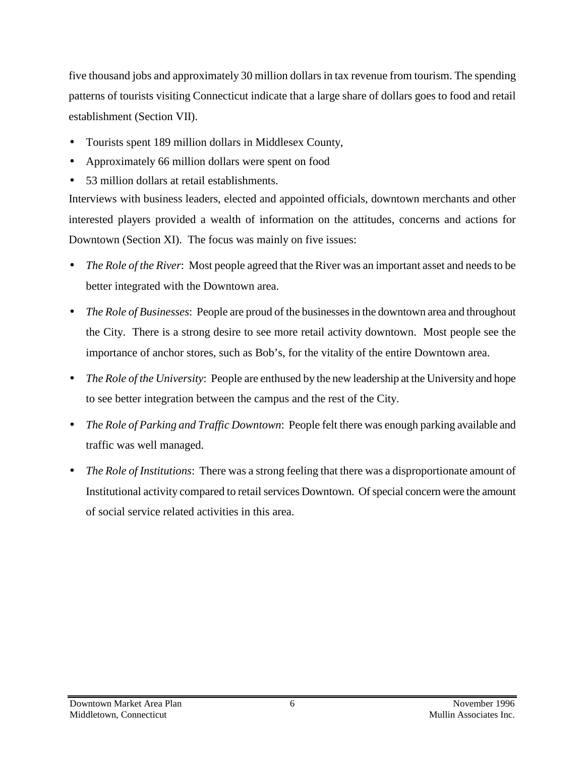five thousand jobs and approximately 30 million dollars in tax revenue from tourism. The spending patterns of tourists visiting Connecticut indicate that a large share of dollars goes to food and retail establishment (Section VII).

- Tourists spent 189 million dollars in Middlesex County,
- Approximately 66 million dollars were spent on food
- 53 million dollars at retail establishments.

Interviews with business leaders, elected and appointed officials, downtown merchants and other interested players provided a wealth of information on the attitudes, concerns and actions for Downtown (Section XI). The focus was mainly on five issues:

- *The Role of the River*: Most people agreed that the River was an important asset and needs to be better integrated with the Downtown area.
- *The Role of Businesses*: People are proud of the businesses in the downtown area and throughout the City. There is a strong desire to see more retail activity downtown. Most people see the importance of anchor stores, such as Bob's, for the vitality of the entire Downtown area.
- *The Role of the University*: People are enthused by the new leadership at the University and hope to see better integration between the campus and the rest of the City.
- *The Role of Parking and Traffic Downtown*: People felt there was enough parking available and traffic was well managed.
- *The Role of Institutions*: There was a strong feeling that there was a disproportionate amount of Institutional activity compared to retail services Downtown. Of special concern were the amount of social service related activities in this area.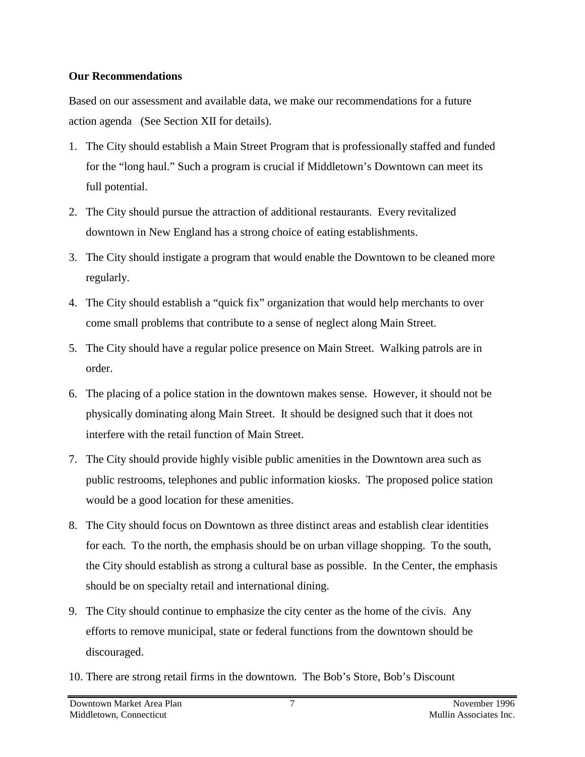#### **Our Recommendations**

Based on our assessment and available data, we make our recommendations for a future action agenda (See Section XII for details).

- 1. The City should establish a Main Street Program that is professionally staffed and funded for the "long haul." Such a program is crucial if Middletown's Downtown can meet its full potential.
- 2. The City should pursue the attraction of additional restaurants. Every revitalized downtown in New England has a strong choice of eating establishments.
- 3. The City should instigate a program that would enable the Downtown to be cleaned more regularly.
- 4. The City should establish a "quick fix" organization that would help merchants to over come small problems that contribute to a sense of neglect along Main Street.
- 5. The City should have a regular police presence on Main Street. Walking patrols are in order.
- 6. The placing of a police station in the downtown makes sense. However, it should not be physically dominating along Main Street. It should be designed such that it does not interfere with the retail function of Main Street.
- 7. The City should provide highly visible public amenities in the Downtown area such as public restrooms, telephones and public information kiosks. The proposed police station would be a good location for these amenities.
- 8. The City should focus on Downtown as three distinct areas and establish clear identities for each. To the north, the emphasis should be on urban village shopping. To the south, the City should establish as strong a cultural base as possible. In the Center, the emphasis should be on specialty retail and international dining.
- 9. The City should continue to emphasize the city center as the home of the civis. Any efforts to remove municipal, state or federal functions from the downtown should be discouraged.
- 10. There are strong retail firms in the downtown. The Bob's Store, Bob's Discount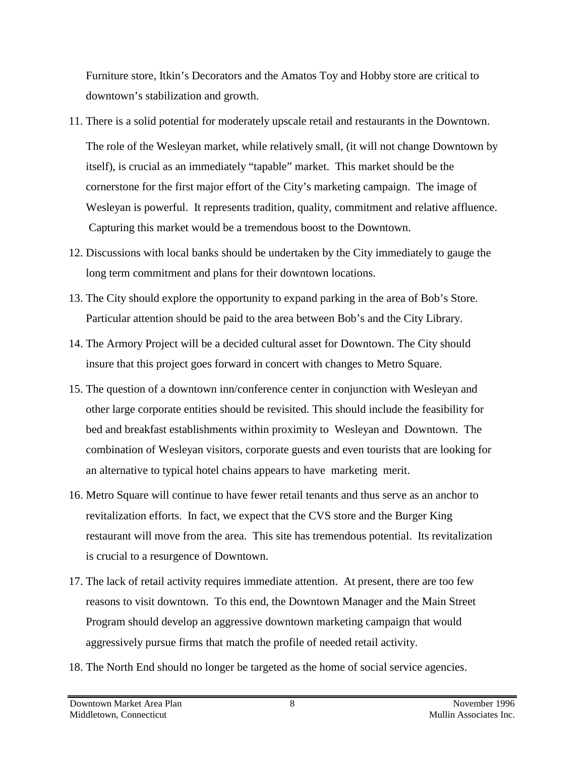Furniture store, Itkin's Decorators and the Amatos Toy and Hobby store are critical to downtown's stabilization and growth.

- 11. There is a solid potential for moderately upscale retail and restaurants in the Downtown. The role of the Wesleyan market, while relatively small, (it will not change Downtown by itself), is crucial as an immediately "tapable" market. This market should be the cornerstone for the first major effort of the City's marketing campaign. The image of Wesleyan is powerful. It represents tradition, quality, commitment and relative affluence. Capturing this market would be a tremendous boost to the Downtown.
- 12. Discussions with local banks should be undertaken by the City immediately to gauge the long term commitment and plans for their downtown locations.
- 13. The City should explore the opportunity to expand parking in the area of Bob's Store. Particular attention should be paid to the area between Bob's and the City Library.
- 14. The Armory Project will be a decided cultural asset for Downtown. The City should insure that this project goes forward in concert with changes to Metro Square.
- 15. The question of a downtown inn/conference center in conjunction with Wesleyan and other large corporate entities should be revisited. This should include the feasibility for bed and breakfast establishments within proximity to Wesleyan and Downtown. The combination of Wesleyan visitors, corporate guests and even tourists that are looking for an alternative to typical hotel chains appears to have marketing merit.
- 16. Metro Square will continue to have fewer retail tenants and thus serve as an anchor to revitalization efforts. In fact, we expect that the CVS store and the Burger King restaurant will move from the area. This site has tremendous potential. Its revitalization is crucial to a resurgence of Downtown.
- 17. The lack of retail activity requires immediate attention. At present, there are too few reasons to visit downtown. To this end, the Downtown Manager and the Main Street Program should develop an aggressive downtown marketing campaign that would aggressively pursue firms that match the profile of needed retail activity.
- 18. The North End should no longer be targeted as the home of social service agencies.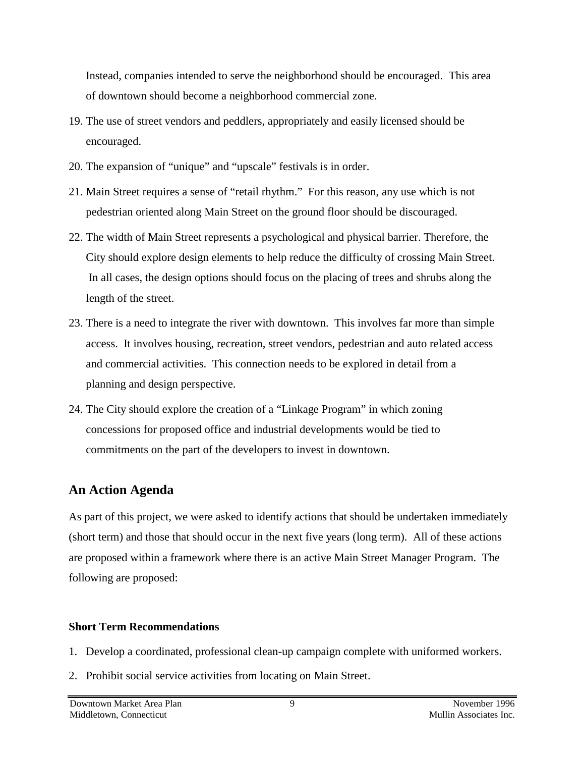Instead, companies intended to serve the neighborhood should be encouraged. This area of downtown should become a neighborhood commercial zone.

- 19. The use of street vendors and peddlers, appropriately and easily licensed should be encouraged.
- 20. The expansion of "unique" and "upscale" festivals is in order.
- 21. Main Street requires a sense of "retail rhythm." For this reason, any use which is not pedestrian oriented along Main Street on the ground floor should be discouraged.
- 22. The width of Main Street represents a psychological and physical barrier. Therefore, the City should explore design elements to help reduce the difficulty of crossing Main Street. In all cases, the design options should focus on the placing of trees and shrubs along the length of the street.
- 23. There is a need to integrate the river with downtown. This involves far more than simple access. It involves housing, recreation, street vendors, pedestrian and auto related access and commercial activities. This connection needs to be explored in detail from a planning and design perspective.
- 24. The City should explore the creation of a "Linkage Program" in which zoning concessions for proposed office and industrial developments would be tied to commitments on the part of the developers to invest in downtown.

# **An Action Agenda**

As part of this project, we were asked to identify actions that should be undertaken immediately (short term) and those that should occur in the next five years (long term). All of these actions are proposed within a framework where there is an active Main Street Manager Program. The following are proposed:

### **Short Term Recommendations**

- 1. Develop a coordinated, professional clean-up campaign complete with uniformed workers.
- 2. Prohibit social service activities from locating on Main Street.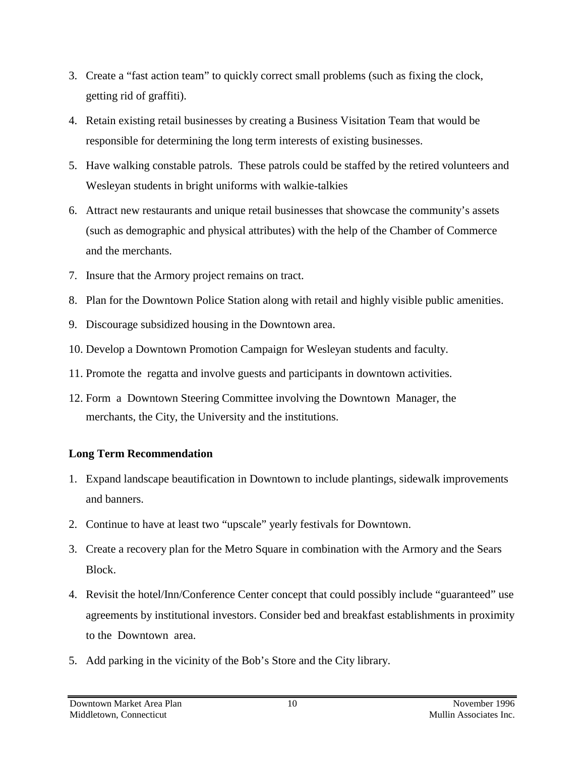- 3. Create a "fast action team" to quickly correct small problems (such as fixing the clock, getting rid of graffiti).
- 4. Retain existing retail businesses by creating a Business Visitation Team that would be responsible for determining the long term interests of existing businesses.
- 5. Have walking constable patrols. These patrols could be staffed by the retired volunteers and Wesleyan students in bright uniforms with walkie-talkies
- 6. Attract new restaurants and unique retail businesses that showcase the community's assets (such as demographic and physical attributes) with the help of the Chamber of Commerce and the merchants.
- 7. Insure that the Armory project remains on tract.
- 8. Plan for the Downtown Police Station along with retail and highly visible public amenities.
- 9. Discourage subsidized housing in the Downtown area.
- 10. Develop a Downtown Promotion Campaign for Wesleyan students and faculty.
- 11. Promote the regatta and involve guests and participants in downtown activities.
- 12. Form a Downtown Steering Committee involving the Downtown Manager, the merchants, the City, the University and the institutions.

### **Long Term Recommendation**

- 1. Expand landscape beautification in Downtown to include plantings, sidewalk improvements and banners.
- 2. Continue to have at least two "upscale" yearly festivals for Downtown.
- 3. Create a recovery plan for the Metro Square in combination with the Armory and the Sears Block.
- 4. Revisit the hotel/Inn/Conference Center concept that could possibly include "guaranteed" use agreements by institutional investors. Consider bed and breakfast establishments in proximity to the Downtown area.
- 5. Add parking in the vicinity of the Bob's Store and the City library.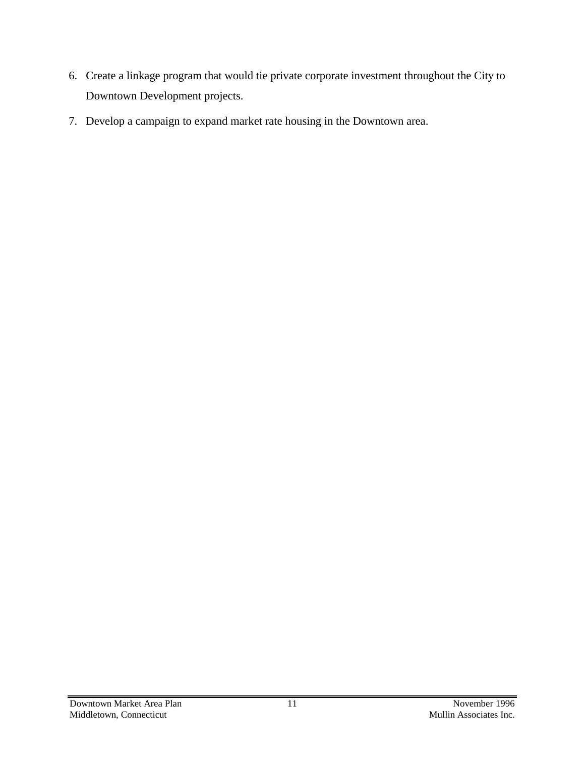- 6. Create a linkage program that would tie private corporate investment throughout the City to Downtown Development projects.
- 7. Develop a campaign to expand market rate housing in the Downtown area.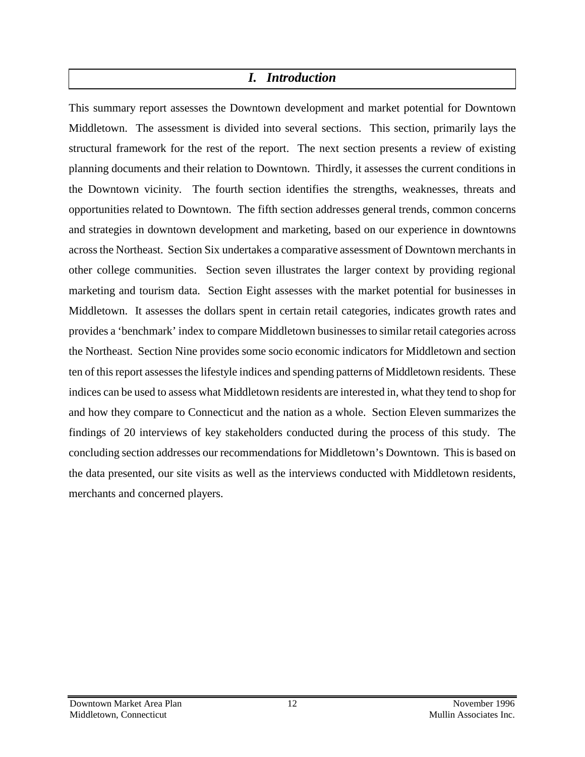# *I. Introduction*

This summary report assesses the Downtown development and market potential for Downtown Middletown. The assessment is divided into several sections. This section, primarily lays the structural framework for the rest of the report. The next section presents a review of existing planning documents and their relation to Downtown. Thirdly, it assesses the current conditions in the Downtown vicinity. The fourth section identifies the strengths, weaknesses, threats and opportunities related to Downtown. The fifth section addresses general trends, common concerns and strategies in downtown development and marketing, based on our experience in downtowns across the Northeast. Section Six undertakes a comparative assessment of Downtown merchants in other college communities. Section seven illustrates the larger context by providing regional marketing and tourism data. Section Eight assesses with the market potential for businesses in Middletown. It assesses the dollars spent in certain retail categories, indicates growth rates and provides a 'benchmark' index to compare Middletown businesses to similar retail categories across the Northeast. Section Nine provides some socio economic indicators for Middletown and section ten of this report assesses the lifestyle indices and spending patterns of Middletown residents. These indices can be used to assess what Middletown residents are interested in, what they tend to shop for and how they compare to Connecticut and the nation as a whole. Section Eleven summarizes the findings of 20 interviews of key stakeholders conducted during the process of this study. The concluding section addresses our recommendations for Middletown's Downtown. This is based on the data presented, our site visits as well as the interviews conducted with Middletown residents, merchants and concerned players.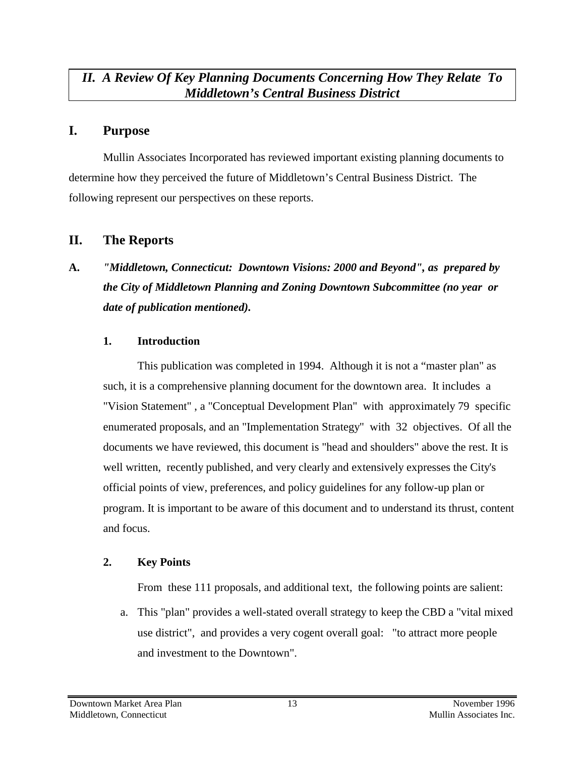### *II. A Review Of Key Planning Documents Concerning How They Relate To Middletown's Central Business District*

### **I. Purpose**

Mullin Associates Incorporated has reviewed important existing planning documents to determine how they perceived the future of Middletown's Central Business District. The following represent our perspectives on these reports.

# **II. The Reports**

# **A.** *"Middletown, Connecticut: Downtown Visions: 2000 and Beyond", as prepared by the City of Middletown Planning and Zoning Downtown Subcommittee (no year or date of publication mentioned).*

#### **1. Introduction**

This publication was completed in 1994. Although it is not a "master plan" as such, it is a comprehensive planning document for the downtown area. It includes a "Vision Statement" , a "Conceptual Development Plan" with approximately 79 specific enumerated proposals, and an "Implementation Strategy" with 32 objectives. Of all the documents we have reviewed, this document is "head and shoulders" above the rest. It is well written, recently published, and very clearly and extensively expresses the City's official points of view, preferences, and policy guidelines for any follow-up plan or program. It is important to be aware of this document and to understand its thrust, content and focus.

#### **2. Key Points**

From these 111 proposals, and additional text, the following points are salient:

a. This "plan" provides a well-stated overall strategy to keep the CBD a "vital mixed use district", and provides a very cogent overall goal: "to attract more people and investment to the Downtown".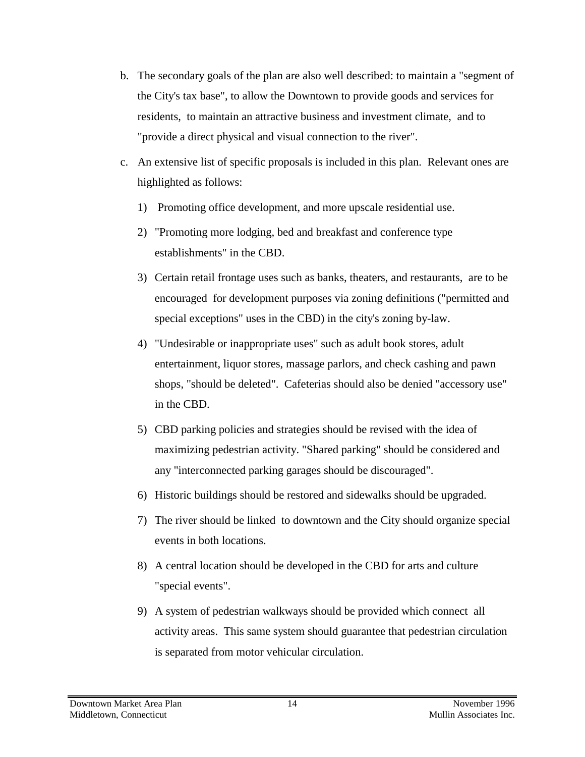- b. The secondary goals of the plan are also well described: to maintain a "segment of the City's tax base", to allow the Downtown to provide goods and services for residents, to maintain an attractive business and investment climate, and to "provide a direct physical and visual connection to the river".
- c. An extensive list of specific proposals is included in this plan. Relevant ones are highlighted as follows:
	- 1) Promoting office development, and more upscale residential use.
	- 2) "Promoting more lodging, bed and breakfast and conference type establishments" in the CBD.
	- 3) Certain retail frontage uses such as banks, theaters, and restaurants, are to be encouraged for development purposes via zoning definitions ("permitted and special exceptions" uses in the CBD) in the city's zoning by-law.
	- 4) "Undesirable or inappropriate uses" such as adult book stores, adult entertainment, liquor stores, massage parlors, and check cashing and pawn shops, "should be deleted". Cafeterias should also be denied "accessory use" in the CBD.
	- 5) CBD parking policies and strategies should be revised with the idea of maximizing pedestrian activity. "Shared parking" should be considered and any "interconnected parking garages should be discouraged".
	- 6) Historic buildings should be restored and sidewalks should be upgraded.
	- 7) The river should be linked to downtown and the City should organize special events in both locations.
	- 8) A central location should be developed in the CBD for arts and culture "special events".
	- 9) A system of pedestrian walkways should be provided which connect all activity areas. This same system should guarantee that pedestrian circulation is separated from motor vehicular circulation.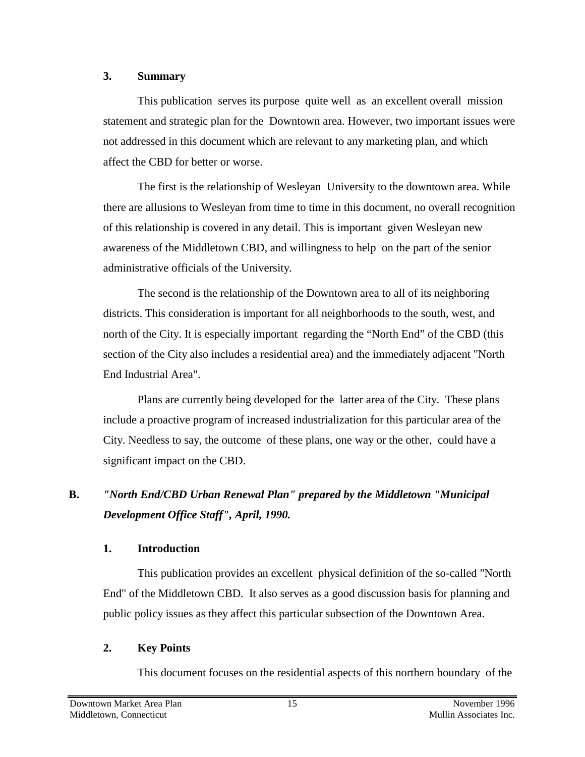#### **3. Summary**

This publication serves its purpose quite well as an excellent overall mission statement and strategic plan for the Downtown area. However, two important issues were not addressed in this document which are relevant to any marketing plan, and which affect the CBD for better or worse.

The first is the relationship of Wesleyan University to the downtown area. While there are allusions to Wesleyan from time to time in this document, no overall recognition of this relationship is covered in any detail. This is important given Wesleyan new awareness of the Middletown CBD, and willingness to help on the part of the senior administrative officials of the University.

The second is the relationship of the Downtown area to all of its neighboring districts. This consideration is important for all neighborhoods to the south, west, and north of the City. It is especially important regarding the "North End" of the CBD (this section of the City also includes a residential area) and the immediately adjacent "North End Industrial Area".

Plans are currently being developed for the latter area of the City. These plans include a proactive program of increased industrialization for this particular area of the City. Needless to say, the outcome of these plans, one way or the other, could have a significant impact on the CBD.

# **B.** *"North End/CBD Urban Renewal Plan" prepared by the Middletown "Municipal Development Office Staff", April, 1990.*

### **1. Introduction**

This publication provides an excellent physical definition of the so-called "North End" of the Middletown CBD. It also serves as a good discussion basis for planning and public policy issues as they affect this particular subsection of the Downtown Area.

### **2. Key Points**

This document focuses on the residential aspects of this northern boundary of the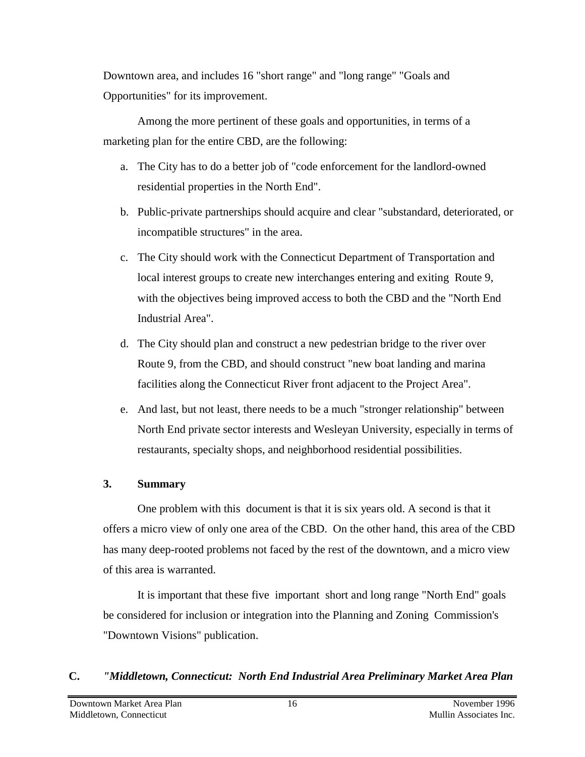Downtown area, and includes 16 "short range" and "long range" "Goals and Opportunities" for its improvement.

Among the more pertinent of these goals and opportunities, in terms of a marketing plan for the entire CBD, are the following:

- a. The City has to do a better job of "code enforcement for the landlord-owned residential properties in the North End".
- b. Public-private partnerships should acquire and clear "substandard, deteriorated, or incompatible structures" in the area.
- c. The City should work with the Connecticut Department of Transportation and local interest groups to create new interchanges entering and exiting Route 9, with the objectives being improved access to both the CBD and the "North End Industrial Area".
- d. The City should plan and construct a new pedestrian bridge to the river over Route 9, from the CBD, and should construct "new boat landing and marina facilities along the Connecticut River front adjacent to the Project Area".
- e. And last, but not least, there needs to be a much "stronger relationship" between North End private sector interests and Wesleyan University, especially in terms of restaurants, specialty shops, and neighborhood residential possibilities.

#### **3. Summary**

One problem with this document is that it is six years old. A second is that it offers a micro view of only one area of the CBD. On the other hand, this area of the CBD has many deep-rooted problems not faced by the rest of the downtown, and a micro view of this area is warranted.

It is important that these five important short and long range "North End" goals be considered for inclusion or integration into the Planning and Zoning Commission's "Downtown Visions" publication.

### **C.** *"Middletown, Connecticut: North End Industrial Area Preliminary Market Area Plan*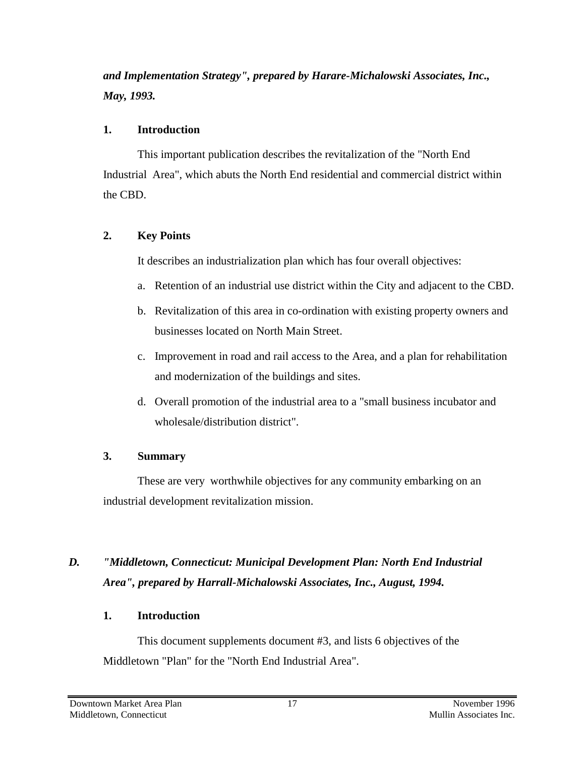*and Implementation Strategy", prepared by Harare-Michalowski Associates, Inc., May, 1993.*

#### **1. Introduction**

This important publication describes the revitalization of the "North End Industrial Area", which abuts the North End residential and commercial district within the CBD.

### **2. Key Points**

It describes an industrialization plan which has four overall objectives:

- a. Retention of an industrial use district within the City and adjacent to the CBD.
- b. Revitalization of this area in co-ordination with existing property owners and businesses located on North Main Street.
- c. Improvement in road and rail access to the Area, and a plan for rehabilitation and modernization of the buildings and sites.
- d. Overall promotion of the industrial area to a "small business incubator and wholesale/distribution district".

# **3. Summary**

These are very worthwhile objectives for any community embarking on an industrial development revitalization mission.

# *D. "Middletown, Connecticut: Municipal Development Plan: North End Industrial Area", prepared by Harrall-Michalowski Associates, Inc., August, 1994.*

# **1. Introduction**

This document supplements document #3, and lists 6 objectives of the Middletown "Plan" for the "North End Industrial Area".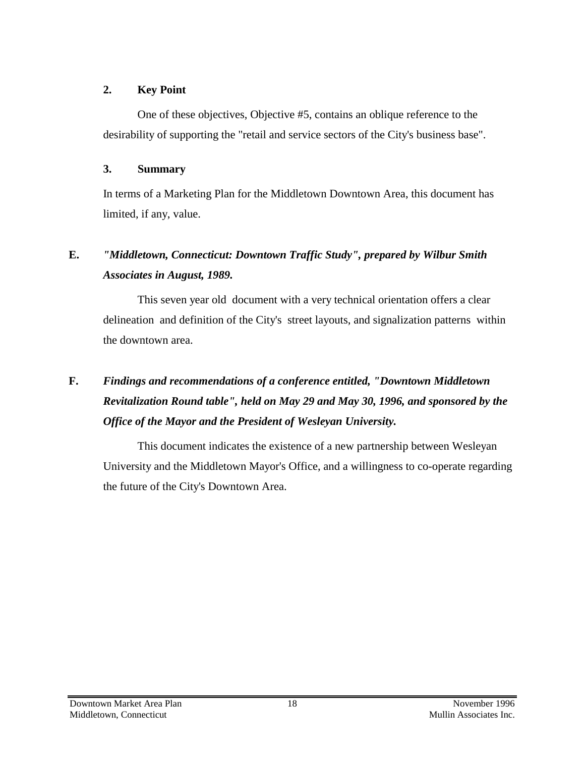#### **2. Key Point**

One of these objectives, Objective #5, contains an oblique reference to the desirability of supporting the "retail and service sectors of the City's business base".

### **3. Summary**

In terms of a Marketing Plan for the Middletown Downtown Area, this document has limited, if any, value.

# **E.** *"Middletown, Connecticut: Downtown Traffic Study", prepared by Wilbur Smith Associates in August, 1989.*

This seven year old document with a very technical orientation offers a clear delineation and definition of the City's street layouts, and signalization patterns within the downtown area.

# **F.** *Findings and recommendations of a conference entitled, "Downtown Middletown Revitalization Round table", held on May 29 and May 30, 1996, and sponsored by the Office of the Mayor and the President of Wesleyan University.*

This document indicates the existence of a new partnership between Wesleyan University and the Middletown Mayor's Office, and a willingness to co-operate regarding the future of the City's Downtown Area.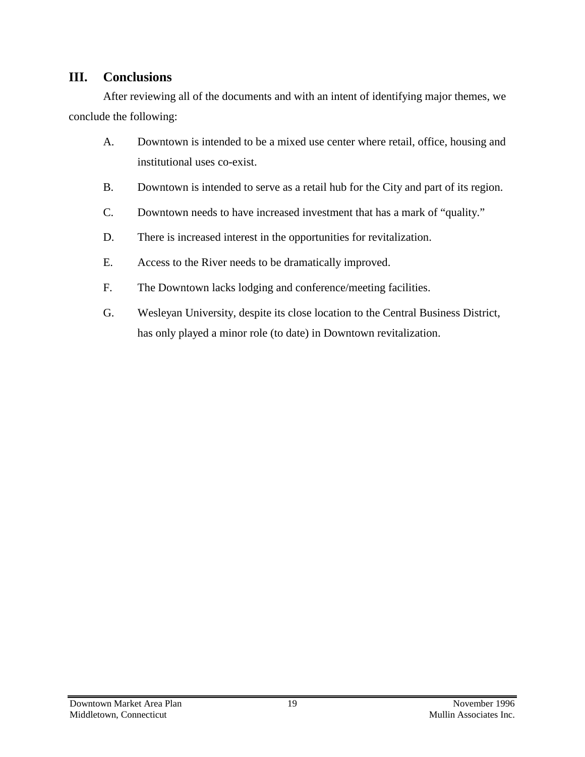### **III. Conclusions**

After reviewing all of the documents and with an intent of identifying major themes, we conclude the following:

- A. Downtown is intended to be a mixed use center where retail, office, housing and institutional uses co-exist.
- B. Downtown is intended to serve as a retail hub for the City and part of its region.
- C. Downtown needs to have increased investment that has a mark of "quality."
- D. There is increased interest in the opportunities for revitalization.
- E. Access to the River needs to be dramatically improved.
- F. The Downtown lacks lodging and conference/meeting facilities.
- G. Wesleyan University, despite its close location to the Central Business District, has only played a minor role (to date) in Downtown revitalization.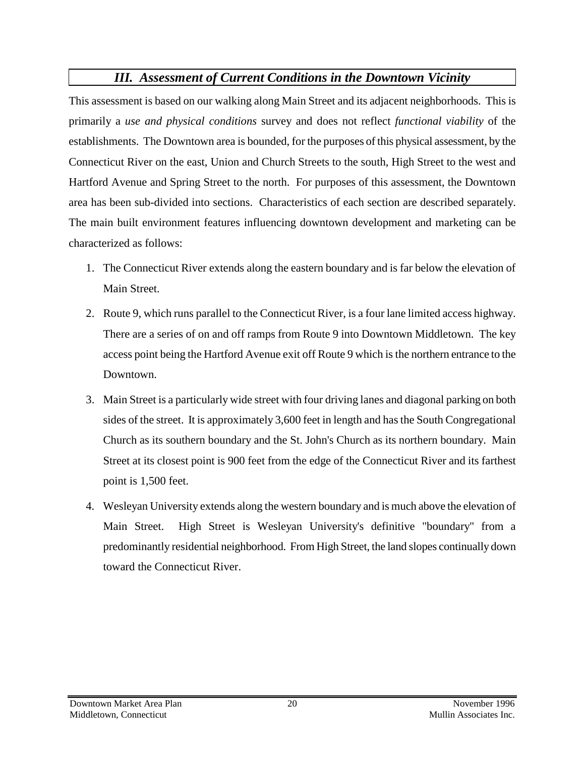# *III. Assessment of Current Conditions in the Downtown Vicinity*

This assessment is based on our walking along Main Street and its adjacent neighborhoods. This is primarily a *use and physical conditions* survey and does not reflect *functional viability* of the establishments. The Downtown area is bounded, for the purposes of this physical assessment, by the Connecticut River on the east, Union and Church Streets to the south, High Street to the west and Hartford Avenue and Spring Street to the north. For purposes of this assessment, the Downtown area has been sub-divided into sections. Characteristics of each section are described separately. The main built environment features influencing downtown development and marketing can be characterized as follows:

- 1. The Connecticut River extends along the eastern boundary and is far below the elevation of Main Street.
- 2. Route 9, which runs parallel to the Connecticut River, is a four lane limited access highway. There are a series of on and off ramps from Route 9 into Downtown Middletown. The key access point being the Hartford Avenue exit off Route 9 which is the northern entrance to the Downtown.
- 3. Main Street is a particularly wide street with four driving lanes and diagonal parking on both sides of the street. It is approximately 3,600 feet in length and has the South Congregational Church as its southern boundary and the St. John's Church as its northern boundary. Main Street at its closest point is 900 feet from the edge of the Connecticut River and its farthest point is 1,500 feet.
- 4. Wesleyan University extends along the western boundary and is much above the elevation of Main Street. High Street is Wesleyan University's definitive "boundary" from a predominantly residential neighborhood. From High Street, the land slopes continually down toward the Connecticut River.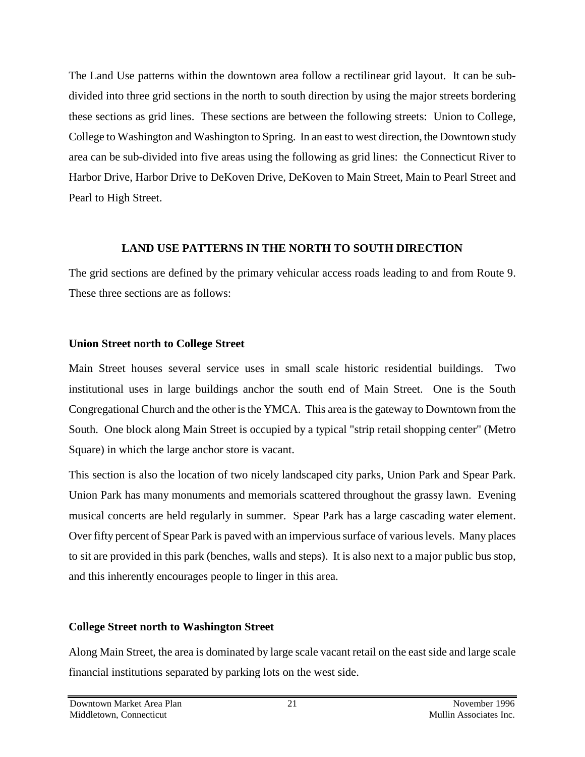The Land Use patterns within the downtown area follow a rectilinear grid layout. It can be subdivided into three grid sections in the north to south direction by using the major streets bordering these sections as grid lines. These sections are between the following streets: Union to College, College to Washington and Washington to Spring. In an east to west direction, the Downtown study area can be sub-divided into five areas using the following as grid lines: the Connecticut River to Harbor Drive, Harbor Drive to DeKoven Drive, DeKoven to Main Street, Main to Pearl Street and Pearl to High Street.

#### **LAND USE PATTERNS IN THE NORTH TO SOUTH DIRECTION**

The grid sections are defined by the primary vehicular access roads leading to and from Route 9. These three sections are as follows:

#### **Union Street north to College Street**

Main Street houses several service uses in small scale historic residential buildings. Two institutional uses in large buildings anchor the south end of Main Street. One is the South Congregational Church and the other is the YMCA. This area is the gateway to Downtown from the South. One block along Main Street is occupied by a typical "strip retail shopping center" (Metro Square) in which the large anchor store is vacant.

This section is also the location of two nicely landscaped city parks, Union Park and Spear Park. Union Park has many monuments and memorials scattered throughout the grassy lawn. Evening musical concerts are held regularly in summer. Spear Park has a large cascading water element. Over fifty percent of Spear Park is paved with an impervious surface of various levels. Many places to sit are provided in this park (benches, walls and steps). It is also next to a major public bus stop, and this inherently encourages people to linger in this area.

#### **College Street north to Washington Street**

Along Main Street, the area is dominated by large scale vacant retail on the east side and large scale financial institutions separated by parking lots on the west side.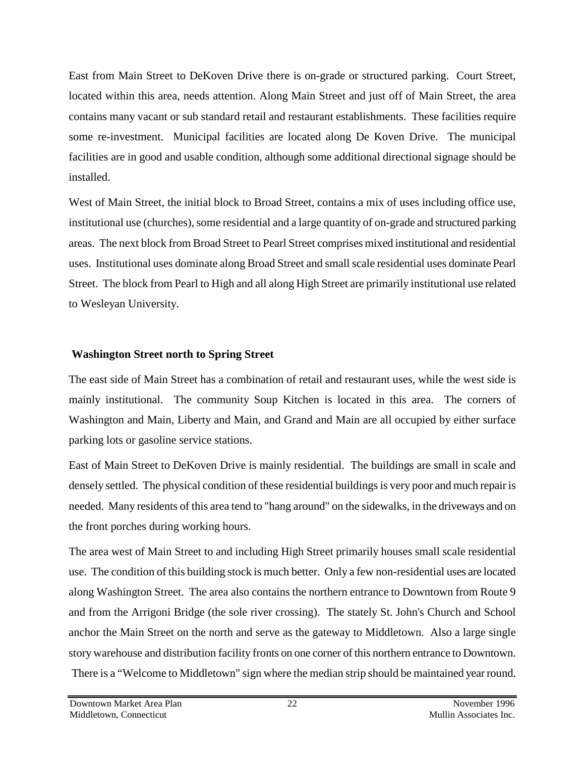East from Main Street to DeKoven Drive there is on-grade or structured parking. Court Street, located within this area, needs attention. Along Main Street and just off of Main Street, the area contains many vacant or sub standard retail and restaurant establishments. These facilities require some re-investment. Municipal facilities are located along De Koven Drive. The municipal facilities are in good and usable condition, although some additional directional signage should be installed.

West of Main Street, the initial block to Broad Street, contains a mix of uses including office use, institutional use (churches), some residential and a large quantity of on-grade and structured parking areas. The next block from Broad Street to Pearl Street comprises mixed institutional and residential uses. Institutional uses dominate along Broad Street and small scale residential uses dominate Pearl Street. The block from Pearl to High and all along High Street are primarily institutional use related to Wesleyan University.

#### **Washington Street north to Spring Street**

The east side of Main Street has a combination of retail and restaurant uses, while the west side is mainly institutional. The community Soup Kitchen is located in this area. The corners of Washington and Main, Liberty and Main, and Grand and Main are all occupied by either surface parking lots or gasoline service stations.

East of Main Street to DeKoven Drive is mainly residential. The buildings are small in scale and densely settled. The physical condition of these residential buildings is very poor and much repair is needed. Many residents of this area tend to "hang around" on the sidewalks, in the driveways and on the front porches during working hours.

The area west of Main Street to and including High Street primarily houses small scale residential use. The condition of this building stock is much better. Only a few non-residential uses are located along Washington Street. The area also contains the northern entrance to Downtown from Route 9 and from the Arrigoni Bridge (the sole river crossing). The stately St. John's Church and School anchor the Main Street on the north and serve as the gateway to Middletown. Also a large single story warehouse and distribution facility fronts on one corner of this northern entrance to Downtown. There is a "Welcome to Middletown" sign where the median strip should be maintained year round.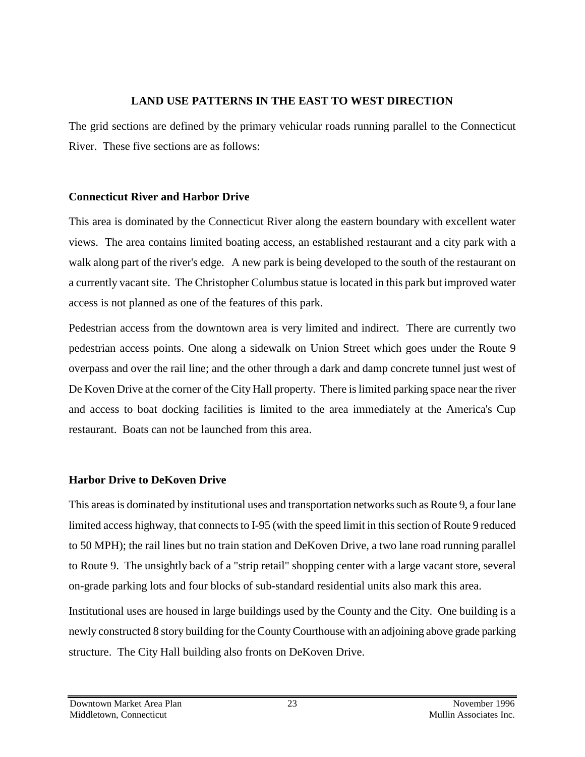#### **LAND USE PATTERNS IN THE EAST TO WEST DIRECTION**

The grid sections are defined by the primary vehicular roads running parallel to the Connecticut River. These five sections are as follows:

### **Connecticut River and Harbor Drive**

This area is dominated by the Connecticut River along the eastern boundary with excellent water views. The area contains limited boating access, an established restaurant and a city park with a walk along part of the river's edge. A new park is being developed to the south of the restaurant on a currently vacant site. The Christopher Columbus statue is located in this park but improved water access is not planned as one of the features of this park.

Pedestrian access from the downtown area is very limited and indirect. There are currently two pedestrian access points. One along a sidewalk on Union Street which goes under the Route 9 overpass and over the rail line; and the other through a dark and damp concrete tunnel just west of De Koven Drive at the corner of the City Hall property. There is limited parking space near the river and access to boat docking facilities is limited to the area immediately at the America's Cup restaurant. Boats can not be launched from this area.

# **Harbor Drive to DeKoven Drive**

This areas is dominated by institutional uses and transportation networks such as Route 9, a four lane limited access highway, that connects to I-95 (with the speed limit in this section of Route 9 reduced to 50 MPH); the rail lines but no train station and DeKoven Drive, a two lane road running parallel to Route 9. The unsightly back of a "strip retail" shopping center with a large vacant store, several on-grade parking lots and four blocks of sub-standard residential units also mark this area.

Institutional uses are housed in large buildings used by the County and the City. One building is a newly constructed 8 story building for the County Courthouse with an adjoining above grade parking structure. The City Hall building also fronts on DeKoven Drive.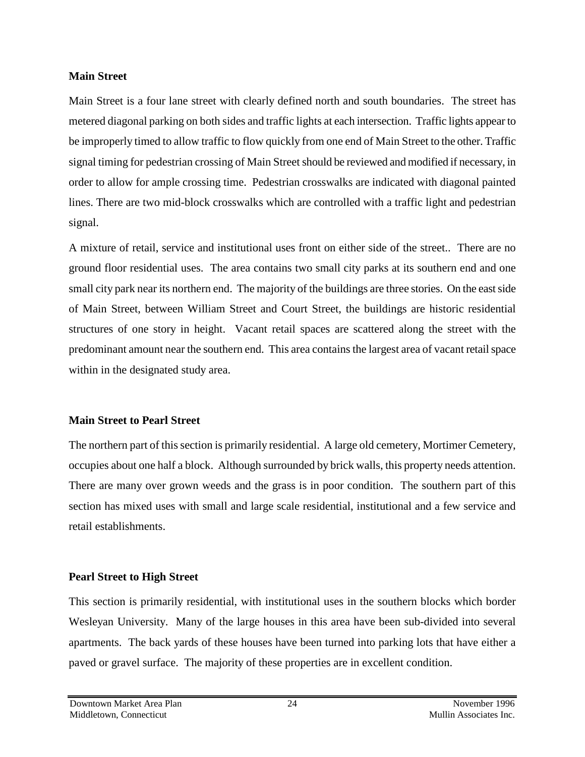#### **Main Street**

Main Street is a four lane street with clearly defined north and south boundaries. The street has metered diagonal parking on both sides and traffic lights at each intersection. Traffic lights appear to be improperly timed to allow traffic to flow quickly from one end of Main Street to the other. Traffic signal timing for pedestrian crossing of Main Street should be reviewed and modified if necessary, in order to allow for ample crossing time. Pedestrian crosswalks are indicated with diagonal painted lines. There are two mid-block crosswalks which are controlled with a traffic light and pedestrian signal.

A mixture of retail, service and institutional uses front on either side of the street.. There are no ground floor residential uses. The area contains two small city parks at its southern end and one small city park near its northern end. The majority of the buildings are three stories. On the east side of Main Street, between William Street and Court Street, the buildings are historic residential structures of one story in height. Vacant retail spaces are scattered along the street with the predominant amount near the southern end. This area contains the largest area of vacant retail space within in the designated study area.

#### **Main Street to Pearl Street**

The northern part of this section is primarily residential. A large old cemetery, Mortimer Cemetery, occupies about one half a block. Although surrounded by brick walls, this property needs attention. There are many over grown weeds and the grass is in poor condition. The southern part of this section has mixed uses with small and large scale residential, institutional and a few service and retail establishments.

### **Pearl Street to High Street**

This section is primarily residential, with institutional uses in the southern blocks which border Wesleyan University. Many of the large houses in this area have been sub-divided into several apartments. The back yards of these houses have been turned into parking lots that have either a paved or gravel surface. The majority of these properties are in excellent condition.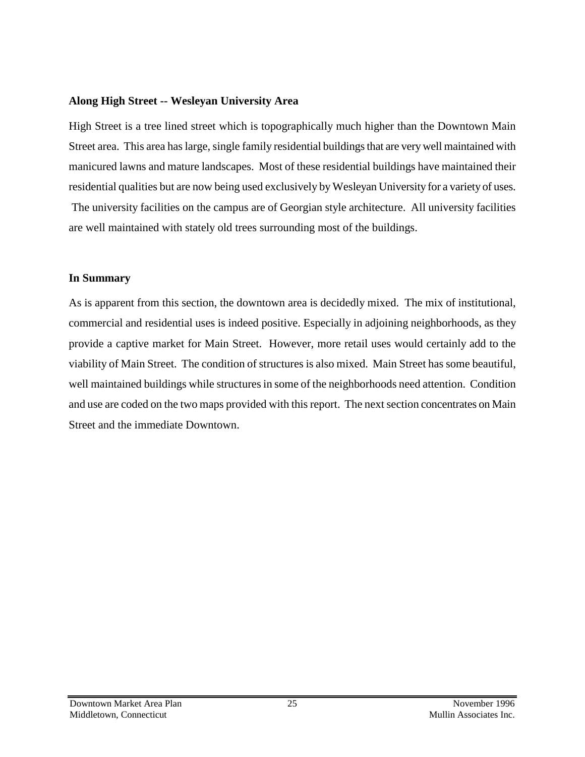#### **Along High Street -- Wesleyan University Area**

High Street is a tree lined street which is topographically much higher than the Downtown Main Street area. This area has large, single family residential buildings that are very well maintained with manicured lawns and mature landscapes. Most of these residential buildings have maintained their residential qualities but are now being used exclusively by Wesleyan University for a variety of uses. The university facilities on the campus are of Georgian style architecture. All university facilities

are well maintained with stately old trees surrounding most of the buildings.

#### **In Summary**

As is apparent from this section, the downtown area is decidedly mixed. The mix of institutional, commercial and residential uses is indeed positive. Especially in adjoining neighborhoods, as they provide a captive market for Main Street. However, more retail uses would certainly add to the viability of Main Street. The condition of structures is also mixed. Main Street has some beautiful, well maintained buildings while structures in some of the neighborhoods need attention. Condition and use are coded on the two maps provided with this report. The next section concentrates on Main Street and the immediate Downtown.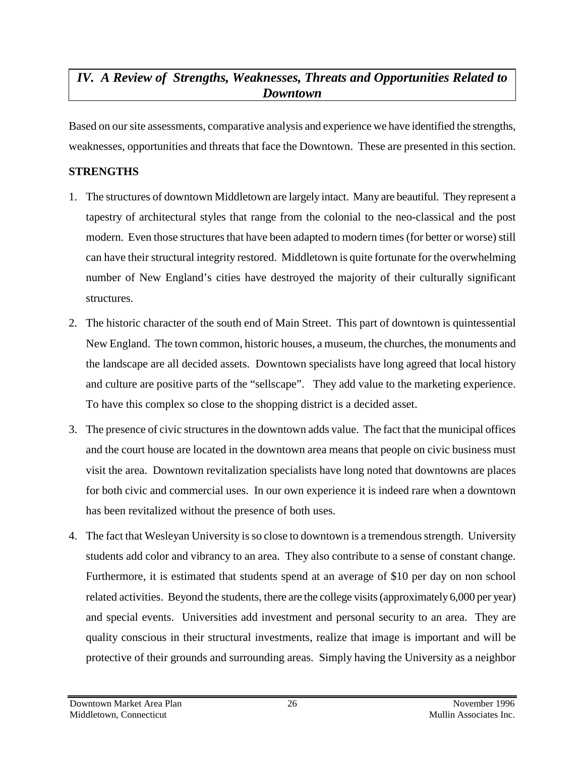# *IV. A Review of Strengths, Weaknesses, Threats and Opportunities Related to Downtown*

Based on our site assessments, comparative analysis and experience we have identified the strengths, weaknesses, opportunities and threats that face the Downtown. These are presented in this section.

#### **STRENGTHS**

- 1. The structures of downtown Middletown are largely intact. Many are beautiful. They represent a tapestry of architectural styles that range from the colonial to the neo-classical and the post modern. Even those structures that have been adapted to modern times (for better or worse) still can have their structural integrity restored. Middletown is quite fortunate for the overwhelming number of New England's cities have destroyed the majority of their culturally significant structures.
- 2. The historic character of the south end of Main Street. This part of downtown is quintessential New England. The town common, historic houses, a museum, the churches, the monuments and the landscape are all decided assets. Downtown specialists have long agreed that local history and culture are positive parts of the "sellscape". They add value to the marketing experience. To have this complex so close to the shopping district is a decided asset.
- 3. The presence of civic structures in the downtown adds value. The fact that the municipal offices and the court house are located in the downtown area means that people on civic business must visit the area. Downtown revitalization specialists have long noted that downtowns are places for both civic and commercial uses. In our own experience it is indeed rare when a downtown has been revitalized without the presence of both uses.
- 4. The fact that Wesleyan University is so close to downtown is a tremendous strength. University students add color and vibrancy to an area. They also contribute to a sense of constant change. Furthermore, it is estimated that students spend at an average of \$10 per day on non school related activities. Beyond the students, there are the college visits (approximately 6,000 per year) and special events. Universities add investment and personal security to an area. They are quality conscious in their structural investments, realize that image is important and will be protective of their grounds and surrounding areas. Simply having the University as a neighbor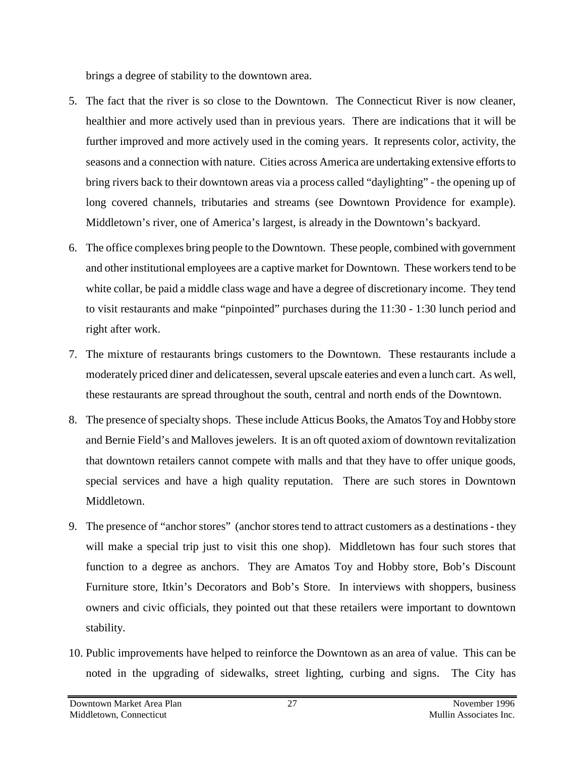brings a degree of stability to the downtown area.

- 5. The fact that the river is so close to the Downtown. The Connecticut River is now cleaner, healthier and more actively used than in previous years. There are indications that it will be further improved and more actively used in the coming years. It represents color, activity, the seasons and a connection with nature. Cities across America are undertaking extensive efforts to bring rivers back to their downtown areas via a process called "daylighting" - the opening up of long covered channels, tributaries and streams (see Downtown Providence for example). Middletown's river, one of America's largest, is already in the Downtown's backyard.
- 6. The office complexes bring people to the Downtown. These people, combined with government and other institutional employees are a captive market for Downtown. These workers tend to be white collar, be paid a middle class wage and have a degree of discretionary income. They tend to visit restaurants and make "pinpointed" purchases during the 11:30 - 1:30 lunch period and right after work.
- 7. The mixture of restaurants brings customers to the Downtown. These restaurants include a moderately priced diner and delicatessen, several upscale eateries and even a lunch cart. As well, these restaurants are spread throughout the south, central and north ends of the Downtown.
- 8. The presence of specialty shops. These include Atticus Books, the Amatos Toy and Hobby store and Bernie Field's and Malloves jewelers. It is an oft quoted axiom of downtown revitalization that downtown retailers cannot compete with malls and that they have to offer unique goods, special services and have a high quality reputation. There are such stores in Downtown Middletown.
- 9. The presence of "anchor stores" (anchor stores tend to attract customers as a destinations they will make a special trip just to visit this one shop). Middletown has four such stores that function to a degree as anchors. They are Amatos Toy and Hobby store, Bob's Discount Furniture store, Itkin's Decorators and Bob's Store. In interviews with shoppers, business owners and civic officials, they pointed out that these retailers were important to downtown stability.
- 10. Public improvements have helped to reinforce the Downtown as an area of value. This can be noted in the upgrading of sidewalks, street lighting, curbing and signs. The City has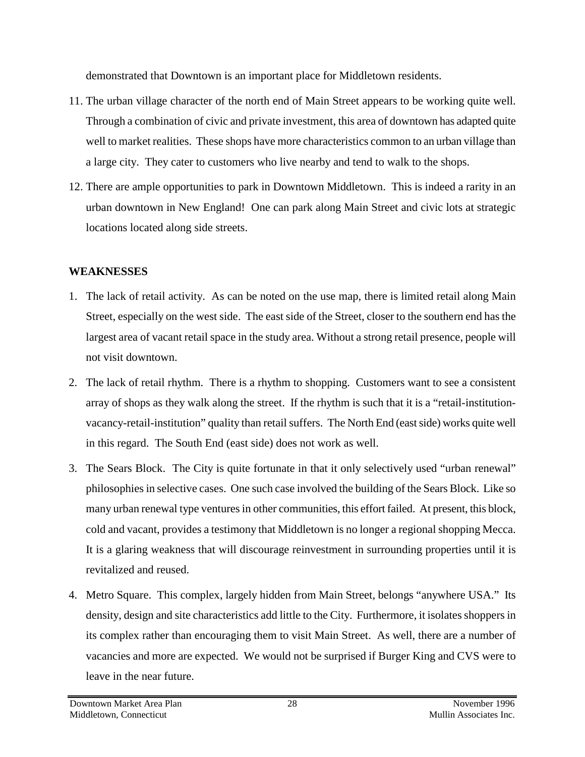demonstrated that Downtown is an important place for Middletown residents.

- 11. The urban village character of the north end of Main Street appears to be working quite well. Through a combination of civic and private investment, this area of downtown has adapted quite well to market realities. These shops have more characteristics common to an urban village than a large city. They cater to customers who live nearby and tend to walk to the shops.
- 12. There are ample opportunities to park in Downtown Middletown. This is indeed a rarity in an urban downtown in New England! One can park along Main Street and civic lots at strategic locations located along side streets.

### **WEAKNESSES**

- 1. The lack of retail activity. As can be noted on the use map, there is limited retail along Main Street, especially on the west side. The east side of the Street, closer to the southern end has the largest area of vacant retail space in the study area. Without a strong retail presence, people will not visit downtown.
- 2. The lack of retail rhythm. There is a rhythm to shopping. Customers want to see a consistent array of shops as they walk along the street. If the rhythm is such that it is a "retail-institutionvacancy-retail-institution" quality than retail suffers. The North End (east side) works quite well in this regard. The South End (east side) does not work as well.
- 3. The Sears Block. The City is quite fortunate in that it only selectively used "urban renewal" philosophies in selective cases. One such case involved the building of the Sears Block. Like so many urban renewal type ventures in other communities, this effort failed. At present, this block, cold and vacant, provides a testimony that Middletown is no longer a regional shopping Mecca. It is a glaring weakness that will discourage reinvestment in surrounding properties until it is revitalized and reused.
- 4. Metro Square. This complex, largely hidden from Main Street, belongs "anywhere USA." Its density, design and site characteristics add little to the City. Furthermore, it isolates shoppers in its complex rather than encouraging them to visit Main Street. As well, there are a number of vacancies and more are expected. We would not be surprised if Burger King and CVS were to leave in the near future.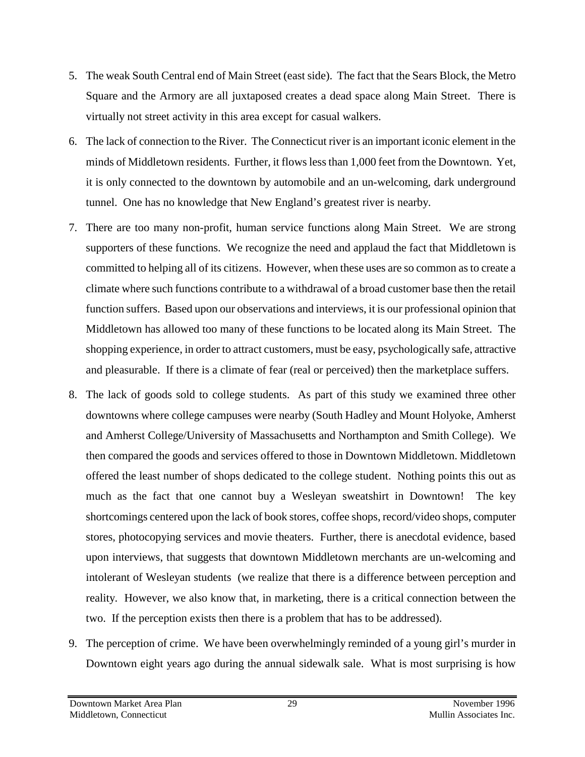- 5. The weak South Central end of Main Street (east side). The fact that the Sears Block, the Metro Square and the Armory are all juxtaposed creates a dead space along Main Street. There is virtually not street activity in this area except for casual walkers.
- 6. The lack of connection to the River. The Connecticut river is an important iconic element in the minds of Middletown residents. Further, it flows less than 1,000 feet from the Downtown. Yet, it is only connected to the downtown by automobile and an un-welcoming, dark underground tunnel. One has no knowledge that New England's greatest river is nearby.
- 7. There are too many non-profit, human service functions along Main Street. We are strong supporters of these functions. We recognize the need and applaud the fact that Middletown is committed to helping all of its citizens. However, when these uses are so common as to create a climate where such functions contribute to a withdrawal of a broad customer base then the retail function suffers. Based upon our observations and interviews, it is our professional opinion that Middletown has allowed too many of these functions to be located along its Main Street. The shopping experience, in order to attract customers, must be easy, psychologically safe, attractive and pleasurable. If there is a climate of fear (real or perceived) then the marketplace suffers.
- 8. The lack of goods sold to college students. As part of this study we examined three other downtowns where college campuses were nearby (South Hadley and Mount Holyoke, Amherst and Amherst College/University of Massachusetts and Northampton and Smith College). We then compared the goods and services offered to those in Downtown Middletown. Middletown offered the least number of shops dedicated to the college student. Nothing points this out as much as the fact that one cannot buy a Wesleyan sweatshirt in Downtown! The key shortcomings centered upon the lack of book stores, coffee shops, record/video shops, computer stores, photocopying services and movie theaters. Further, there is anecdotal evidence, based upon interviews, that suggests that downtown Middletown merchants are un-welcoming and intolerant of Wesleyan students (we realize that there is a difference between perception and reality. However, we also know that, in marketing, there is a critical connection between the two. If the perception exists then there is a problem that has to be addressed).
- 9. The perception of crime. We have been overwhelmingly reminded of a young girl's murder in Downtown eight years ago during the annual sidewalk sale. What is most surprising is how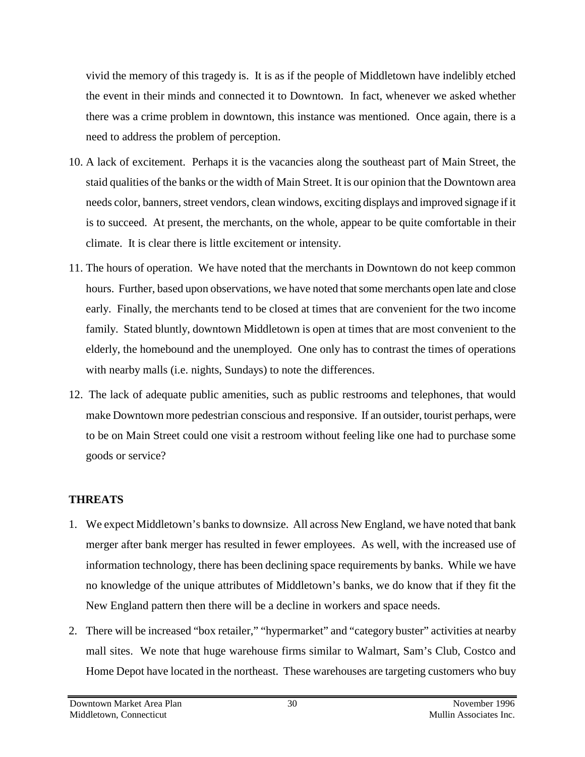vivid the memory of this tragedy is. It is as if the people of Middletown have indelibly etched the event in their minds and connected it to Downtown. In fact, whenever we asked whether there was a crime problem in downtown, this instance was mentioned. Once again, there is a need to address the problem of perception.

- 10. A lack of excitement. Perhaps it is the vacancies along the southeast part of Main Street, the staid qualities of the banks or the width of Main Street. It is our opinion that the Downtown area needs color, banners, street vendors, clean windows, exciting displays and improved signage if it is to succeed. At present, the merchants, on the whole, appear to be quite comfortable in their climate. It is clear there is little excitement or intensity.
- 11. The hours of operation. We have noted that the merchants in Downtown do not keep common hours. Further, based upon observations, we have noted that some merchants open late and close early. Finally, the merchants tend to be closed at times that are convenient for the two income family. Stated bluntly, downtown Middletown is open at times that are most convenient to the elderly, the homebound and the unemployed. One only has to contrast the times of operations with nearby malls (i.e. nights, Sundays) to note the differences.
- 12. The lack of adequate public amenities, such as public restrooms and telephones, that would make Downtown more pedestrian conscious and responsive. If an outsider, tourist perhaps, were to be on Main Street could one visit a restroom without feeling like one had to purchase some goods or service?

### **THREATS**

- 1. We expect Middletown's banks to downsize. All across New England, we have noted that bank merger after bank merger has resulted in fewer employees. As well, with the increased use of information technology, there has been declining space requirements by banks. While we have no knowledge of the unique attributes of Middletown's banks, we do know that if they fit the New England pattern then there will be a decline in workers and space needs.
- 2. There will be increased "box retailer," "hypermarket" and "category buster" activities at nearby mall sites. We note that huge warehouse firms similar to Walmart, Sam's Club, Costco and Home Depot have located in the northeast. These warehouses are targeting customers who buy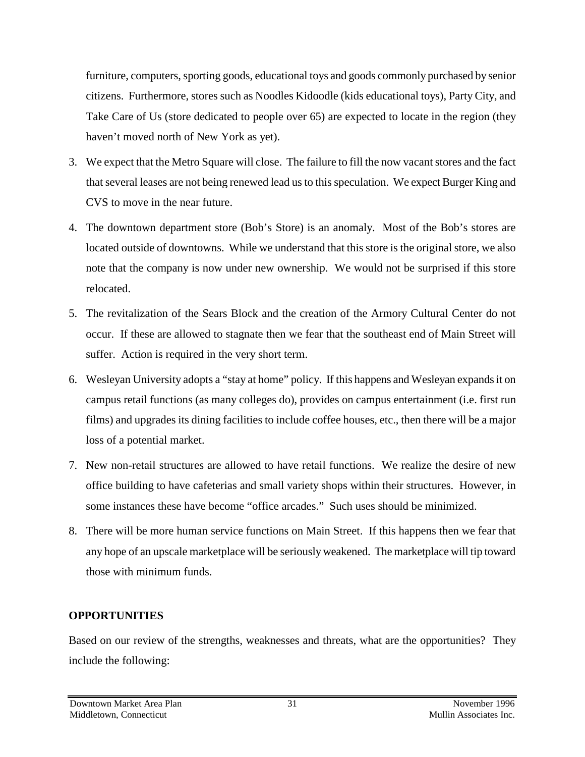furniture, computers, sporting goods, educational toys and goods commonly purchased by senior citizens. Furthermore, stores such as Noodles Kidoodle (kids educational toys), Party City, and Take Care of Us (store dedicated to people over 65) are expected to locate in the region (they haven't moved north of New York as yet).

- 3. We expect that the Metro Square will close. The failure to fill the now vacant stores and the fact that several leases are not being renewed lead us to this speculation. We expect Burger King and CVS to move in the near future.
- 4. The downtown department store (Bob's Store) is an anomaly. Most of the Bob's stores are located outside of downtowns. While we understand that this store is the original store, we also note that the company is now under new ownership. We would not be surprised if this store relocated.
- 5. The revitalization of the Sears Block and the creation of the Armory Cultural Center do not occur. If these are allowed to stagnate then we fear that the southeast end of Main Street will suffer. Action is required in the very short term.
- 6. Wesleyan University adopts a "stay at home" policy. If this happens and Wesleyan expands it on campus retail functions (as many colleges do), provides on campus entertainment (i.e. first run films) and upgrades its dining facilities to include coffee houses, etc., then there will be a major loss of a potential market.
- 7. New non-retail structures are allowed to have retail functions. We realize the desire of new office building to have cafeterias and small variety shops within their structures. However, in some instances these have become "office arcades." Such uses should be minimized.
- 8. There will be more human service functions on Main Street. If this happens then we fear that any hope of an upscale marketplace will be seriously weakened. The marketplace will tip toward those with minimum funds.

#### **OPPORTUNITIES**

Based on our review of the strengths, weaknesses and threats, what are the opportunities? They include the following: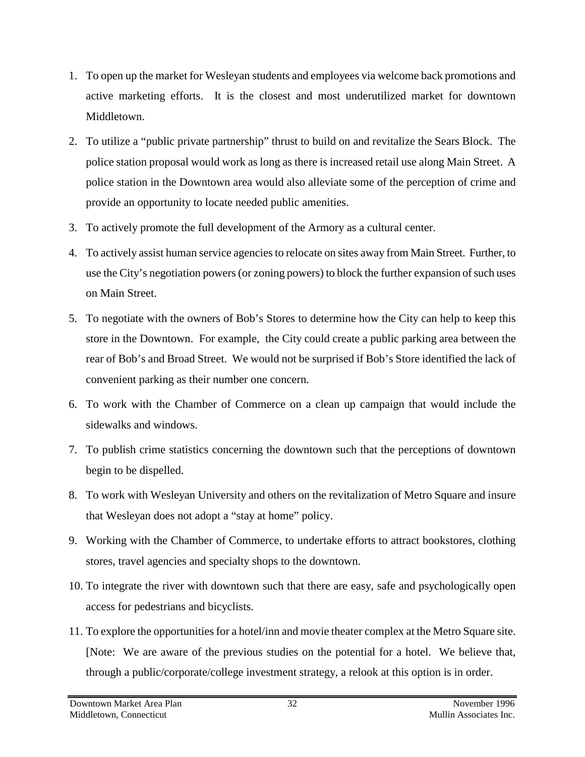- 1. To open up the market for Wesleyan students and employees via welcome back promotions and active marketing efforts. It is the closest and most underutilized market for downtown Middletown.
- 2. To utilize a "public private partnership" thrust to build on and revitalize the Sears Block. The police station proposal would work as long as there is increased retail use along Main Street. A police station in the Downtown area would also alleviate some of the perception of crime and provide an opportunity to locate needed public amenities.
- 3. To actively promote the full development of the Armory as a cultural center.
- 4. To actively assist human service agencies to relocate on sites away from Main Street. Further, to use the City's negotiation powers (or zoning powers) to block the further expansion of such uses on Main Street.
- 5. To negotiate with the owners of Bob's Stores to determine how the City can help to keep this store in the Downtown. For example, the City could create a public parking area between the rear of Bob's and Broad Street. We would not be surprised if Bob's Store identified the lack of convenient parking as their number one concern.
- 6. To work with the Chamber of Commerce on a clean up campaign that would include the sidewalks and windows.
- 7. To publish crime statistics concerning the downtown such that the perceptions of downtown begin to be dispelled.
- 8. To work with Wesleyan University and others on the revitalization of Metro Square and insure that Wesleyan does not adopt a "stay at home" policy.
- 9. Working with the Chamber of Commerce, to undertake efforts to attract bookstores, clothing stores, travel agencies and specialty shops to the downtown.
- 10. To integrate the river with downtown such that there are easy, safe and psychologically open access for pedestrians and bicyclists.
- 11. To explore the opportunities for a hotel/inn and movie theater complex at the Metro Square site. [Note: We are aware of the previous studies on the potential for a hotel. We believe that, through a public/corporate/college investment strategy, a relook at this option is in order.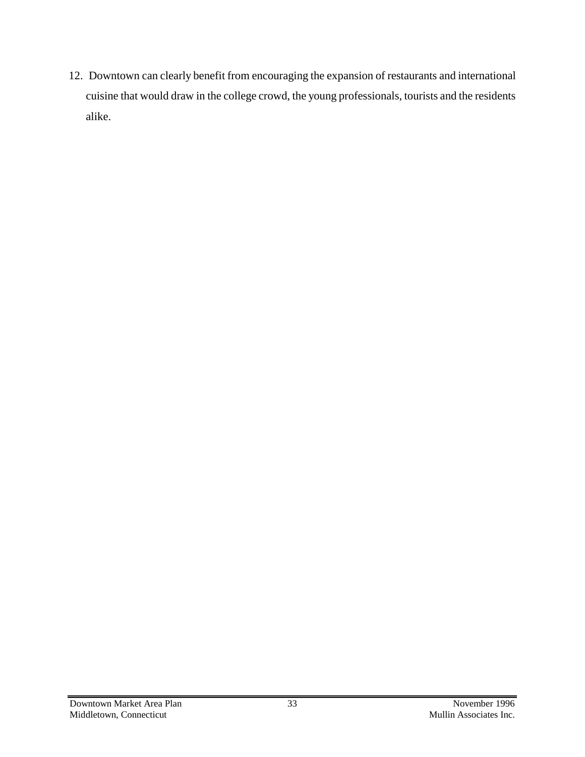12. Downtown can clearly benefit from encouraging the expansion of restaurants and international cuisine that would draw in the college crowd, the young professionals, tourists and the residents alike.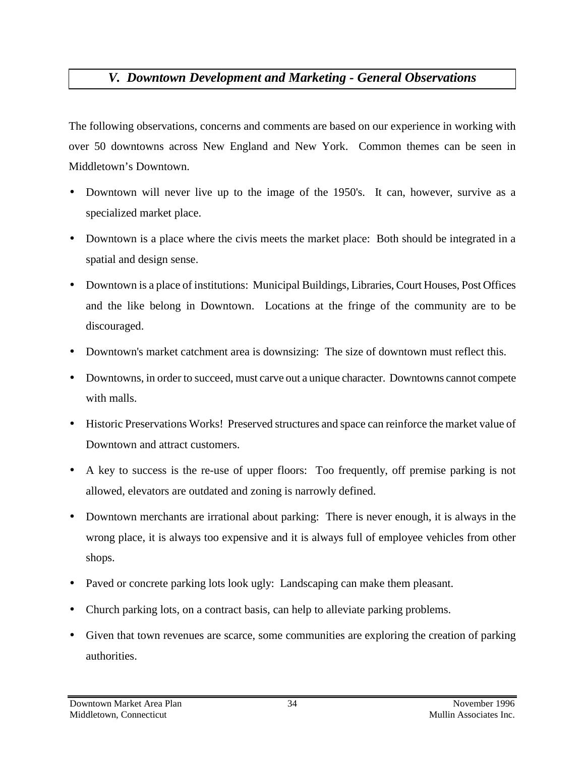# *V. Downtown Development and Marketing - General Observations*

The following observations, concerns and comments are based on our experience in working with over 50 downtowns across New England and New York. Common themes can be seen in Middletown's Downtown.

- Downtown will never live up to the image of the 1950's. It can, however, survive as a specialized market place.
- Downtown is a place where the civis meets the market place: Both should be integrated in a spatial and design sense.
- Downtown is a place of institutions: Municipal Buildings, Libraries, Court Houses, Post Offices and the like belong in Downtown. Locations at the fringe of the community are to be discouraged.
- Downtown's market catchment area is downsizing: The size of downtown must reflect this.
- Downtowns, in order to succeed, must carve out a unique character. Downtowns cannot compete with malls.
- Historic Preservations Works! Preserved structures and space can reinforce the market value of Downtown and attract customers.
- A key to success is the re-use of upper floors: Too frequently, off premise parking is not allowed, elevators are outdated and zoning is narrowly defined.
- Downtown merchants are irrational about parking: There is never enough, it is always in the wrong place, it is always too expensive and it is always full of employee vehicles from other shops.
- Paved or concrete parking lots look ugly: Landscaping can make them pleasant.
- Church parking lots, on a contract basis, can help to alleviate parking problems.
- Given that town revenues are scarce, some communities are exploring the creation of parking authorities.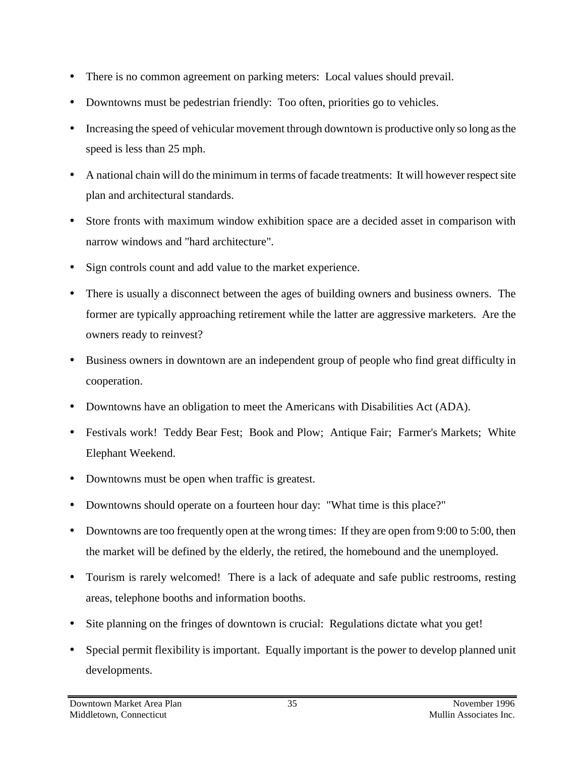- There is no common agreement on parking meters: Local values should prevail.
- Downtowns must be pedestrian friendly: Too often, priorities go to vehicles.
- Increasing the speed of vehicular movement through downtown is productive only so long as the speed is less than 25 mph.
- A national chain will do the minimum in terms of facade treatments: It will however respect site plan and architectural standards.
- Store fronts with maximum window exhibition space are a decided asset in comparison with narrow windows and "hard architecture".
- Sign controls count and add value to the market experience.
- There is usually a disconnect between the ages of building owners and business owners. The former are typically approaching retirement while the latter are aggressive marketers. Are the owners ready to reinvest?
- Business owners in downtown are an independent group of people who find great difficulty in cooperation.
- Downtowns have an obligation to meet the Americans with Disabilities Act (ADA).
- Festivals work! Teddy Bear Fest; Book and Plow; Antique Fair; Farmer's Markets; White Elephant Weekend.
- Downtowns must be open when traffic is greatest.
- Downtowns should operate on a fourteen hour day: "What time is this place?"
- Downtowns are too frequently open at the wrong times: If they are open from 9:00 to 5:00, then the market will be defined by the elderly, the retired, the homebound and the unemployed.
- Tourism is rarely welcomed! There is a lack of adequate and safe public restrooms, resting areas, telephone booths and information booths.
- Site planning on the fringes of downtown is crucial: Regulations dictate what you get!
- Special permit flexibility is important. Equally important is the power to develop planned unit developments.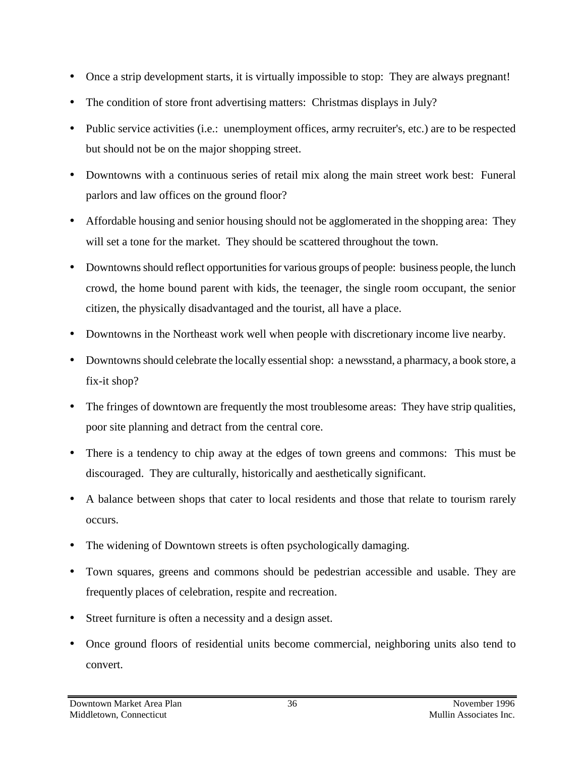- Once a strip development starts, it is virtually impossible to stop: They are always pregnant!
- The condition of store front advertising matters: Christmas displays in July?
- Public service activities (i.e.: unemployment offices, army recruiter's, etc.) are to be respected but should not be on the major shopping street.
- Downtowns with a continuous series of retail mix along the main street work best: Funeral parlors and law offices on the ground floor?
- Affordable housing and senior housing should not be agglomerated in the shopping area: They will set a tone for the market. They should be scattered throughout the town.
- Downtowns should reflect opportunities for various groups of people: business people, the lunch crowd, the home bound parent with kids, the teenager, the single room occupant, the senior citizen, the physically disadvantaged and the tourist, all have a place.
- Downtowns in the Northeast work well when people with discretionary income live nearby.
- Downtowns should celebrate the locally essential shop: a newsstand, a pharmacy, a book store, a fix-it shop?
- The fringes of downtown are frequently the most troublesome areas: They have strip qualities, poor site planning and detract from the central core.
- There is a tendency to chip away at the edges of town greens and commons: This must be discouraged. They are culturally, historically and aesthetically significant.
- A balance between shops that cater to local residents and those that relate to tourism rarely occurs.
- The widening of Downtown streets is often psychologically damaging.
- Town squares, greens and commons should be pedestrian accessible and usable. They are frequently places of celebration, respite and recreation.
- Street furniture is often a necessity and a design asset.
- Once ground floors of residential units become commercial, neighboring units also tend to convert.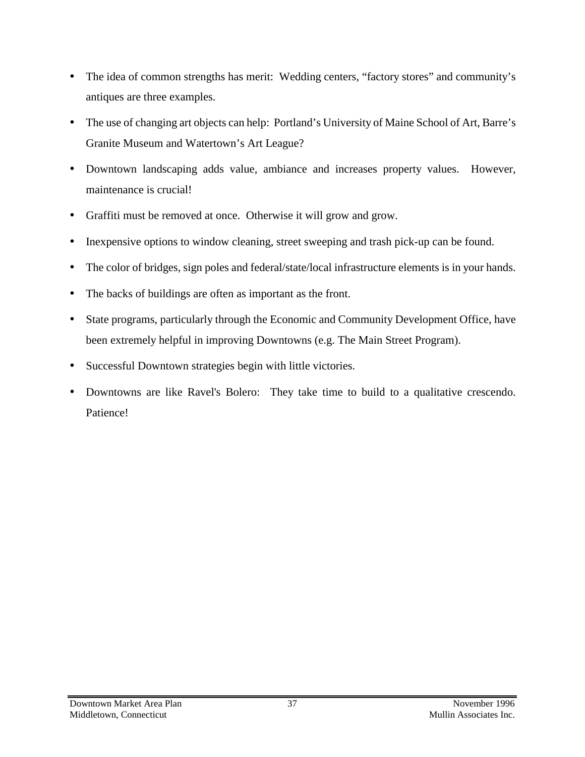- The idea of common strengths has merit: Wedding centers, "factory stores" and community's antiques are three examples.
- The use of changing art objects can help: Portland's University of Maine School of Art, Barre's Granite Museum and Watertown's Art League?
- Downtown landscaping adds value, ambiance and increases property values. However, maintenance is crucial!
- Graffiti must be removed at once. Otherwise it will grow and grow.
- Inexpensive options to window cleaning, street sweeping and trash pick-up can be found.
- The color of bridges, sign poles and federal/state/local infrastructure elements is in your hands.
- The backs of buildings are often as important as the front.
- State programs, particularly through the Economic and Community Development Office, have been extremely helpful in improving Downtowns (e.g. The Main Street Program).
- Successful Downtown strategies begin with little victories.
- Downtowns are like Ravel's Bolero: They take time to build to a qualitative crescendo. Patience!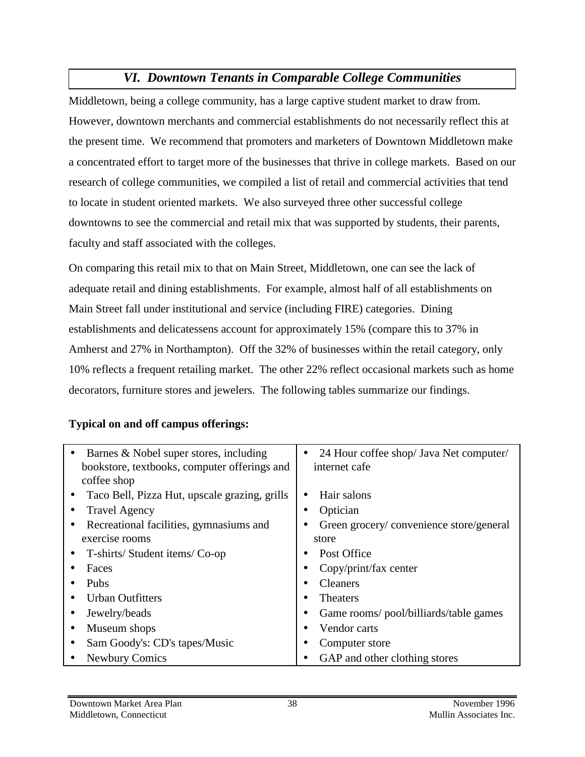# *VI. Downtown Tenants in Comparable College Communities*

Middletown, being a college community, has a large captive student market to draw from. However, downtown merchants and commercial establishments do not necessarily reflect this at the present time. We recommend that promoters and marketers of Downtown Middletown make a concentrated effort to target more of the businesses that thrive in college markets. Based on our research of college communities, we compiled a list of retail and commercial activities that tend to locate in student oriented markets. We also surveyed three other successful college downtowns to see the commercial and retail mix that was supported by students, their parents, faculty and staff associated with the colleges.

On comparing this retail mix to that on Main Street, Middletown, one can see the lack of adequate retail and dining establishments. For example, almost half of all establishments on Main Street fall under institutional and service (including FIRE) categories. Dining establishments and delicatessens account for approximately 15% (compare this to 37% in Amherst and 27% in Northampton). Off the 32% of businesses within the retail category, only 10% reflects a frequent retailing market. The other 22% reflect occasional markets such as home decorators, furniture stores and jewelers. The following tables summarize our findings.

#### **Typical on and off campus offerings:**

| Barnes & Nobel super stores, including        | 24 Hour coffee shop/ Java Net computer/<br>$\bullet$ |
|-----------------------------------------------|------------------------------------------------------|
| bookstore, textbooks, computer offerings and  | internet cafe                                        |
| coffee shop                                   |                                                      |
| Taco Bell, Pizza Hut, upscale grazing, grills | Hair salons<br>$\bullet$                             |
| <b>Travel Agency</b>                          | Optician                                             |
| Recreational facilities, gymnasiums and       | Green grocery/convenience store/general              |
| exercise rooms                                | store                                                |
| T-shirts/Student items/Co-op                  | Post Office                                          |
| Faces                                         | Copy/print/fax center<br>$\bullet$                   |
| Pubs                                          | <b>Cleaners</b>                                      |
| <b>Urban Outfitters</b>                       | <b>Theaters</b>                                      |
| Jewelry/beads                                 | Game rooms/pool/billiards/table games                |
| Museum shops                                  | Vendor carts                                         |
| Sam Goody's: CD's tapes/Music                 | Computer store                                       |
| <b>Newbury Comics</b>                         | GAP and other clothing stores                        |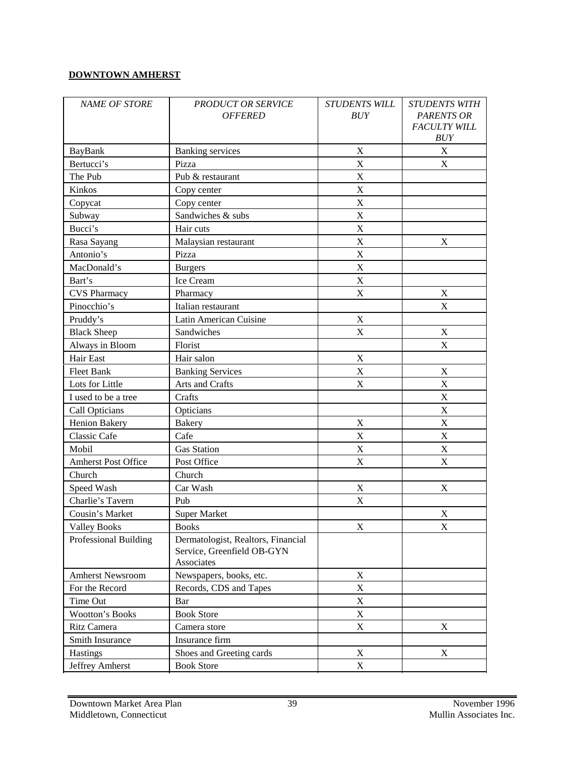#### **DOWNTOWN AMHERST**

| <b>NAME OF STORE</b>       | <b>PRODUCT OR SERVICE</b><br><b>OFFERED</b>                                    | <b>STUDENTS WILL</b><br><b>BUY</b> | <b>STUDENTS WITH</b><br><b>PARENTS OR</b><br><b>FACULTY WILL</b><br>BUY |
|----------------------------|--------------------------------------------------------------------------------|------------------------------------|-------------------------------------------------------------------------|
| BayBank                    | <b>Banking services</b>                                                        | $\mathbf X$                        | X                                                                       |
| Bertucci's                 | Pizza                                                                          | $\boldsymbol{\mathrm{X}}$          | X                                                                       |
| The Pub                    | Pub & restaurant                                                               | $\mathbf X$                        |                                                                         |
| Kinkos                     | Copy center                                                                    | $\mathbf X$                        |                                                                         |
| Copycat                    | Copy center                                                                    | $\boldsymbol{\mathrm{X}}$          |                                                                         |
| Subway                     | Sandwiches & subs                                                              | $\boldsymbol{\mathrm{X}}$          |                                                                         |
| Bucci's                    | Hair cuts                                                                      | $\mathbf X$                        |                                                                         |
| Rasa Sayang                | Malaysian restaurant                                                           | $\mathbf X$                        | X                                                                       |
| Antonio's                  | Pizza                                                                          | $\boldsymbol{\mathrm{X}}$          |                                                                         |
| MacDonald's                | <b>Burgers</b>                                                                 | $\mathbf X$                        |                                                                         |
| Bart's                     | Ice Cream                                                                      | $\mathbf X$                        |                                                                         |
| <b>CVS</b> Pharmacy        | Pharmacy                                                                       | X                                  | X                                                                       |
| Pinocchio's                | Italian restaurant                                                             |                                    | $\bf{X}$                                                                |
| Pruddy's                   | Latin American Cuisine                                                         | X                                  |                                                                         |
| <b>Black Sheep</b>         | Sandwiches                                                                     | X                                  | X                                                                       |
| Always in Bloom            | Florist                                                                        |                                    | X                                                                       |
| Hair East                  | Hair salon                                                                     | $\mathbf X$                        |                                                                         |
| Fleet Bank                 | <b>Banking Services</b>                                                        | $\mathbf X$                        | $\mathbf X$                                                             |
| Lots for Little            | Arts and Crafts                                                                | X                                  | $\mathbf X$                                                             |
| I used to be a tree        | Crafts                                                                         |                                    | $\boldsymbol{\mathrm{X}}$                                               |
| Call Opticians             | Opticians                                                                      |                                    | $\mathbf X$                                                             |
| <b>Henion Bakery</b>       | <b>Bakery</b>                                                                  | $\boldsymbol{\mathrm{X}}$          | $\mathbf X$                                                             |
| <b>Classic Cafe</b>        | Cafe                                                                           | X                                  | X                                                                       |
| Mobil                      | <b>Gas Station</b>                                                             | X                                  | $\mathbf X$                                                             |
| <b>Amherst Post Office</b> | Post Office                                                                    | $\boldsymbol{\mathrm{X}}$          | $\boldsymbol{\mathrm{X}}$                                               |
| Church                     | Church                                                                         |                                    |                                                                         |
| Speed Wash                 | Car Wash                                                                       | $\boldsymbol{\mathrm{X}}$          | X                                                                       |
| Charlie's Tavern           | Pub                                                                            | X                                  |                                                                         |
| Cousin's Market            | <b>Super Market</b>                                                            |                                    | $\mathbf X$                                                             |
| <b>Valley Books</b>        | <b>Books</b>                                                                   | $\mathbf X$                        | X                                                                       |
| Professional Building      | Dermatologist, Realtors, Financial<br>Service, Greenfield OB-GYN<br>Associates |                                    |                                                                         |
| Amherst Newsroom           | Newspapers, books, etc.                                                        | X                                  |                                                                         |
| For the Record             | Records, CDS and Tapes                                                         | $\mathbf X$                        |                                                                         |
| Time Out                   | Bar                                                                            | X                                  |                                                                         |
| Wootton's Books            | <b>Book Store</b>                                                              | X                                  |                                                                         |
| Ritz Camera                | Camera store                                                                   | X                                  | X                                                                       |
| Smith Insurance            | Insurance firm                                                                 |                                    |                                                                         |
| Hastings                   | Shoes and Greeting cards                                                       | X                                  | X                                                                       |
| Jeffrey Amherst            | <b>Book Store</b>                                                              | $\mathbf X$                        |                                                                         |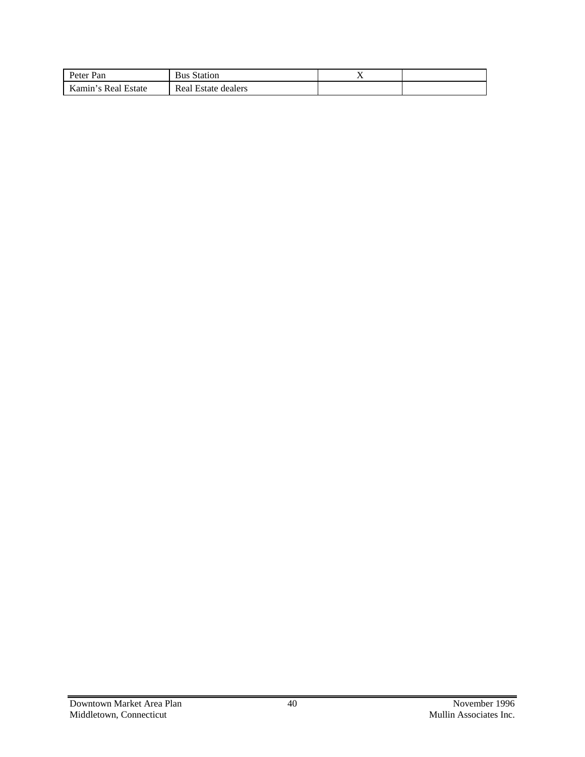| Peter Pan           | <b>Bus Station</b>  | . . |  |
|---------------------|---------------------|-----|--|
| Kamin's Real Estate | Real Estate dealers |     |  |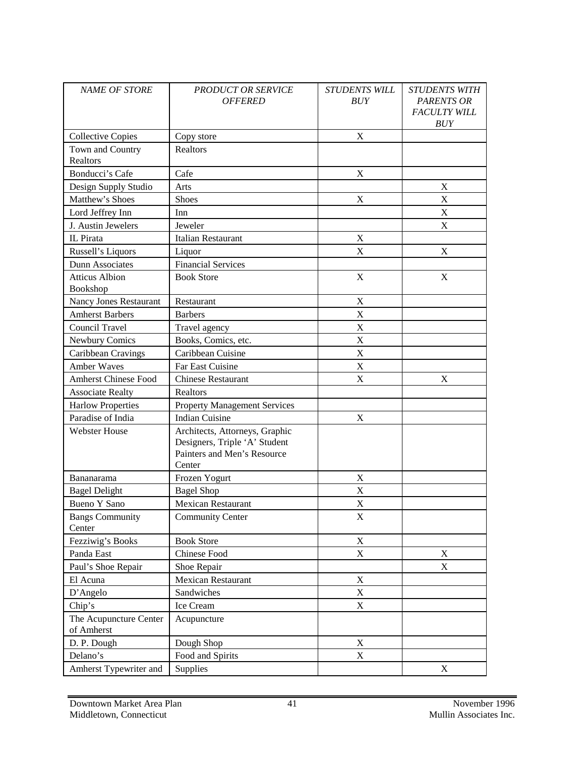| <b>NAME OF STORE</b>                 | <b>PRODUCT OR SERVICE</b><br><b>OFFERED</b>                                                              | <b>STUDENTS WILL</b><br><b>BUY</b> | <b>STUDENTS WITH</b><br><b>PARENTS OR</b><br><b>FACULTY WILL</b><br>BUY |
|--------------------------------------|----------------------------------------------------------------------------------------------------------|------------------------------------|-------------------------------------------------------------------------|
| <b>Collective Copies</b>             | Copy store                                                                                               | X                                  |                                                                         |
| Town and Country<br>Realtors         | Realtors                                                                                                 |                                    |                                                                         |
| Bonducci's Cafe                      | Cafe                                                                                                     | X                                  |                                                                         |
| Design Supply Studio                 | Arts                                                                                                     |                                    | X                                                                       |
| Matthew's Shoes                      | <b>Shoes</b>                                                                                             | X                                  | X                                                                       |
| Lord Jeffrey Inn                     | Inn                                                                                                      |                                    | X                                                                       |
| J. Austin Jewelers                   | Jeweler                                                                                                  |                                    | X                                                                       |
| IL Pirata                            | <b>Italian Restaurant</b>                                                                                | X                                  |                                                                         |
| Russell's Liquors                    | Liquor                                                                                                   | X                                  | X                                                                       |
| Dunn Associates                      | <b>Financial Services</b>                                                                                |                                    |                                                                         |
| <b>Atticus Albion</b><br>Bookshop    | <b>Book Store</b>                                                                                        | X                                  | X                                                                       |
| <b>Nancy Jones Restaurant</b>        | Restaurant                                                                                               | X                                  |                                                                         |
| <b>Amherst Barbers</b>               | <b>Barbers</b>                                                                                           | $\mathbf X$                        |                                                                         |
| Council Travel                       | Travel agency                                                                                            | X                                  |                                                                         |
| Newbury Comics                       | Books, Comics, etc.                                                                                      | X                                  |                                                                         |
| Caribbean Cravings                   | Caribbean Cuisine                                                                                        | X                                  |                                                                         |
| <b>Amber Waves</b>                   | Far East Cuisine                                                                                         | X                                  |                                                                         |
| <b>Amherst Chinese Food</b>          | <b>Chinese Restaurant</b>                                                                                | X                                  | X                                                                       |
| <b>Associate Realty</b>              | Realtors                                                                                                 |                                    |                                                                         |
| <b>Harlow Properties</b>             | <b>Property Management Services</b>                                                                      |                                    |                                                                         |
| Paradise of India                    | <b>Indian Cuisine</b>                                                                                    | X                                  |                                                                         |
| <b>Webster House</b>                 | Architects, Attorneys, Graphic<br>Designers, Triple 'A' Student<br>Painters and Men's Resource<br>Center |                                    |                                                                         |
| Bananarama                           | Frozen Yogurt                                                                                            | X                                  |                                                                         |
| <b>Bagel Delight</b>                 | <b>Bagel Shop</b>                                                                                        | X                                  |                                                                         |
| <b>Bueno Y Sano</b>                  | <b>Mexican Restaurant</b>                                                                                | X                                  |                                                                         |
| <b>Bangs Community</b><br>Center     | <b>Community Center</b>                                                                                  | X                                  |                                                                         |
| Fezziwig's Books                     | <b>Book Store</b>                                                                                        | $\mathbf X$                        |                                                                         |
| Panda East                           | Chinese Food                                                                                             | $\mathbf X$                        | X                                                                       |
| Paul's Shoe Repair                   | Shoe Repair                                                                                              |                                    | X                                                                       |
| El Acuna                             | Mexican Restaurant                                                                                       | X                                  |                                                                         |
| D'Angelo                             | Sandwiches                                                                                               | X                                  |                                                                         |
| Chip's                               | Ice Cream                                                                                                | $\mathbf X$                        |                                                                         |
| The Acupuncture Center<br>of Amherst | Acupuncture                                                                                              |                                    |                                                                         |
| D. P. Dough                          | Dough Shop                                                                                               | X                                  |                                                                         |
| Delano's                             | Food and Spirits                                                                                         | $\boldsymbol{\mathrm{X}}$          |                                                                         |
| Amherst Typewriter and               | Supplies                                                                                                 |                                    | X                                                                       |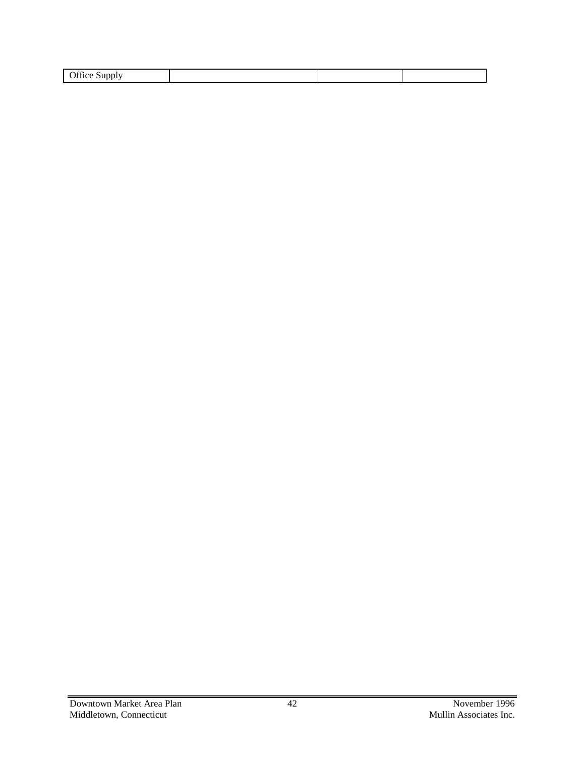| Office<br>.<br>$\overline{\phantom{a}}$<br>- |  |  |
|----------------------------------------------|--|--|
|                                              |  |  |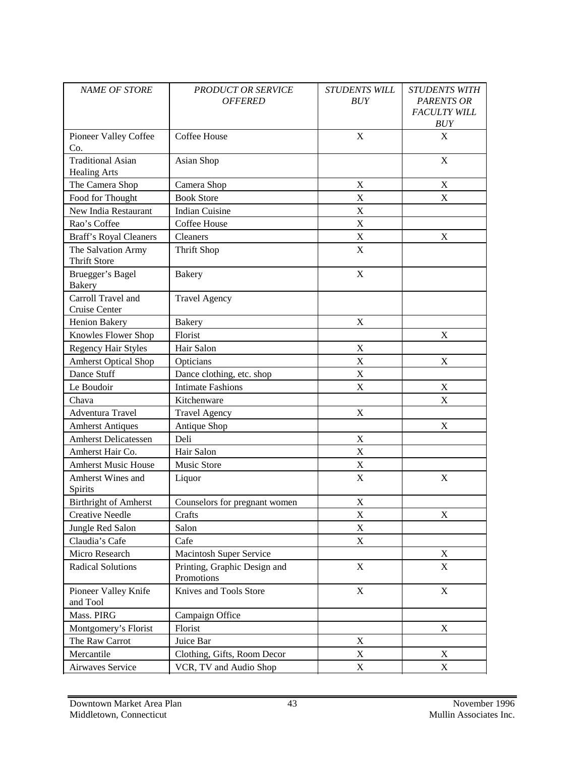| <b>NAME OF STORE</b>                            | <b>PRODUCT OR SERVICE</b><br><b>OFFERED</b> | <b>STUDENTS WILL</b><br>BUY | <b>STUDENTS WITH</b><br><b>PARENTS OR</b><br><b>FACULTY WILL</b><br><b>BUY</b> |
|-------------------------------------------------|---------------------------------------------|-----------------------------|--------------------------------------------------------------------------------|
| Pioneer Valley Coffee<br>Co.                    | Coffee House                                | X                           | X                                                                              |
| <b>Traditional Asian</b><br><b>Healing Arts</b> | Asian Shop                                  |                             | X                                                                              |
| The Camera Shop                                 | Camera Shop                                 | X                           | X                                                                              |
| Food for Thought                                | <b>Book Store</b>                           | X                           | X                                                                              |
| New India Restaurant                            | <b>Indian Cuisine</b>                       | X                           |                                                                                |
| Rao's Coffee                                    | Coffee House                                | X                           |                                                                                |
| <b>Braff's Royal Cleaners</b>                   | Cleaners                                    | X                           | X                                                                              |
| The Salvation Army<br><b>Thrift Store</b>       | Thrift Shop                                 | X                           |                                                                                |
| Bruegger's Bagel<br><b>Bakery</b>               | <b>Bakery</b>                               | $\mathbf X$                 |                                                                                |
| Carroll Travel and<br>Cruise Center             | <b>Travel Agency</b>                        |                             |                                                                                |
| Henion Bakery                                   | <b>Bakery</b>                               | $\boldsymbol{\mathrm{X}}$   |                                                                                |
| Knowles Flower Shop                             | Florist                                     |                             | X                                                                              |
| <b>Regency Hair Styles</b>                      | Hair Salon                                  | $\boldsymbol{\mathrm{X}}$   |                                                                                |
| <b>Amherst Optical Shop</b>                     | Opticians                                   | X                           | X                                                                              |
| Dance Stuff                                     | Dance clothing, etc. shop                   | X                           |                                                                                |
| Le Boudoir                                      | <b>Intimate Fashions</b>                    | X                           | X                                                                              |
| Chava                                           | Kitchenware                                 |                             | X                                                                              |
| Adventura Travel                                | <b>Travel Agency</b>                        | X                           |                                                                                |
| <b>Amherst Antiques</b>                         | Antique Shop                                |                             | X                                                                              |
| <b>Amherst Delicatessen</b>                     | Deli                                        | X                           |                                                                                |
| Amherst Hair Co.                                | Hair Salon                                  | X                           |                                                                                |
| <b>Amherst Music House</b>                      | <b>Music Store</b>                          | X                           |                                                                                |
| Amherst Wines and<br>Spirits                    | Liquor                                      | X                           | X                                                                              |
| <b>Birthright of Amherst</b>                    | Counselors for pregnant women               | X                           |                                                                                |
| <b>Creative Needle</b>                          | Crafts                                      | X                           | X                                                                              |
| Jungle Red Salon                                | Salon                                       | X                           |                                                                                |
| Claudia's Cafe                                  | Cafe                                        | $\mathbf X$                 |                                                                                |
| Micro Research                                  | <b>Macintosh Super Service</b>              |                             | X                                                                              |
| <b>Radical Solutions</b>                        | Printing, Graphic Design and<br>Promotions  | X                           | X                                                                              |
| Pioneer Valley Knife<br>and Tool                | Knives and Tools Store                      | X                           | $\mathbf X$                                                                    |
| Mass. PIRG                                      | Campaign Office                             |                             |                                                                                |
| Montgomery's Florist                            | Florist                                     |                             | X                                                                              |
| The Raw Carrot                                  | Juice Bar                                   | X                           |                                                                                |
| Mercantile                                      | Clothing, Gifts, Room Decor                 | X                           | X                                                                              |
| Airwaves Service                                | VCR, TV and Audio Shop                      | $\mathbf X$                 | X                                                                              |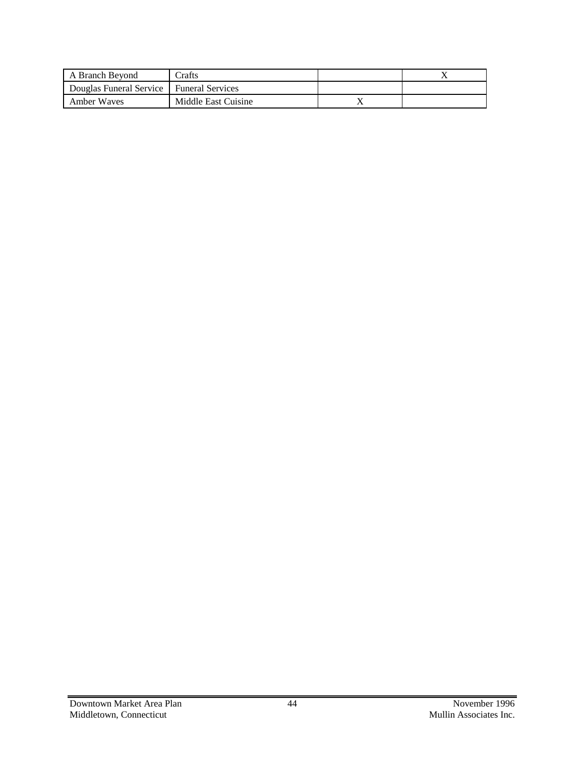| A Branch Bevond                            | -Trafts             |  |
|--------------------------------------------|---------------------|--|
| Douglas Funeral Service   Funeral Services |                     |  |
| Amber Waves                                | Middle East Cuisine |  |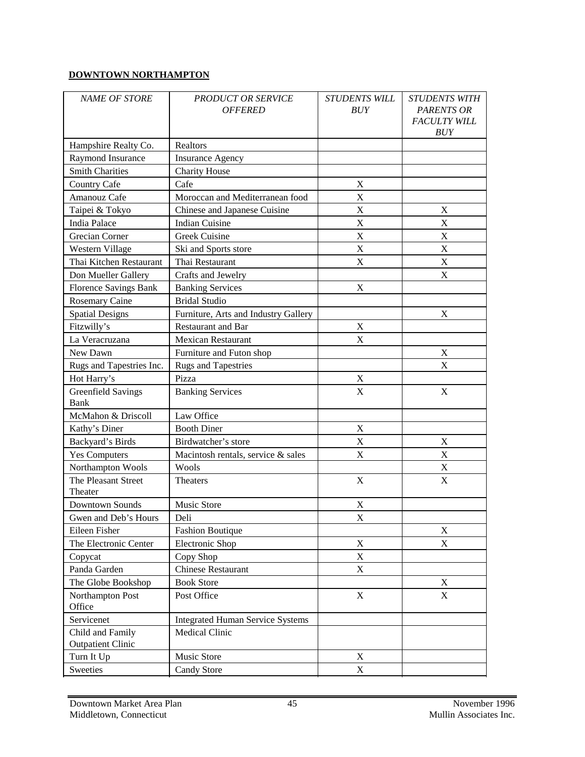#### **DOWNTOWN NORTHAMPTON**

| <b>NAME OF STORE</b>           | <b>PRODUCT OR SERVICE</b><br><b>OFFERED</b> | <b>STUDENTS WILL</b><br>BUY | <b>STUDENTS WITH</b><br><b>PARENTS OR</b><br><b>FACULTY WILL</b><br><b>BUY</b> |
|--------------------------------|---------------------------------------------|-----------------------------|--------------------------------------------------------------------------------|
| Hampshire Realty Co.           | Realtors                                    |                             |                                                                                |
| Raymond Insurance              | <b>Insurance Agency</b>                     |                             |                                                                                |
| <b>Smith Charities</b>         | <b>Charity House</b>                        |                             |                                                                                |
| <b>Country Cafe</b>            | Cafe                                        | $\mathbf X$                 |                                                                                |
| Amanouz Cafe                   | Moroccan and Mediterranean food             | $\mathbf X$                 |                                                                                |
| Taipei & Tokyo                 | Chinese and Japanese Cuisine                | $\mathbf X$                 | X                                                                              |
| <b>India Palace</b>            | <b>Indian Cuisine</b>                       | $\mathbf X$                 | X                                                                              |
| Grecian Corner                 | Greek Cuisine                               | $\mathbf X$                 | $\boldsymbol{\mathrm{X}}$                                                      |
| Western Village                | Ski and Sports store                        | $\mathbf X$                 | $\mathbf X$                                                                    |
| Thai Kitchen Restaurant        | Thai Restaurant                             | $\mathbf X$                 | $\mathbf X$                                                                    |
| Don Mueller Gallery            | Crafts and Jewelry                          |                             | X                                                                              |
| <b>Florence Savings Bank</b>   | <b>Banking Services</b>                     | $\mathbf X$                 |                                                                                |
| <b>Rosemary Caine</b>          | <b>Bridal Studio</b>                        |                             |                                                                                |
| <b>Spatial Designs</b>         | Furniture, Arts and Industry Gallery        |                             | $\mathbf X$                                                                    |
| Fitzwilly's                    | <b>Restaurant and Bar</b>                   | $\mathbf X$                 |                                                                                |
| La Veracruzana                 | <b>Mexican Restaurant</b>                   | X                           |                                                                                |
| New Dawn                       | Furniture and Futon shop                    |                             | X                                                                              |
| Rugs and Tapestries Inc.       | <b>Rugs and Tapestries</b>                  |                             | X                                                                              |
| Hot Harry's                    | Pizza                                       | $\mathbf X$                 |                                                                                |
| <b>Greenfield Savings</b>      | <b>Banking Services</b>                     | X                           | X                                                                              |
| Bank                           |                                             |                             |                                                                                |
| McMahon & Driscoll             | Law Office                                  |                             |                                                                                |
| Kathy's Diner                  | <b>Booth Diner</b>                          | X                           |                                                                                |
| Backyard's Birds               | Birdwatcher's store                         | X                           | X                                                                              |
| <b>Yes Computers</b>           | Macintosh rentals, service & sales          | X                           | X                                                                              |
| Northampton Wools              | Wools                                       |                             | X                                                                              |
| The Pleasant Street<br>Theater | <b>Theaters</b>                             | X                           | X                                                                              |
| Downtown Sounds                | Music Store                                 | $\boldsymbol{\mathrm{X}}$   |                                                                                |
| Gwen and Deb's Hours           | Deli                                        | $\mathbf X$                 |                                                                                |
| Eileen Fisher                  | <b>Fashion Boutique</b>                     |                             | X                                                                              |
| The Electronic Center          | Electronic Shop                             | X                           | X                                                                              |
| Copycat                        | Copy Shop                                   | X                           |                                                                                |
| Panda Garden                   | <b>Chinese Restaurant</b>                   | X                           |                                                                                |
| The Globe Bookshop             | <b>Book Store</b>                           |                             | X                                                                              |
| Northampton Post               | Post Office                                 | X                           | X                                                                              |
| Office                         |                                             |                             |                                                                                |
| Servicenet                     | <b>Integrated Human Service Systems</b>     |                             |                                                                                |
| Child and Family               | Medical Clinic                              |                             |                                                                                |
| <b>Outpatient Clinic</b>       |                                             |                             |                                                                                |
| Turn It Up                     | Music Store                                 | X                           |                                                                                |
| Sweeties                       | <b>Candy Store</b>                          | X                           |                                                                                |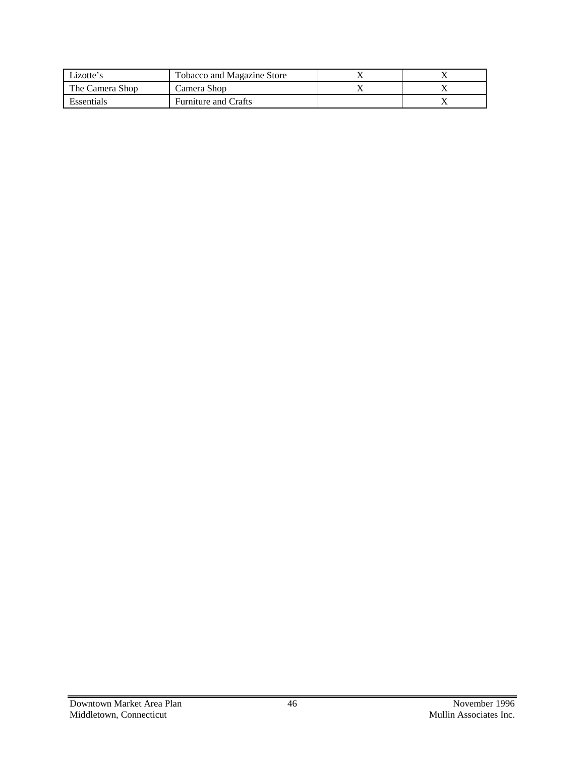| Lizotte's       | <b>Tobacco and Magazine Store</b> |  |
|-----------------|-----------------------------------|--|
| The Camera Shop | Camera Shop                       |  |
| Essentials      | <b>Furniture and Crafts</b>       |  |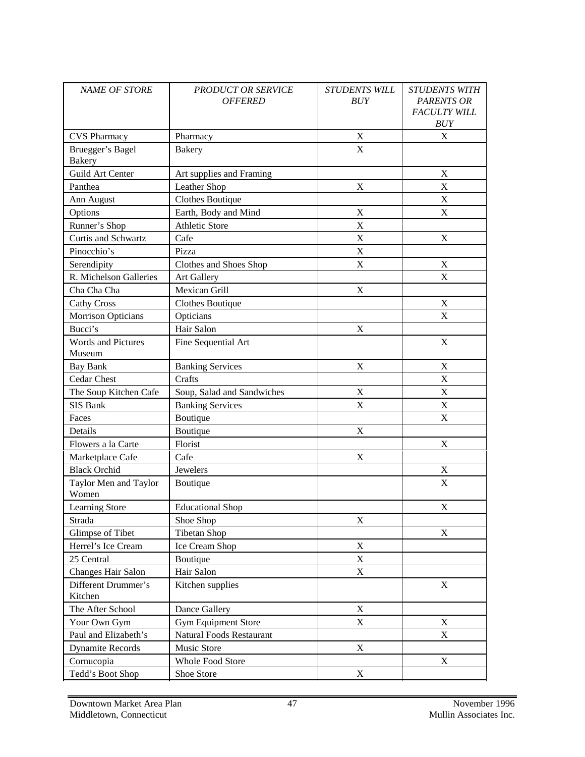| <b>NAME OF STORE</b>                | <b>PRODUCT OR SERVICE</b><br><b>OFFERED</b> | <b>STUDENTS WILL</b><br><b>BUY</b> | <b>STUDENTS WITH</b><br><b>PARENTS OR</b><br><b>FACULTY WILL</b><br><b>BUY</b> |
|-------------------------------------|---------------------------------------------|------------------------------------|--------------------------------------------------------------------------------|
| <b>CVS Pharmacy</b>                 | Pharmacy                                    | $\boldsymbol{\mathrm{X}}$          | X                                                                              |
| Bruegger's Bagel<br><b>Bakery</b>   | <b>Bakery</b>                               | X                                  |                                                                                |
| Guild Art Center                    | Art supplies and Framing                    |                                    | X                                                                              |
| Panthea                             | Leather Shop                                | $\boldsymbol{\mathrm{X}}$          | X                                                                              |
| Ann August                          | Clothes Boutique                            |                                    | X                                                                              |
| Options                             | Earth, Body and Mind                        | X                                  | X                                                                              |
| Runner's Shop                       | <b>Athletic Store</b>                       | X                                  |                                                                                |
| Curtis and Schwartz                 | Cafe                                        | X                                  | X                                                                              |
| Pinocchio's                         | Pizza                                       | X                                  |                                                                                |
| Serendipity                         | Clothes and Shoes Shop                      | X                                  | X                                                                              |
| R. Michelson Galleries              | Art Gallery                                 |                                    | X                                                                              |
| Cha Cha Cha                         | Mexican Grill                               | X                                  |                                                                                |
| <b>Cathy Cross</b>                  | Clothes Boutique                            |                                    | X                                                                              |
| Morrison Opticians                  | Opticians                                   |                                    | X                                                                              |
| Bucci's                             | Hair Salon                                  | X                                  |                                                                                |
| <b>Words and Pictures</b><br>Museum | Fine Sequential Art                         |                                    | $\mathbf X$                                                                    |
| <b>Bay Bank</b>                     | <b>Banking Services</b>                     | X                                  | X                                                                              |
| Cedar Chest                         | Crafts                                      |                                    | X                                                                              |
| The Soup Kitchen Cafe               | Soup, Salad and Sandwiches                  | X                                  | X                                                                              |
| SIS Bank                            | <b>Banking Services</b>                     | X                                  | $\mathbf X$                                                                    |
| Faces                               | Boutique                                    |                                    | X                                                                              |
| Details                             | Boutique                                    | X                                  |                                                                                |
| Flowers a la Carte                  | Florist                                     |                                    | X                                                                              |
| Marketplace Cafe                    | Cafe                                        | X                                  |                                                                                |
| <b>Black Orchid</b>                 | Jewelers                                    |                                    | $\mathbf X$                                                                    |
| Taylor Men and Taylor<br>Women      | Boutique                                    |                                    | X                                                                              |
| <b>Learning Store</b>               | <b>Educational Shop</b>                     |                                    | X                                                                              |
| Strada                              | Shoe Shop                                   | X                                  |                                                                                |
| Glimpse of Tibet                    | <b>Tibetan Shop</b>                         |                                    | $\mathbf X$                                                                    |
| Herrel's Ice Cream                  | Ice Cream Shop                              | $\mathbf X$                        |                                                                                |
| 25 Central                          | Boutique                                    | $\mathbf X$                        |                                                                                |
| Changes Hair Salon                  | Hair Salon                                  | $\mathbf X$                        |                                                                                |
| Different Drummer's<br>Kitchen      | Kitchen supplies                            |                                    | $\mathbf X$                                                                    |
| The After School                    | Dance Gallery                               | $\mathbf X$                        |                                                                                |
| Your Own Gym                        | <b>Gym Equipment Store</b>                  | $\mathbf X$                        | $\mathbf X$                                                                    |
| Paul and Elizabeth's                | Natural Foods Restaurant                    |                                    | $\mathbf X$                                                                    |
| <b>Dynamite Records</b>             | Music Store                                 | $\mathbf X$                        |                                                                                |
| Cornucopia                          | Whole Food Store                            |                                    | $\mathbf X$                                                                    |
| Tedd's Boot Shop                    | Shoe Store                                  | $\mathbf X$                        |                                                                                |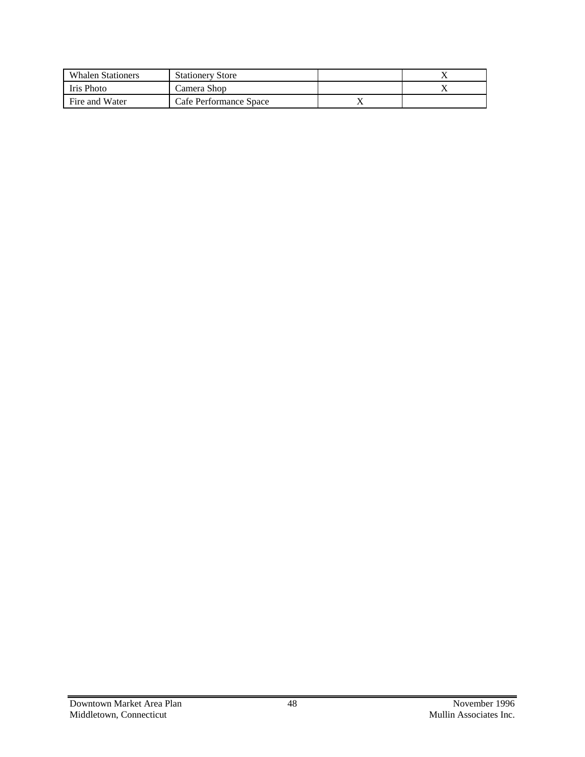| <b>Whalen Stationers</b> | <b>Stationery Store</b> |           |  |
|--------------------------|-------------------------|-----------|--|
| Iris Photo               | Camera Shop             |           |  |
| Fire and Water           | Cafe Performance Space  | $\lambda$ |  |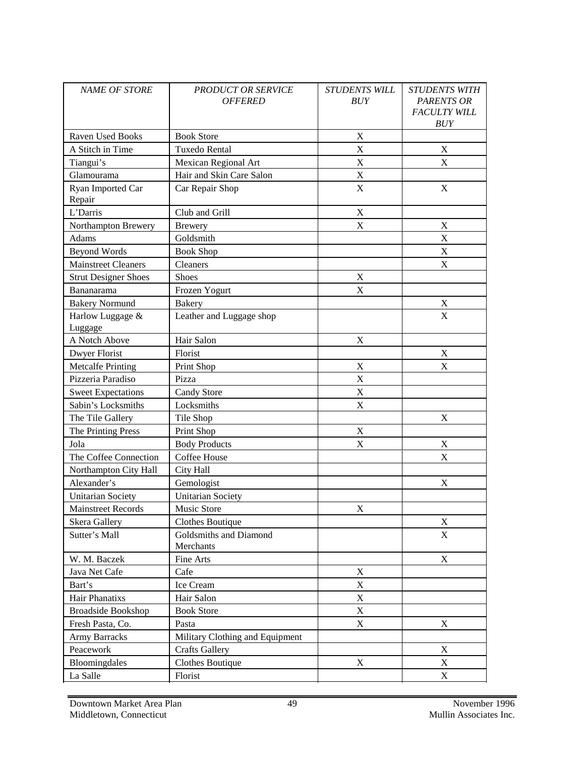| <b>NAME OF STORE</b>        | <b>PRODUCT OR SERVICE</b><br><b>OFFERED</b> | <b>STUDENTS WILL</b><br>BUY | <b>STUDENTS WITH</b><br><b>PARENTS OR</b><br><b>FACULTY WILL</b><br>BUY |
|-----------------------------|---------------------------------------------|-----------------------------|-------------------------------------------------------------------------|
| <b>Raven Used Books</b>     | <b>Book Store</b>                           | X                           |                                                                         |
| A Stitch in Time            | Tuxedo Rental                               | X                           | X                                                                       |
| Tiangui's                   | Mexican Regional Art                        | $\mathbf X$                 | X                                                                       |
| Glamourama                  | Hair and Skin Care Salon                    | $\mathbf X$                 |                                                                         |
| Ryan Imported Car<br>Repair | Car Repair Shop                             | $\mathbf X$                 | $\mathbf X$                                                             |
| L'Darris                    | Club and Grill                              | X                           |                                                                         |
| Northampton Brewery         | <b>Brewery</b>                              | X                           | X                                                                       |
| Adams                       | Goldsmith                                   |                             | X                                                                       |
| <b>Beyond Words</b>         | <b>Book Shop</b>                            |                             | $\mathbf X$                                                             |
| <b>Mainstreet Cleaners</b>  | Cleaners                                    |                             | X                                                                       |
| <b>Strut Designer Shoes</b> | <b>Shoes</b>                                | X                           |                                                                         |
| Bananarama                  | Frozen Yogurt                               | X                           |                                                                         |
| <b>Bakery Normund</b>       | <b>Bakery</b>                               |                             | $\mathbf X$                                                             |
| Harlow Luggage &            | Leather and Luggage shop                    |                             | X                                                                       |
| Luggage                     |                                             |                             |                                                                         |
| A Notch Above               | Hair Salon                                  | X                           |                                                                         |
| Dwyer Florist               | Florist                                     |                             | X                                                                       |
| <b>Metcalfe Printing</b>    | Print Shop                                  | X                           | X                                                                       |
| Pizzeria Paradiso           | Pizza                                       | X                           |                                                                         |
| <b>Sweet Expectations</b>   | <b>Candy Store</b>                          | $\mathbf X$                 |                                                                         |
| Sabin's Locksmiths          | Locksmiths                                  | X                           |                                                                         |
| The Tile Gallery            | Tile Shop                                   |                             | X                                                                       |
| The Printing Press          | Print Shop                                  | $\mathbf X$                 |                                                                         |
| Jola                        | <b>Body Products</b>                        | $\mathbf X$                 | $\mathbf X$                                                             |
| The Coffee Connection       | Coffee House                                |                             | $\mathbf X$                                                             |
| Northampton City Hall       | City Hall                                   |                             |                                                                         |
| Alexander's                 | Gemologist                                  |                             | $\mathbf X$                                                             |
| <b>Unitarian Society</b>    | <b>Unitarian Society</b>                    |                             |                                                                         |
| <b>Mainstreet Records</b>   | Music Store                                 | X                           |                                                                         |
| Skera Gallery               | Clothes Boutique                            |                             | X                                                                       |
| Sutter's Mall               | Goldsmiths and Diamond<br>Merchants         |                             | X                                                                       |
| W. M. Baczek                | Fine Arts                                   |                             | X                                                                       |
| Java Net Cafe               | Cafe                                        | X                           |                                                                         |
| Bart's                      | Ice Cream                                   | X                           |                                                                         |
| Hair Phanatixs              | Hair Salon                                  | $\mathbf X$                 |                                                                         |
| <b>Broadside Bookshop</b>   | <b>Book Store</b>                           | X                           |                                                                         |
| Fresh Pasta, Co.            | Pasta                                       | X                           | X                                                                       |
| Army Barracks               | Military Clothing and Equipment             |                             |                                                                         |
| Peacework                   | <b>Crafts Gallery</b>                       |                             | X                                                                       |
| Bloomingdales               | <b>Clothes Boutique</b>                     | X                           | X                                                                       |
| La Salle                    | Florist                                     |                             | X                                                                       |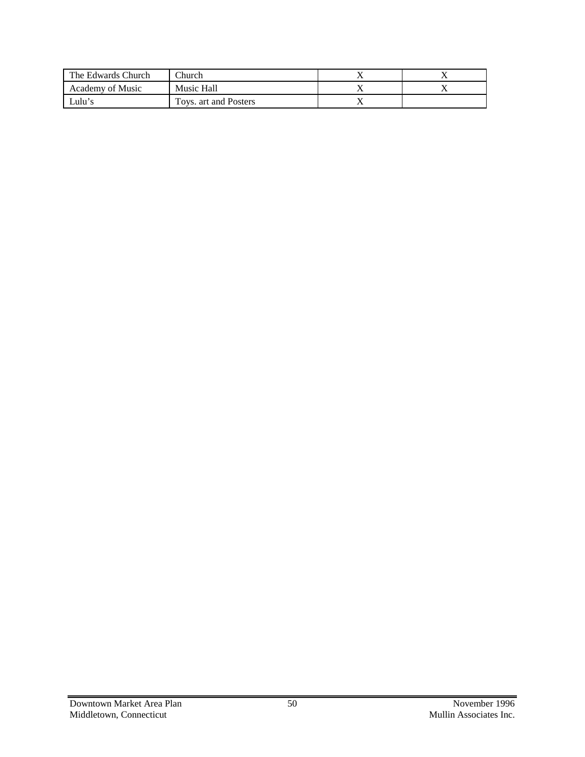| The Edwards Church | $\Gamma$ hurch        |  |
|--------------------|-----------------------|--|
| Academy of Music   | Music Hall            |  |
| ∟ulu's             | Toys. art and Posters |  |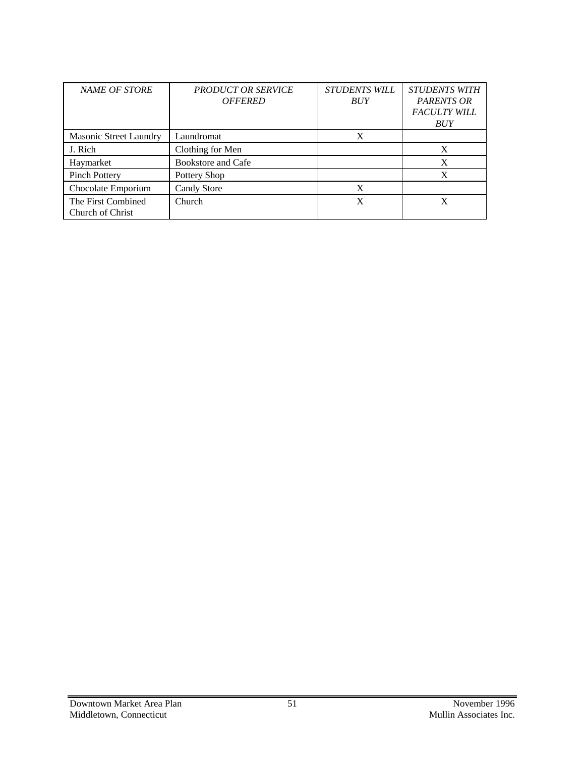| NAME OF STORE                          | <b>PRODUCT OR SERVICE</b><br><b>OFFERED</b> | <b>STUDENTS WILL</b><br><b>BUY</b> | <b>STUDENTS WITH</b><br><b>PARENTS OR</b><br><b>FACULTY WILL</b><br><b>BUY</b> |
|----------------------------------------|---------------------------------------------|------------------------------------|--------------------------------------------------------------------------------|
| <b>Masonic Street Laundry</b>          | Laundromat                                  | X                                  |                                                                                |
| J. Rich                                | Clothing for Men                            |                                    | X                                                                              |
| Haymarket                              | Bookstore and Cafe                          |                                    | X                                                                              |
| <b>Pinch Pottery</b>                   | Pottery Shop                                |                                    | X                                                                              |
| Chocolate Emporium                     | Candy Store                                 | X                                  |                                                                                |
| The First Combined<br>Church of Christ | Church                                      | X                                  |                                                                                |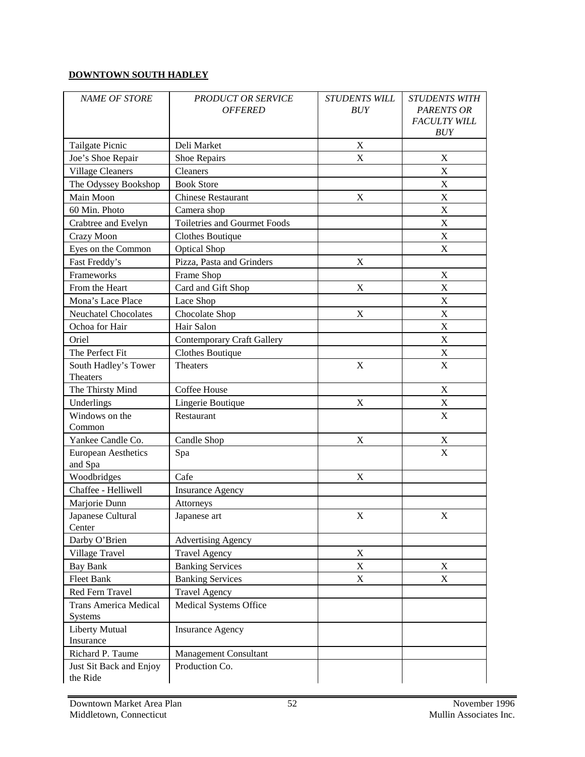#### **DOWNTOWN SOUTH HADLEY**

| <b>NAME OF STORE</b>                  | <b>PRODUCT OR SERVICE</b><br><b>OFFERED</b> | <b>STUDENTS WILL</b><br><b>BUY</b> | <b>STUDENTS WITH</b><br><b>PARENTS OR</b><br><b>FACULTY WILL</b><br>BUY |
|---------------------------------------|---------------------------------------------|------------------------------------|-------------------------------------------------------------------------|
| Tailgate Picnic                       | Deli Market                                 | X                                  |                                                                         |
| Joe's Shoe Repair                     | Shoe Repairs                                | X                                  | X                                                                       |
| <b>Village Cleaners</b>               | Cleaners                                    |                                    | X                                                                       |
| The Odyssey Bookshop                  | <b>Book Store</b>                           |                                    | X                                                                       |
| Main Moon                             | <b>Chinese Restaurant</b>                   | X                                  | X                                                                       |
| 60 Min. Photo                         | Camera shop                                 |                                    | X                                                                       |
| Crabtree and Evelyn                   | <b>Toiletries and Gourmet Foods</b>         |                                    | X                                                                       |
| Crazy Moon                            | Clothes Boutique                            |                                    | $\mathbf X$                                                             |
| Eyes on the Common                    | <b>Optical Shop</b>                         |                                    | $\mathbf X$                                                             |
| Fast Freddy's                         | Pizza, Pasta and Grinders                   | $\mathbf X$                        |                                                                         |
| Frameworks                            | Frame Shop                                  |                                    | $\mathbf X$                                                             |
| From the Heart                        | Card and Gift Shop                          | $\mathbf X$                        | $\boldsymbol{\mathrm{X}}$                                               |
| Mona's Lace Place                     | Lace Shop                                   |                                    | $\mathbf X$                                                             |
| <b>Neuchatel Chocolates</b>           | Chocolate Shop                              | $\mathbf X$                        | $\mathbf X$                                                             |
| Ochoa for Hair                        | Hair Salon                                  |                                    | X                                                                       |
| Oriel                                 | <b>Contemporary Craft Gallery</b>           |                                    | $\mathbf X$                                                             |
| The Perfect Fit                       | <b>Clothes Boutique</b>                     |                                    | $\mathbf X$                                                             |
| South Hadley's Tower<br>Theaters      | <b>Theaters</b>                             | X                                  | $\mathbf X$                                                             |
| The Thirsty Mind                      | Coffee House                                |                                    | X                                                                       |
| Underlings                            | Lingerie Boutique                           | X                                  | $\mathbf X$                                                             |
| Windows on the                        | Restaurant                                  |                                    | $\mathbf X$                                                             |
| Common                                |                                             |                                    |                                                                         |
| Yankee Candle Co.                     | Candle Shop                                 | X                                  | $\mathbf X$                                                             |
| <b>European Aesthetics</b><br>and Spa | Spa                                         |                                    | X                                                                       |
| Woodbridges                           | Cafe                                        | $\mathbf X$                        |                                                                         |
| Chaffee - Helliwell                   | <b>Insurance Agency</b>                     |                                    |                                                                         |
| Marjorie Dunn                         | Attorneys                                   |                                    |                                                                         |
| Japanese Cultural<br>Center           | Japanese art                                | $\mathbf X$                        | X                                                                       |
| Darby O'Brien                         | <b>Advertising Agency</b>                   |                                    |                                                                         |
| Village Travel                        | <b>Travel Agency</b>                        | X                                  |                                                                         |
| <b>Bay Bank</b>                       | <b>Banking Services</b>                     | $\mathbf X$                        | X                                                                       |
| Fleet Bank                            | <b>Banking Services</b>                     | X                                  | X                                                                       |
| Red Fern Travel                       | <b>Travel Agency</b>                        |                                    |                                                                         |
| <b>Trans America Medical</b>          | Medical Systems Office                      |                                    |                                                                         |
| Systems                               |                                             |                                    |                                                                         |
| Liberty Mutual                        | <b>Insurance Agency</b>                     |                                    |                                                                         |
| Insurance                             |                                             |                                    |                                                                         |
| Richard P. Taume                      | <b>Management Consultant</b>                |                                    |                                                                         |
| Just Sit Back and Enjoy               | Production Co.                              |                                    |                                                                         |
| the Ride                              |                                             |                                    |                                                                         |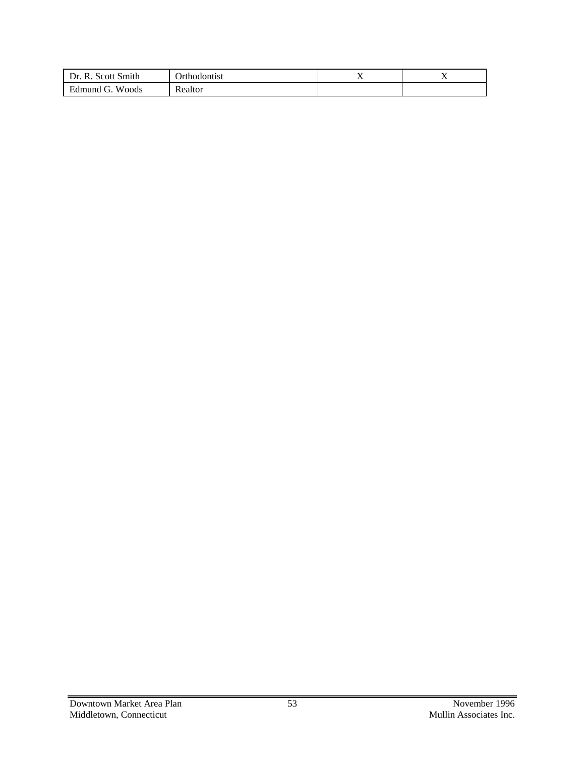| Scott Smith<br>R.<br>Dr.                                     | Jrthodontist  | . . | . . |
|--------------------------------------------------------------|---------------|-----|-----|
| Woods<br>$\sqrt{ }$<br>Edmund<br>$\tilde{\phantom{a}}$<br>U. | n.<br>Realtor |     |     |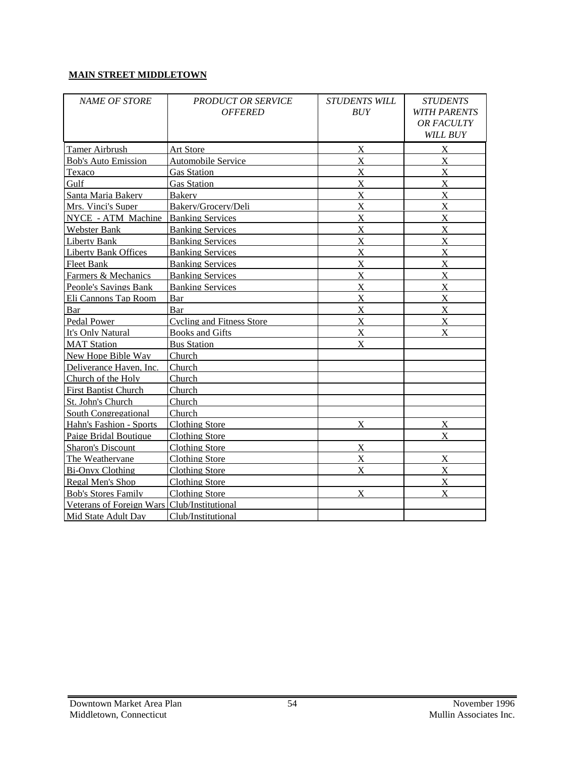#### **MAIN STREET MIDDLETOWN**

| <b>NAME OF STORE</b>                        | <b>PRODUCT OR SERVICE</b><br><b>OFFERED</b> | <b>STUDENTS WILL</b><br>BUY | <b>STUDENTS</b><br><b>WITH PARENTS</b><br>OR FACULTY<br><b>WILL BUY</b> |
|---------------------------------------------|---------------------------------------------|-----------------------------|-------------------------------------------------------------------------|
| <b>Tamer Airbrush</b>                       | <b>Art Store</b>                            | $\boldsymbol{\mathrm{X}}$   | $\bf{X}$                                                                |
| <b>Bob's Auto Emission</b>                  | Automobile Service                          | $\boldsymbol{\mathrm{X}}$   | $\boldsymbol{\mathrm{X}}$                                               |
| Texaco                                      | <b>Gas Station</b>                          | X                           | X                                                                       |
| Gulf                                        | <b>Gas Station</b>                          | $\boldsymbol{\mathrm{X}}$   | $\boldsymbol{\mathrm{X}}$                                               |
| Santa Maria Bakery                          | <b>Bakery</b>                               | $\bf{X}$                    | $\bf{X}$                                                                |
| Mrs. Vinci's Super                          | Bakerv/Grocerv/Deli                         | $\bf{X}$                    | $\mathbf X$                                                             |
| NYCE - ATM Machine                          | <b>Banking Services</b>                     | $\mathbf X$                 | $\boldsymbol{\mathrm{X}}$                                               |
| Webster Bank                                | <b>Banking Services</b>                     | $\boldsymbol{\mathrm{X}}$   | X                                                                       |
| Liberty Bank                                | <b>Banking Services</b>                     | X                           | X                                                                       |
| <b>Liberty Bank Offices</b>                 | <b>Banking Services</b>                     | X                           | $\boldsymbol{\mathrm{X}}$                                               |
| Fleet Bank                                  | <b>Banking Services</b>                     | X                           | X                                                                       |
| Farmers & Mechanics                         | <b>Banking Services</b>                     | X                           | X                                                                       |
| <b>People's Savings Bank</b>                | <b>Banking Services</b>                     | X                           | $\boldsymbol{\mathrm{X}}$                                               |
| Eli Cannons Tap Room                        | <b>Bar</b>                                  | X                           | $\mathbf X$                                                             |
| Bar                                         | Bar                                         | X                           | $\overline{X}$                                                          |
| Pedal Power                                 | <b>Cycling and Fitness Store</b>            | $\bf{X}$                    | $\bf{X}$                                                                |
| It's Only Natural                           | <b>Books and Gifts</b>                      | X                           | $\mathbf x$                                                             |
| <b>MAT Station</b>                          | <b>Bus Station</b>                          | X                           |                                                                         |
| New Hope Bible Wav                          | Church                                      |                             |                                                                         |
| Deliverance Haven. Inc.                     | Church                                      |                             |                                                                         |
| Church of the Holv                          | Church                                      |                             |                                                                         |
| <b>First Baptist Church</b>                 | Church                                      |                             |                                                                         |
| St. John's Church                           | Church                                      |                             |                                                                         |
| <b>South Congregational</b>                 | Church                                      |                             |                                                                         |
| Hahn's Fashion - Sports                     | <b>Clothing Store</b>                       | X                           | $\overline{\text{X}}$                                                   |
| Paige Bridal Boutique                       | <b>Clothing Store</b>                       |                             | X                                                                       |
| <b>Sharon's Discount</b>                    | <b>Clothing Store</b>                       | X                           |                                                                         |
| The Weathervane                             | <b>Clothing Store</b>                       | X                           | $\boldsymbol{\mathrm{X}}$                                               |
| <b>Bi-Onvx Clothing</b>                     | <b>Clothing Store</b>                       | X                           | X                                                                       |
| Regal Men's Shop                            | <b>Clothing Store</b>                       |                             | $\boldsymbol{\mathrm{X}}$                                               |
| <b>Bob's Stores Family</b>                  | <b>Clothing Store</b>                       | $\mathbf{X}$                | $\mathbf{X}$                                                            |
| Veterans of Foreign Wars Club/Institutional |                                             |                             |                                                                         |
| Mid State Adult Dav                         | Club/Institutional                          |                             |                                                                         |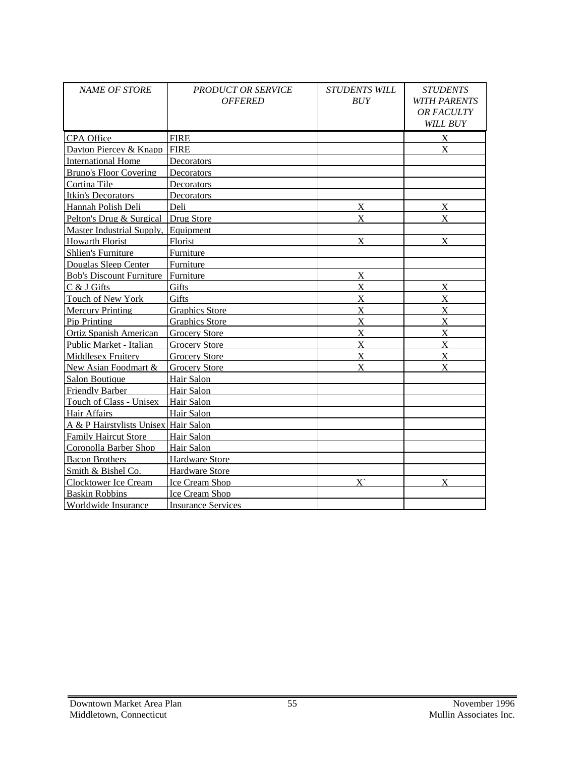| NAME OF STORE                        | <b>PRODUCT OR SERVICE</b><br><b>OFFERED</b> | <b>STUDENTS WILL</b><br><b>BUY</b> | <b>STUDENTS</b><br><b>WITH PARENTS</b><br><b>OR FACULTY</b><br>WILL BUY |
|--------------------------------------|---------------------------------------------|------------------------------------|-------------------------------------------------------------------------|
| <b>CPA</b> Office                    | <b>FIRE</b>                                 |                                    | $\overline{X}$                                                          |
| Davton Piercey & Knapp               | <b>FIRE</b>                                 |                                    | $\mathbf{X}$                                                            |
| <b>International Home</b>            | Decorators                                  |                                    |                                                                         |
| <b>Bruno's Floor Covering</b>        | Decorators                                  |                                    |                                                                         |
| Cortina Tile                         | Decorators                                  |                                    |                                                                         |
| Itkin's Decorators                   | Decorators                                  |                                    |                                                                         |
| Hannah Polish Deli                   | Deli                                        | $\boldsymbol{\mathrm{X}}$          | X                                                                       |
| Pelton's Drug & Surgical Drug Store  |                                             | $\mathbf{X}$                       | $\mathbf{X}$                                                            |
| Master Industrial Supply.            | Equipment                                   |                                    |                                                                         |
| <b>Howarth Florist</b>               | Florist                                     | X                                  | $\mathbf{X}$                                                            |
| <b>Shlien's Furniture</b>            | Furniture                                   |                                    |                                                                         |
| Douglas Sleep Center                 | Furniture                                   |                                    |                                                                         |
| <b>Bob's Discount Furniture</b>      | Furniture                                   | $\bf{X}$                           |                                                                         |
| C & J Gifts                          | Gifts                                       | $\mathbf X$                        | $\boldsymbol{\mathrm{X}}$                                               |
| Touch of New York                    | Gifts                                       | X                                  | X                                                                       |
| <b>Mercury Printing</b>              | <b>Graphics Store</b>                       | X                                  | X                                                                       |
| Pip Printing                         | <b>Graphics Store</b>                       | X                                  | X                                                                       |
| <b>Ortiz Spanish American</b>        | <b>Grocery Store</b>                        | X                                  | X                                                                       |
| Public Market - Italian              | <b>Grocery Store</b>                        | $\boldsymbol{\mathrm{X}}$          | X                                                                       |
| <b>Middlesex Fruitery</b>            | <b>Grocery Store</b>                        | $\mathbf X$                        | X                                                                       |
| New Asian Foodmart &                 | <b>Grocery Store</b>                        | $\mathbf{X}$                       | $\mathbf{X}$                                                            |
| <b>Salon Boutique</b>                | Hair Salon                                  |                                    |                                                                         |
| Friendly Barber                      | Hair Salon                                  |                                    |                                                                         |
| Touch of Class - Unisex              | Hair Salon                                  |                                    |                                                                         |
| Hair Affairs                         | Hair Salon                                  |                                    |                                                                         |
| A & P Hairstylists Unisex Hair Salon |                                             |                                    |                                                                         |
| <b>Family Haircut Store</b>          | Hair Salon                                  |                                    |                                                                         |
| Coronolla Barber Shop                | Hair Salon                                  |                                    |                                                                         |
| <b>Bacon Brothers</b>                | <b>Hardware Store</b>                       |                                    |                                                                         |
| Smith & Bishel Co.                   | <b>Hardware Store</b>                       |                                    |                                                                         |
| Clocktower Ice Cream                 | Ice Cream Shop                              | $\overline{X}$                     | X                                                                       |
| <b>Baskin Robbins</b>                | Ice Cream Shop                              |                                    |                                                                         |
| Worldwide Insurance                  | <b>Insurance Services</b>                   |                                    |                                                                         |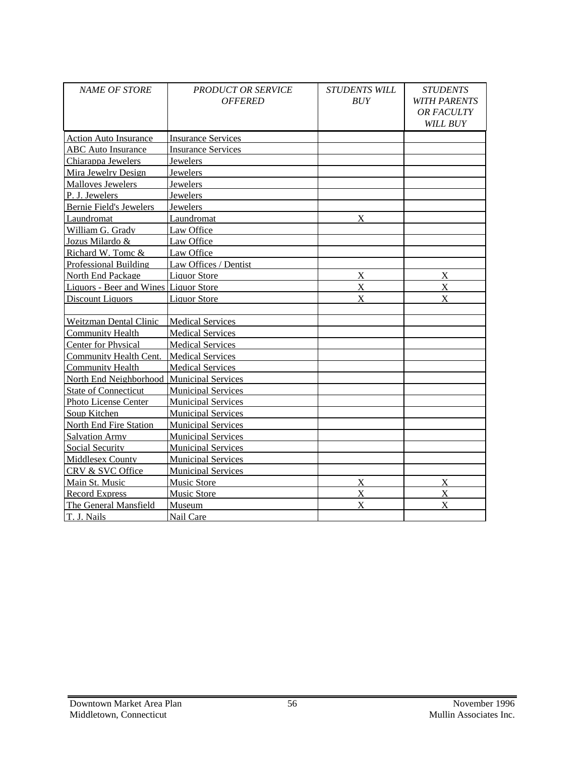| <b>NAME OF STORE</b>                      | <b>PRODUCT OR SERVICE</b><br><b>OFFERED</b> | <b>STUDENTS WILL</b><br>BUY | <b>STUDENTS</b><br><b>WITH PARENTS</b><br>OR FACULTY<br>WILL BUY |
|-------------------------------------------|---------------------------------------------|-----------------------------|------------------------------------------------------------------|
| <b>Action Auto Insurance</b>              | <b>Insurance Services</b>                   |                             |                                                                  |
| <b>ABC</b> Auto Insurance                 | <b>Insurance Services</b>                   |                             |                                                                  |
| Chiarappa Jewelers                        | <b>Jewelers</b>                             |                             |                                                                  |
| Mira Jewelry Design                       | Jewelers                                    |                             |                                                                  |
| <b>Malloves Jewelers</b>                  | Jewelers                                    |                             |                                                                  |
| P. J. Jewelers                            | Jewelers                                    |                             |                                                                  |
| <b>Bernie Field's Jewelers</b>            | Jewelers                                    |                             |                                                                  |
| Laundromat                                | Laundromat                                  | X                           |                                                                  |
| William G. Gradv                          | Law Office                                  |                             |                                                                  |
| Jozus Milardo &                           | Law Office                                  |                             |                                                                  |
| Richard W. Tomc &                         | Law Office                                  |                             |                                                                  |
| Professional Building                     | Law Offices / Dentist                       |                             |                                                                  |
| North End Package                         | <b>Liquor Store</b>                         | $\bf{X}$                    | $\overline{X}$                                                   |
| Liquors - Beer and Wines Liquor Store     |                                             | X                           | X                                                                |
| <b>Discount Liquors</b>                   | <b>Liquor Store</b>                         | $\mathbf{X}$                | $\mathbf x$                                                      |
|                                           |                                             |                             |                                                                  |
| <b>Weitzman Dental Clinic</b>             | <b>Medical Services</b>                     |                             |                                                                  |
| <b>Community Health</b>                   | <b>Medical Services</b>                     |                             |                                                                  |
| <b>Center for Physical</b>                | <b>Medical Services</b>                     |                             |                                                                  |
| <b>Community Health Cent.</b>             | <b>Medical Services</b>                     |                             |                                                                  |
| <b>Community Health</b>                   | <b>Medical Services</b>                     |                             |                                                                  |
| North End Neighborhood Municipal Services |                                             |                             |                                                                  |
| <b>State of Connecticut</b>               | <b>Municipal Services</b>                   |                             |                                                                  |
| Photo License Center                      | <b>Municipal Services</b>                   |                             |                                                                  |
| Soup Kitchen                              | <b>Municipal Services</b>                   |                             |                                                                  |
| <b>North End Fire Station</b>             | <b>Municipal Services</b>                   |                             |                                                                  |
| <b>Salvation Army</b>                     | <b>Municipal Services</b>                   |                             |                                                                  |
| <b>Social Security</b>                    | <b>Municipal Services</b>                   |                             |                                                                  |
| <b>Middlesex County</b>                   | <b>Municipal Services</b>                   |                             |                                                                  |
| CRV & SVC Office                          | <b>Municipal Services</b>                   |                             |                                                                  |
| Main St. Music                            | <b>Music Store</b>                          | X                           | X                                                                |
| <b>Record Express</b>                     | <b>Music Store</b>                          | X                           | X                                                                |
| The General Mansfield                     | Museum                                      | X                           | X                                                                |
| T. J. Nails                               | Nail Care                                   |                             |                                                                  |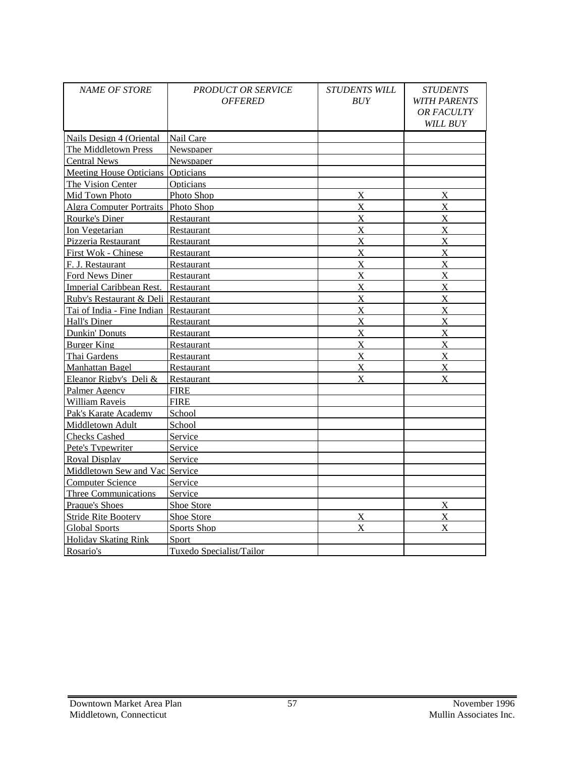| <b>NAME OF STORE</b>                | <b>PRODUCT OR SERVICE</b><br><b>OFFERED</b> | STUDENTS WILL<br><b>BUY</b> | <b>STUDENTS</b><br><b>WITH PARENTS</b><br><b>OR FACULTY</b><br>WILL BUY |
|-------------------------------------|---------------------------------------------|-----------------------------|-------------------------------------------------------------------------|
| Nails Design 4 (Oriental            | Nail Care                                   |                             |                                                                         |
| The Middletown Press                | Newspaper                                   |                             |                                                                         |
| <b>Central News</b>                 | Newspaper                                   |                             |                                                                         |
| Meeting House Opticians Opticians   |                                             |                             |                                                                         |
| The Vision Center                   | Opticians                                   |                             |                                                                         |
| Mid Town Photo                      | Photo Shop                                  | X                           | X                                                                       |
| Algra Computer Portraits Photo Shop |                                             | $\mathbf X$                 | $\mathbf X$                                                             |
| Rourke's Diner                      | Restaurant                                  | $\mathbf X$                 | X                                                                       |
| Ion Vegetarian                      | Restaurant                                  | $\mathbf X$                 | X                                                                       |
| Pizzeria Restaurant                 | Restaurant                                  | $\overline{X}$              | $\bf{X}$                                                                |
| First Wok - Chinese                 | Restaurant                                  | X                           | X                                                                       |
| F. J. Restaurant                    | Restaurant                                  | X                           | X                                                                       |
| Ford News Diner                     | Restaurant                                  | $\mathbf X$                 | X                                                                       |
| Imperial Caribbean Rest.            | Restaurant                                  | $\overline{X}$              | $\boldsymbol{\mathrm{X}}$                                               |
| Ruby's Restaurant & Deli Restaurant |                                             | $\overline{X}$              | $\mathbf X$                                                             |
| Tai of India - Fine Indian          | Restaurant                                  | X                           | $\mathbf{X}$                                                            |
| Hall's Diner                        | Restaurant                                  | X                           | X                                                                       |
| Dunkin' Donuts                      | Restaurant                                  | $\overline{X}$              | X                                                                       |
| <b>Burger King</b>                  | Restaurant                                  | $\overline{X}$              | $\boldsymbol{\mathrm{X}}$                                               |
| Thai Gardens                        | Restaurant                                  | $\bf{X}$                    | $\boldsymbol{\mathrm{X}}$                                               |
| Manhattan Bagel                     | Restaurant                                  | X                           | $\mathbf{X}$                                                            |
| Eleanor Rigby's Deli &              | Restaurant                                  | $\mathbf{X}$                | $\mathbf x$                                                             |
| Palmer Agency                       | <b>FIRE</b>                                 |                             |                                                                         |
| <b>William Raveis</b>               | <b>FIRE</b>                                 |                             |                                                                         |
| Pak's Karate Academy                | School                                      |                             |                                                                         |
| Middletown Adult                    | School                                      |                             |                                                                         |
| <b>Checks Cashed</b>                | Service                                     |                             |                                                                         |
| Pete's Typewriter                   | Service                                     |                             |                                                                         |
| Roval Display                       | Service                                     |                             |                                                                         |
| Middletown Sew and Vac Service      |                                             |                             |                                                                         |
| <b>Computer Science</b>             | Service                                     |                             |                                                                         |
| <b>Three Communications</b>         | Service                                     |                             |                                                                         |
| <b>Praque's Shoes</b>               | <b>Shoe Store</b>                           |                             | $\overline{X}$                                                          |
| <b>Stride Rite Bootery</b>          | Shoe Store                                  | $\overline{X}$              | $\boldsymbol{\mathrm{X}}$                                               |
| <b>Global Sports</b>                | Sports Shop                                 | $\mathbf X$                 | X                                                                       |
| <b>Holidav Skating Rink</b>         | Sport                                       |                             |                                                                         |
| Rosario's                           | Tuxedo Specialist/Tailor                    |                             |                                                                         |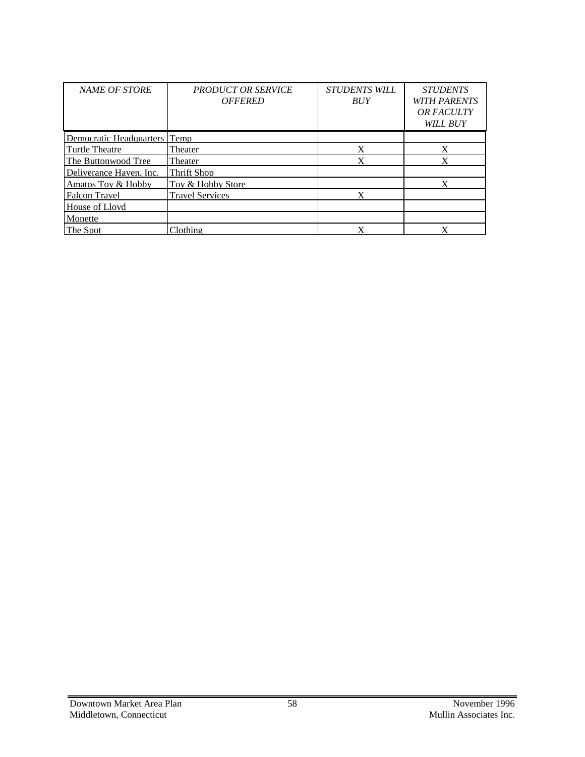| <b>NAME OF STORE</b>         | <b>PRODUCT OR SERVICE</b><br><b>OFFERED</b> | <b>STUDENTS WILL</b><br><b>BUY</b> | <b>STUDENTS</b><br><b>WITH PARENTS</b><br><b>OR FACULTY</b><br><b>WILL BUY</b> |
|------------------------------|---------------------------------------------|------------------------------------|--------------------------------------------------------------------------------|
| Democratic Headquarters Temp |                                             |                                    |                                                                                |
| Turtle Theatre               | Theater                                     |                                    |                                                                                |
| The Buttonwood Tree          | Theater                                     |                                    |                                                                                |
| Deliverance Haven, Inc.      | Thrift Shop                                 |                                    |                                                                                |
| Amatos Tov & Hobby           | Tov & Hobby Store                           |                                    |                                                                                |
| <b>Falcon Travel</b>         | <b>Travel Services</b>                      |                                    |                                                                                |
| House of Lloyd               |                                             |                                    |                                                                                |
| Monette                      |                                             |                                    |                                                                                |
| The Spot                     | Clothing                                    |                                    |                                                                                |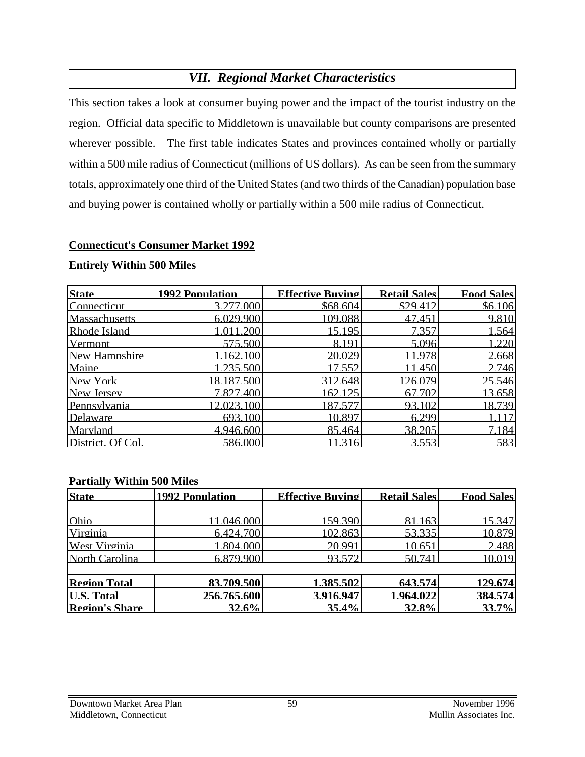# *VII. Regional Market Characteristics*

This section takes a look at consumer buying power and the impact of the tourist industry on the region. Official data specific to Middletown is unavailable but county comparisons are presented wherever possible. The first table indicates States and provinces contained wholly or partially within a 500 mile radius of Connecticut (millions of US dollars). As can be seen from the summary totals, approximately one third of the United States (and two thirds of the Canadian) population base and buying power is contained wholly or partially within a 500 mile radius of Connecticut.

#### **Connecticut's Consumer Market 1992**

| <b>State</b>      | 1992 Population | <b>Effective Buving</b> | <b>Retail Sales</b> | <b>Food Sales</b> |
|-------------------|-----------------|-------------------------|---------------------|-------------------|
| Connecticut       | 3.277.000       | \$68.604                | \$29.412            | \$6.106           |
| Massachusetts     | 6.029.900       | 109.088                 | 47.451              | 9.810             |
| Rhode Island      | 1.011.200       | 15.195                  | 7.357               | 1.564             |
| Vermont           | 575.500         | 8.191                   | 5.096               | 1.220             |
| New Hampshire     | 1.162.100       | 20.029                  | 11.978              | 2.668             |
| Maine             | 1.235.500       | 17.552                  | 11.450              | 2.746             |
| New York          | 18.187.500      | 312.648                 | 126.079             | 25.546            |
| New Jersey        | 7.827.400       | 162.125                 | 67.702              | 13.658            |
| Pennsylvania      | 12.023.100      | 187.577                 | 93.102              | 18.739            |
| Delaware          | 693.100         | 10.897                  | 6.299               |                   |
| Maryland          | 4.946.600       | 85.464                  | 38.205              | 7.184             |
| District. Of Col. | 586.000         | 316                     | 3553                | 583               |

#### **Entirely Within 500 Miles**

#### **Partially Within 500 Miles**

| <b>State</b>         | <b>1992 Population</b> | <b>Effective Buving</b> | <b>Retail Sales</b> | <b>Food Sales</b> |
|----------------------|------------------------|-------------------------|---------------------|-------------------|
|                      |                        |                         |                     |                   |
| Ohio                 | 11.046.000             | 159.390                 | 81.163              | 15.347            |
| Virginia             | 6.424.700              | 102.863                 | 53.335              | 10.879            |
| <b>West Virginia</b> | 1.804.000              | 20.991                  | 10.651              | 2.488             |
| North Carolina       | 6.879.900              | 93.572                  | 50.741              | 10.019            |
| <b>Region Total</b>  | 83.709.500             | 1.385.502               | 643.574             | 129.674           |
| <b>II.S. Total</b>   | 256.765.600            | 3.916.947               | 1.964.022           | 384.574           |
| Region's Share       | 32.6%                  | 35.4%                   | 32.8%               | 33.7%             |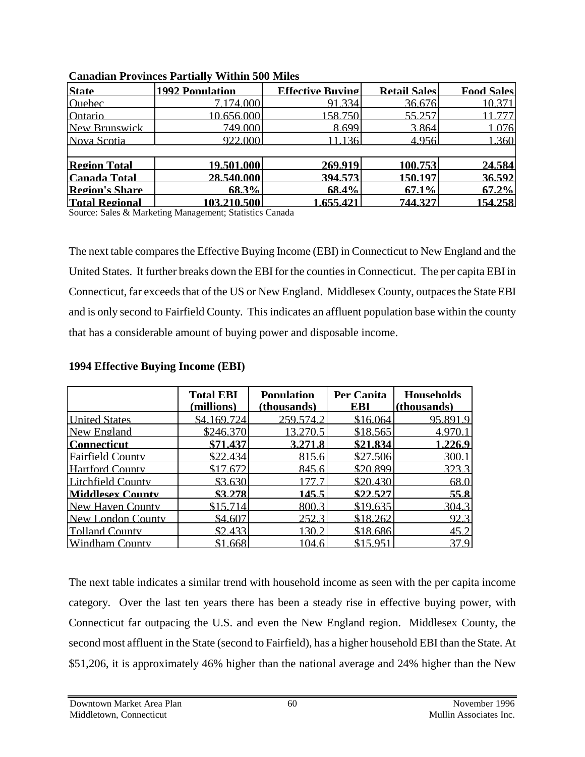| <b>State</b>          | <b>1992 Population</b> | <b>Effective Buving</b> | <b>Retail Sales</b> | <b>Food Sales</b> |
|-----------------------|------------------------|-------------------------|---------------------|-------------------|
| <b>Ouebec</b>         | 7.174.000              | 91.334                  | 36.676              | 10.371            |
| Ontario               | 10.656.000             | 158.750                 | 55.257              | 777               |
| New Brunswick         | 749.000                | 8.699                   | 3.864               | 1.076             |
| Nova Scotia           | 922.000                | -1361                   | 4.956               | 1.360             |
|                       |                        |                         |                     |                   |
| <b>Region Total</b>   | 19.501.000             | 269.919                 | 100.753             | 24.584            |
| <b>Canada Total</b>   | 28.540.000             | 394.573                 | 150.197             | 36.592            |
| <b>Region's Share</b> | 68.3%                  | 68.4%                   | 67.1%               | 67.2%             |
| <b>Total Regional</b> | 103.210.500            | 1.655.421               | 744.327             | 154.258           |

#### **Canadian Provinces Partially Within 500 Miles**

Source: Sales & Marketing Management; Statistics Canada

The next table compares the Effective Buying Income (EBI) in Connecticut to New England and the United States. It further breaks down the EBI for the counties in Connecticut. The per capita EBI in Connecticut, far exceeds that of the US or New England. Middlesex County, outpaces the State EBI and is only second to Fairfield County. This indicates an affluent population base within the county that has a considerable amount of buying power and disposable income.

|                         | <b>Total EBI</b><br>(millions) | <b>Population</b><br>(thousands) | Per Canita<br>EBI | <b>Households</b><br>(thousands) |
|-------------------------|--------------------------------|----------------------------------|-------------------|----------------------------------|
| <b>United States</b>    | \$4.169.724                    | 259.574.2                        | \$16.064          | 95.891.9                         |
| New England             | \$246.370                      | 13.270.5                         | \$18.565          | 4.970.1                          |
| l Connecticut           | \$71.437                       | 3.271.8                          | \$21.834          | 1.226.9                          |
| <b>Fairfield County</b> | \$22.434                       | 815.6                            | \$27.506          | 300.1                            |
| Hartford County         | \$17.672                       | 845.6                            | \$20.899          | 323.3                            |
| Litchfield County       | \$3.630                        | 1777                             | \$20.430          | 68.0                             |
| <b>Middlesex County</b> | \$3.278                        | 145.5                            | \$22.527          | 55.8                             |
| New Haven County        | \$15714                        | 800.3                            | \$19.635          | 304.3                            |
| New London County       | \$4.607                        | 252.3                            | \$18.262          | 92.3                             |
| <b>Tolland County</b>   | \$2.433                        | 130 2                            | \$18.686          | 45.2                             |
| Windham County          | \$1.668                        | 104.6                            | \$15.951          | 37.9                             |

#### **1994 Effective Buying Income (EBI)**

The next table indicates a similar trend with household income as seen with the per capita income category. Over the last ten years there has been a steady rise in effective buying power, with Connecticut far outpacing the U.S. and even the New England region. Middlesex County, the second most affluent in the State (second to Fairfield), has a higher household EBI than the State. At \$51,206, it is approximately 46% higher than the national average and 24% higher than the New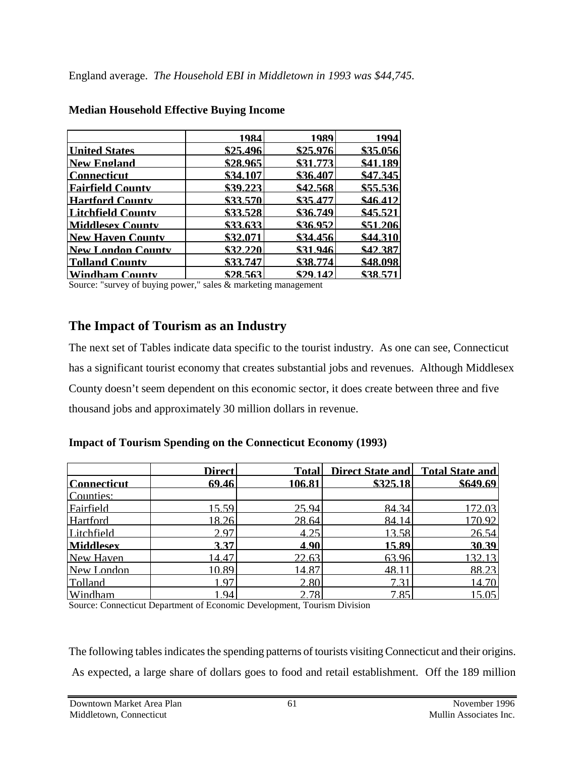|                          | 1984     | 1989     | 1994     |
|--------------------------|----------|----------|----------|
| <b>United States</b>     | \$25.496 | \$25.976 | \$35.056 |
| <b>New England</b>       | \$28.965 | \$31.773 | \$41.189 |
| <b>Connecticut</b>       | \$34.107 | \$36.407 | \$47.345 |
| <b>Fairfield County</b>  | \$39.223 | \$42.568 | \$55.536 |
| <b>Hartford County</b>   | \$33.570 | \$35.477 | \$46.412 |
| <b>Litchfield County</b> | \$33.528 | \$36.749 | \$45.521 |
| <b>Middlesex County</b>  | \$33.633 | \$36.952 | \$51.206 |
| <b>New Haven County</b>  | \$32.071 | \$34.456 | \$44.310 |
| <b>New London County</b> | \$32.220 | \$31.946 | \$42.387 |
| <b>Tolland County</b>    | \$33.747 | \$38.774 | \$48.098 |
| <b>Windham County</b>    | \$28.563 | \$29.142 | \$38.571 |

#### **Median Household Effective Buying Income**

Source: "survey of buying power," sales & marketing management

## **The Impact of Tourism as an Industry**

The next set of Tables indicate data specific to the tourist industry. As one can see, Connecticut has a significant tourist economy that creates substantial jobs and revenues. Although Middlesex County doesn't seem dependent on this economic sector, it does create between three and five thousand jobs and approximately 30 million dollars in revenue.

#### **Impact of Tourism Spending on the Connecticut Economy (1993)**

|                    | <b>Direct</b> | Totall | Direct State and Total State and |          |
|--------------------|---------------|--------|----------------------------------|----------|
| <b>Connecticut</b> | 69.46         | 106.81 | \$325.18                         | \$649.69 |
| Counties:          |               |        |                                  |          |
| Fairfield          | 15.59         | 25.94  | 84.34                            | 172.03   |
| <b>Hartford</b>    | 18.26         | 28.64  | 84.14                            | 170.92   |
| Litchfield         | 2.97          | 4.25   | 13.58                            | 26.54    |
| <b>Middlesex</b>   | 3.37          | 4.90   | 15.89                            | 30.39    |
| New Haven          | 14.47         | 22.63  | 63.96                            | 132.13   |
| New London         | 10.89         | 14.87  | $48.1^{\circ}$                   | 88.23    |
| Tolland            | 197           | 2.80   | 731                              | 14.70    |
| Windham            | 94            | 2.78   | 7.85                             | 15.05    |

Source: Connecticut Department of Economic Development, Tourism Division

The following tables indicates the spending patterns of tourists visiting Connecticut and their origins. As expected, a large share of dollars goes to food and retail establishment. Off the 189 million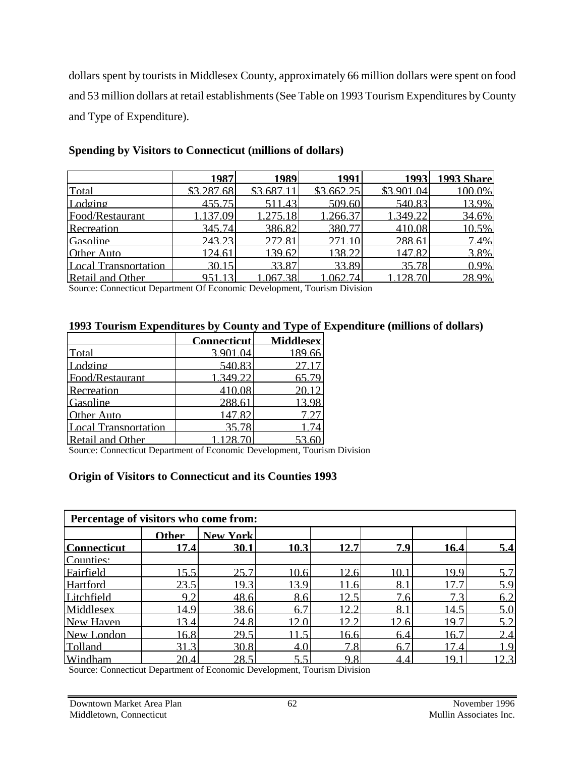dollars spent by tourists in Middlesex County, approximately 66 million dollars were spent on food and 53 million dollars at retail establishments (See Table on 1993 Tourism Expenditures by County and Type of Expenditure).

|                      | 1987       | 1989     | 1991       | 19931      | <b>1993 Share</b> |
|----------------------|------------|----------|------------|------------|-------------------|
| Total                | \$3.287.68 | \$3.687. | \$3.662.25 | \$3.901.04 | 100.0%            |
| Lodging              | 455 75I    | 511.43   | 509.60     | 540.83     | 13.9%             |
| Food/Restaurant      | 37.09      | 1.275.18 | 1.266.37   | .349.22    | 34.6%             |
| Recreation           | 345.74     | 386.82   | 380.77     | 410.08     | 10.5%             |
| Gasoline             | 243.23     | 272.81   | 271.10     | 288.61     | 7.4%              |
| Other Auto           | 124.61     | 139.62   | 138.22     | 147.82     | 3.8%              |
| Local Transportation | 30.15      | 33.87    | 33.89      | 35.78      | 0.9%              |
| Retail and Other     | 951 13     | 167.38   | .062.74    | 128.701    | 28.9%             |

#### **Spending by Visitors to Connecticut (millions of dollars)**

Source: Connecticut Department Of Economic Development, Tourism Division

# **1993 Tourism Expenditures by County and Type of Expenditure (millions of dollars)**<br>
Connecticut **Middlesex**

|                         | <b>Connecticut</b> | <b>Middlesex</b> |
|-------------------------|--------------------|------------------|
| Total                   | 3.901.04           | 189.66           |
| Lodging                 | 540.83             | 27.17            |
| Food/Restaurant         | 1.349.22           | 65.79            |
| Recreation              | 410.08             | 20.12            |
| Gasoline                | 288.61             | 13.98            |
| Other Auto              | 147.82             | 7.27             |
| Local Transportation    | 35.78              | 1.74             |
| <b>Retail and Other</b> | 1.128.70           |                  |

Source: Connecticut Department of Economic Development, Tourism Division

#### **Origin of Visitors to Connecticut and its Counties 1993**

| Percentage of visitors who come from: |              |                 |      |      |      |      |      |  |  |
|---------------------------------------|--------------|-----------------|------|------|------|------|------|--|--|
|                                       | <b>Other</b> | <b>New York</b> |      |      |      |      |      |  |  |
| <b>Connecticut</b>                    | 17.4         | 30.1            | 10.3 | 12.7 | 7.9  | 16.4 | 5.4  |  |  |
| Counties:                             |              |                 |      |      |      |      |      |  |  |
| Fairfield                             | 15.5         | 25.7            | 10.6 | 12.6 | 10.1 | 19.9 | 5.7  |  |  |
| Hartford                              | 23.5         | 19.3            | 13.9 | .6   | 8.1  | 17   | 5.9  |  |  |
| Litchfield                            | 9.2          | 48.6            | 8.6  | 12.5 | 7.6  | 7.3  | 6.2  |  |  |
| Middlesex                             | 14.9         | 38.6            | 6.7  | っっ   | 8.1  | 14.5 | 5.0  |  |  |
| New Haven                             | 13.4         | 24.8            | 12.0 | 12.2 | 12.6 | 19.7 | 52   |  |  |
| New London                            | 16.8         | 29.5            |      | 16.6 | 6.4  | 16.7 | 2.4  |  |  |
| Tolland                               | 31.3         | 30.8            | 4.0  | 7.8  | 6.7  | 17.4 | - 9  |  |  |
| Windham                               | 20.4         | 28.5            | 5.5  | 9.8  | 4.4  | 19.  | 12.3 |  |  |

Source: Connecticut Department of Economic Development, Tourism Division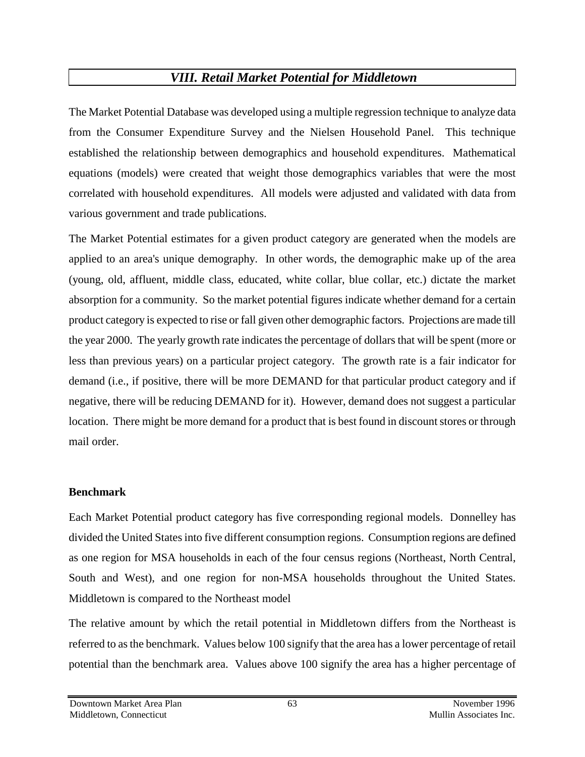# *VIII. Retail Market Potential for Middletown*

The Market Potential Database was developed using a multiple regression technique to analyze data from the Consumer Expenditure Survey and the Nielsen Household Panel. This technique established the relationship between demographics and household expenditures. Mathematical equations (models) were created that weight those demographics variables that were the most correlated with household expenditures. All models were adjusted and validated with data from various government and trade publications.

The Market Potential estimates for a given product category are generated when the models are applied to an area's unique demography. In other words, the demographic make up of the area (young, old, affluent, middle class, educated, white collar, blue collar, etc.) dictate the market absorption for a community. So the market potential figures indicate whether demand for a certain product category is expected to rise or fall given other demographic factors. Projections are made till the year 2000. The yearly growth rate indicates the percentage of dollars that will be spent (more or less than previous years) on a particular project category. The growth rate is a fair indicator for demand (i.e., if positive, there will be more DEMAND for that particular product category and if negative, there will be reducing DEMAND for it). However, demand does not suggest a particular location. There might be more demand for a product that is best found in discount stores or through mail order.

## **Benchmark**

Each Market Potential product category has five corresponding regional models. Donnelley has divided the United States into five different consumption regions. Consumption regions are defined as one region for MSA households in each of the four census regions (Northeast, North Central, South and West), and one region for non-MSA households throughout the United States. Middletown is compared to the Northeast model

The relative amount by which the retail potential in Middletown differs from the Northeast is referred to as the benchmark. Values below 100 signify that the area has a lower percentage of retail potential than the benchmark area. Values above 100 signify the area has a higher percentage of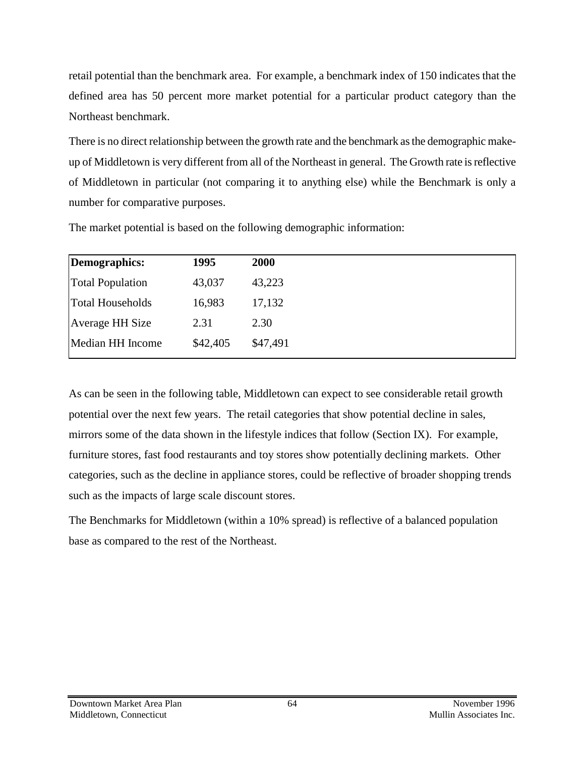retail potential than the benchmark area. For example, a benchmark index of 150 indicates that the defined area has 50 percent more market potential for a particular product category than the Northeast benchmark.

There is no direct relationship between the growth rate and the benchmark as the demographic makeup of Middletown is very different from all of the Northeast in general. The Growth rate is reflective of Middletown in particular (not comparing it to anything else) while the Benchmark is only a number for comparative purposes.

| Demographics:           | 1995     | 2000     |
|-------------------------|----------|----------|
| <b>Total Population</b> | 43,037   | 43,223   |
| <b>Total Households</b> | 16,983   | 17,132   |
| <b>Average HH Size</b>  | 2.31     | 2.30     |
| Median HH Income        | \$42,405 | \$47,491 |

The market potential is based on the following demographic information:

As can be seen in the following table, Middletown can expect to see considerable retail growth potential over the next few years. The retail categories that show potential decline in sales, mirrors some of the data shown in the lifestyle indices that follow (Section IX). For example, furniture stores, fast food restaurants and toy stores show potentially declining markets. Other categories, such as the decline in appliance stores, could be reflective of broader shopping trends such as the impacts of large scale discount stores.

The Benchmarks for Middletown (within a 10% spread) is reflective of a balanced population base as compared to the rest of the Northeast.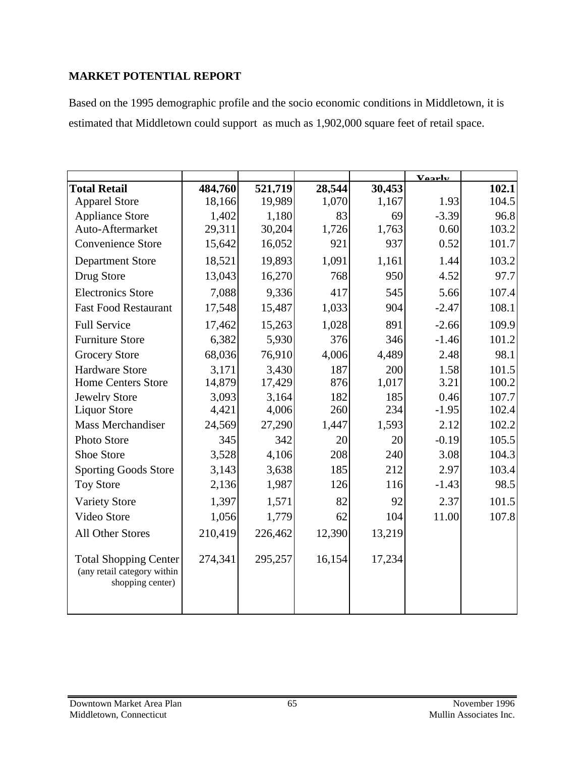#### **MARKET POTENTIAL REPORT**

Based on the 1995 demographic profile and the socio economic conditions in Middletown, it is estimated that Middletown could support as much as 1,902,000 square feet of retail space.

|                                                                                 |         |         |        |        | Vaarly  |       |
|---------------------------------------------------------------------------------|---------|---------|--------|--------|---------|-------|
| <b>Total Retail</b>                                                             | 484.760 | 521,719 | 28,544 | 30.453 |         | 102.1 |
| <b>Apparel Store</b>                                                            | 18,166  | 19,989  | 1,070  | 1,167  | 1.93    | 104.5 |
| <b>Appliance Store</b>                                                          | 1,402   | 1,180   | 83     | 69     | $-3.39$ | 96.8  |
| Auto-Aftermarket                                                                | 29,311  | 30,204  | 1,726  | 1,763  | 0.60    | 103.2 |
| <b>Convenience Store</b>                                                        | 15,642  | 16,052  | 921    | 937    | 0.52    | 101.7 |
| <b>Department Store</b>                                                         | 18,521  | 19,893  | 1,091  | 1,161  | 1.44    | 103.2 |
| Drug Store                                                                      | 13,043  | 16,270  | 768    | 950    | 4.52    | 97.7  |
| <b>Electronics Store</b>                                                        | 7,088   | 9,336   | 417    | 545    | 5.66    | 107.4 |
| <b>Fast Food Restaurant</b>                                                     | 17,548  | 15,487  | 1,033  | 904    | $-2.47$ | 108.1 |
| <b>Full Service</b>                                                             | 17,462  | 15,263  | 1,028  | 891    | $-2.66$ | 109.9 |
| <b>Furniture Store</b>                                                          | 6,382   | 5,930   | 376    | 346    | $-1.46$ | 101.2 |
| <b>Grocery Store</b>                                                            | 68,036  | 76,910  | 4,006  | 4,489  | 2.48    | 98.1  |
| <b>Hardware Store</b>                                                           | 3,171   | 3,430   | 187    | 200    | 1.58    | 101.5 |
| <b>Home Centers Store</b>                                                       | 14,879  | 17,429  | 876    | 1,017  | 3.21    | 100.2 |
| <b>Jewelry Store</b>                                                            | 3,093   | 3,164   | 182    | 185    | 0.46    | 107.7 |
| <b>Liquor Store</b>                                                             | 4,421   | 4,006   | 260    | 234    | $-1.95$ | 102.4 |
| <b>Mass Merchandiser</b>                                                        | 24,569  | 27,290  | 1,447  | 1,593  | 2.12    | 102.2 |
| <b>Photo Store</b>                                                              | 345     | 342     | 20     | 20     | $-0.19$ | 105.5 |
| <b>Shoe Store</b>                                                               | 3,528   | 4,106   | 208    | 240    | 3.08    | 104.3 |
| <b>Sporting Goods Store</b>                                                     | 3,143   | 3,638   | 185    | 212    | 2.97    | 103.4 |
| <b>Toy Store</b>                                                                | 2,136   | 1,987   | 126    | 116    | $-1.43$ | 98.5  |
| <b>Variety Store</b>                                                            | 1,397   | 1,571   | 82     | 92     | 2.37    | 101.5 |
| Video Store                                                                     | 1,056   | 1,779   | 62     | 104    | 11.00   | 107.8 |
| <b>All Other Stores</b>                                                         | 210,419 | 226,462 | 12,390 | 13,219 |         |       |
| <b>Total Shopping Center</b><br>(any retail category within<br>shopping center) | 274,341 | 295,257 | 16,154 | 17,234 |         |       |
|                                                                                 |         |         |        |        |         |       |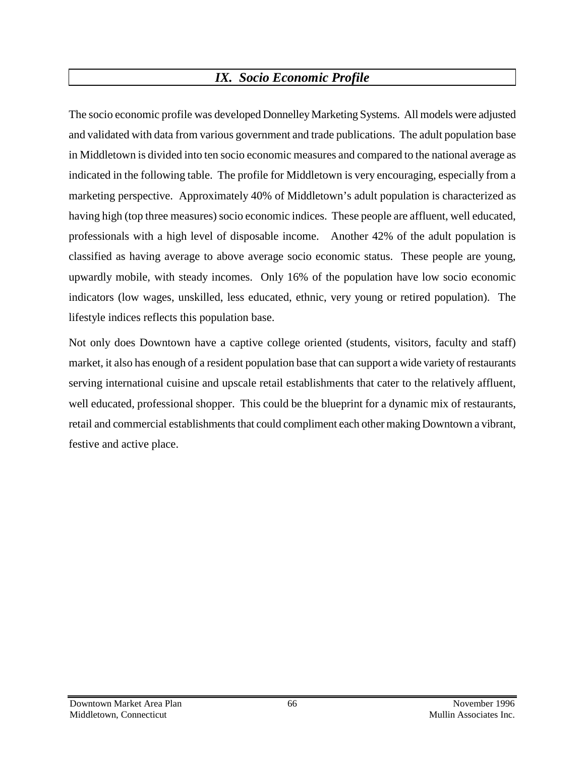# *IX. Socio Economic Profile*

The socio economic profile was developed Donnelley Marketing Systems. All models were adjusted and validated with data from various government and trade publications. The adult population base in Middletown is divided into ten socio economic measures and compared to the national average as indicated in the following table. The profile for Middletown is very encouraging, especially from a marketing perspective. Approximately 40% of Middletown's adult population is characterized as having high (top three measures) socio economic indices. These people are affluent, well educated, professionals with a high level of disposable income. Another 42% of the adult population is classified as having average to above average socio economic status. These people are young, upwardly mobile, with steady incomes. Only 16% of the population have low socio economic indicators (low wages, unskilled, less educated, ethnic, very young or retired population). The lifestyle indices reflects this population base.

Not only does Downtown have a captive college oriented (students, visitors, faculty and staff) market, it also has enough of a resident population base that can support a wide variety of restaurants serving international cuisine and upscale retail establishments that cater to the relatively affluent, well educated, professional shopper. This could be the blueprint for a dynamic mix of restaurants, retail and commercial establishments that could compliment each other making Downtown a vibrant, festive and active place.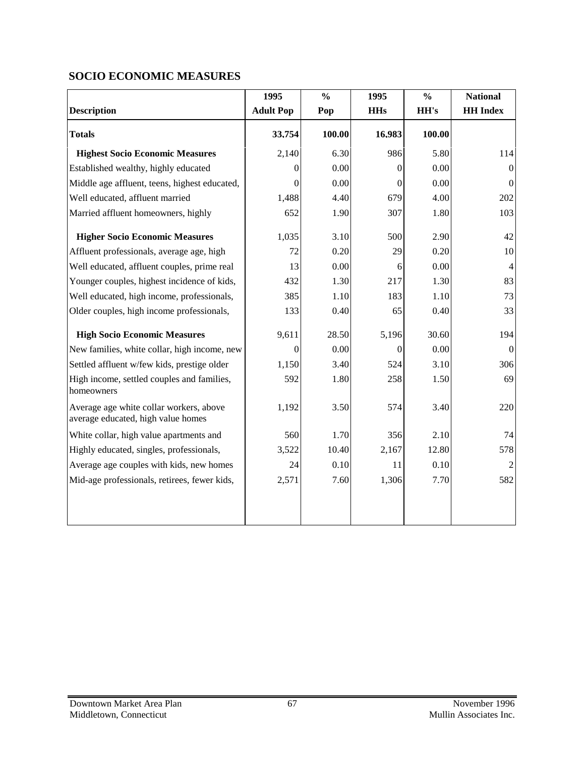## **SOCIO ECONOMIC MEASURES**

|                                                                               | 1995             | $\frac{0}{0}$ | 1995           | $\frac{0}{0}$ | <b>National</b> |
|-------------------------------------------------------------------------------|------------------|---------------|----------------|---------------|-----------------|
| <b>Description</b>                                                            | <b>Adult Pop</b> | Pop           | <b>HHs</b>     | HH's          | <b>HH</b> Index |
| <b>Totals</b>                                                                 | 33,754           | 100.00        | 16,983         | 100.00        |                 |
| <b>Highest Socio Economic Measures</b>                                        | 2,140            | 6.30          | 986            | 5.80          | 114             |
| Established wealthy, highly educated                                          | 0                | 0.00          | 0              | 0.00          | $\Omega$        |
| Middle age affluent, teens, highest educated,                                 | $\Omega$         | 0.00          | $\theta$       | 0.00          | $\Omega$        |
| Well educated, affluent married                                               | 1,488            | 4.40          | 679            | 4.00          | 202             |
| Married affluent homeowners, highly                                           | 652              | 1.90          | 307            | 1.80          | 103             |
| <b>Higher Socio Economic Measures</b>                                         | 1,035            | 3.10          | 500            | 2.90          | 42              |
| Affluent professionals, average age, high                                     | 72               | 0.20          | 29             | 0.20          | $10\,$          |
| Well educated, affluent couples, prime real                                   | 13               | 0.00          | 6              | 0.00          | $\overline{4}$  |
| Younger couples, highest incidence of kids,                                   | 432              | 1.30          | 217            | 1.30          | 83              |
| Well educated, high income, professionals,                                    | 385              | 1.10          | 183            | 1.10          | 73              |
| Older couples, high income professionals,                                     | 133              | 0.40          | 65             | 0.40          | 33              |
| <b>High Socio Economic Measures</b>                                           | 9,611            | 28.50         | 5,196          | 30.60         | 194             |
| New families, white collar, high income, new                                  | $\theta$         | 0.00          | $\overline{0}$ | 0.00          | $\Omega$        |
| Settled affluent w/few kids, prestige older                                   | 1,150            | 3.40          | 524            | 3.10          | 306             |
| High income, settled couples and families,<br>homeowners                      | 592              | 1.80          | 258            | 1.50          | 69              |
| Average age white collar workers, above<br>average educated, high value homes | 1,192            | 3.50          | 574            | 3.40          | 220             |
| White collar, high value apartments and                                       | 560              | 1.70          | 356            | 2.10          | 74              |
| Highly educated, singles, professionals,                                      | 3,522            | 10.40         | 2,167          | 12.80         | 578             |
| Average age couples with kids, new homes                                      | 24               | 0.10          | 11             | 0.10          |                 |
| Mid-age professionals, retirees, fewer kids,                                  | 2,571            | 7.60          | 1,306          | 7.70          | 582             |
|                                                                               |                  |               |                |               |                 |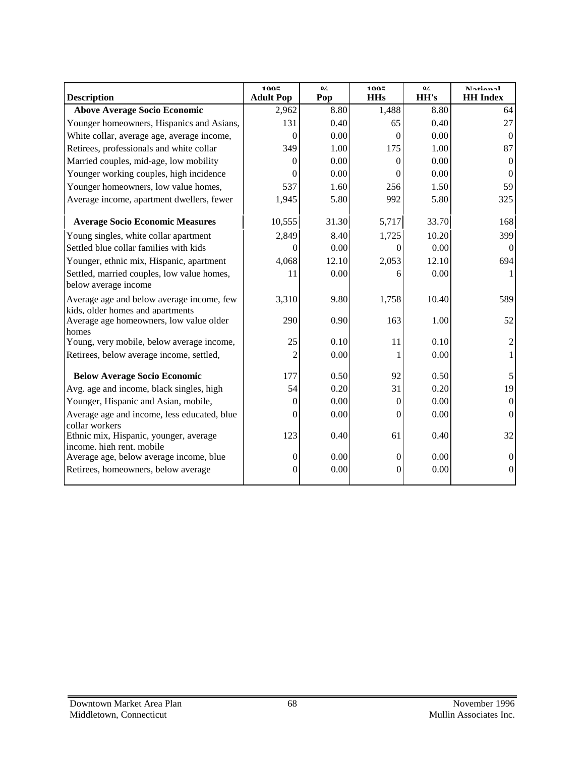| <b>Description</b>                                                                   | 1005<br><b>Adult Pop</b> | 0/2<br>Pop | 1005<br><b>HHs</b> | 0/<br>HH's | <b>Notional</b><br><b>HH</b> Index |
|--------------------------------------------------------------------------------------|--------------------------|------------|--------------------|------------|------------------------------------|
| <b>Above Average Socio Economic</b>                                                  | 2,962                    | 8.80       | 1,488              | 8.80       | 64                                 |
| Younger homeowners, Hispanics and Asians,                                            | 131                      | 0.40       | 65                 | 0.40       | 27                                 |
| White collar, average age, average income,                                           | $\theta$                 | 0.00       | $\theta$           | 0.00       | $\Omega$                           |
| Retirees, professionals and white collar                                             | 349                      | 1.00       | 175                | 1.00       | 87                                 |
| Married couples, mid-age, low mobility                                               | $\Omega$                 | 0.00       | 0                  | 0.00       | $\Omega$                           |
| Younger working couples, high incidence                                              | 0                        | 0.00       | 0                  | 0.00       | $\theta$                           |
| Younger homeowners, low value homes,                                                 | 537                      | 1.60       | 256                | 1.50       | 59                                 |
| Average income, apartment dwellers, fewer                                            | 1,945                    | 5.80       | 992                | 5.80       | 325                                |
| <b>Average Socio Economic Measures</b>                                               | 10,555                   | 31.30      | 5,717              | 33.70      | 168                                |
| Young singles, white collar apartment                                                | 2,849                    | 8.40       | 1,725              | 10.20      | 399                                |
| Settled blue collar families with kids                                               | 0                        | 0.00       | 0                  | 0.00       | $\theta$                           |
| Younger, ethnic mix, Hispanic, apartment                                             | 4,068                    | 12.10      | 2,053              | 12.10      | 694                                |
| Settled, married couples, low value homes,<br>below average income                   | 11                       | 0.00       | 6                  | 0.00       |                                    |
| Average age and below average income, few                                            | 3,310                    | 9.80       | 1,758              | 10.40      | 589                                |
| kids. older homes and apartments<br>Average age homeowners, low value older<br>homes | 290                      | 0.90       | 163                | 1.00       | 52                                 |
| Young, very mobile, below average income,                                            | 25                       | 0.10       | 11                 | 0.10       | 2                                  |
| Retirees, below average income, settled,                                             | $\overline{2}$           | 0.00       |                    | 0.00       |                                    |
| <b>Below Average Socio Economic</b>                                                  | 177                      | 0.50       | 92                 | 0.50       | 5                                  |
| Avg. age and income, black singles, high                                             | 54                       | 0.20       | 31                 | 0.20       | 19                                 |
| Younger, Hispanic and Asian, mobile,                                                 | $\theta$                 | 0.00       | $\overline{0}$     | 0.00       | $\Omega$                           |
| Average age and income, less educated, blue<br>collar workers                        | $\Omega$                 | 0.00       | $\Omega$           | 0.00       | $\Omega$                           |
| Ethnic mix, Hispanic, younger, average<br>income. high rent. mobile                  | 123                      | 0.40       | 61                 | 0.40       | 32                                 |
| Average age, below average income, blue                                              | $\mathbf{0}$             | 0.00       | 0                  | 0.00       | $\Omega$                           |
| Retirees, homeowners, below average                                                  | $\overline{0}$           | 0.00       | $\theta$           | 0.00       | $\theta$                           |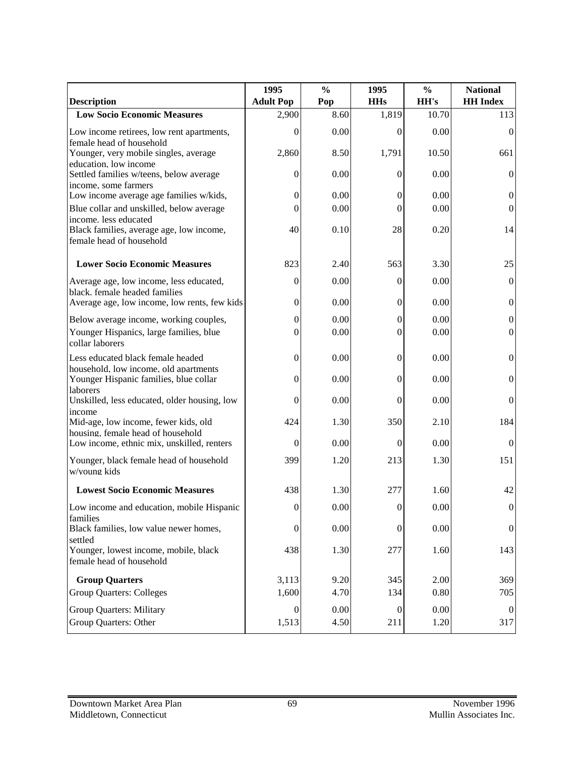|                                                                                             | 1995             | $\frac{0}{0}$ | 1995             | $\frac{0}{0}$ | <b>National</b>  |
|---------------------------------------------------------------------------------------------|------------------|---------------|------------------|---------------|------------------|
| <b>Description</b>                                                                          | <b>Adult Pop</b> | Pop           | <b>HHs</b>       | HH's          | <b>HH</b> Index  |
| <b>Low Socio Economic Measures</b>                                                          | 2,900            | 8.60          | 1,819            | 10.70         | 113              |
| Low income retirees, low rent apartments,<br>female head of household                       | 0                | 0.00          | 0                | 0.00          | $\Omega$         |
| Younger, very mobile singles, average<br>education. low income                              | 2,860            | 8.50          | 1,791            | 10.50         | 661              |
| Settled families w/teens, below average<br>income. some farmers                             | $\boldsymbol{0}$ | 0.00          | $\overline{0}$   | 0.00          | $\Omega$         |
| Low income average age families w/kids,                                                     | $\boldsymbol{0}$ | 0.00          | 0                | 0.00          | $\theta$         |
| Blue collar and unskilled, below average<br>income. less educated                           | $\theta$         | 0.00          | $\theta$         | 0.00          | 0                |
| Black families, average age, low income,<br>female head of household                        | 40               | 0.10          | 28               | 0.20          | 14               |
| <b>Lower Socio Economic Measures</b>                                                        | 823              | 2.40          | 563              | 3.30          | 25               |
| Average age, low income, less educated,<br>black. female headed families                    | $\boldsymbol{0}$ | 0.00          | $\overline{0}$   | 0.00          | $\theta$         |
| Average age, low income, low rents, few kids                                                | $\boldsymbol{0}$ | 0.00          | $\boldsymbol{0}$ | 0.00          | $\boldsymbol{0}$ |
| Below average income, working couples,                                                      | $\boldsymbol{0}$ | 0.00          | $\boldsymbol{0}$ | 0.00          | $\boldsymbol{0}$ |
| Younger Hispanics, large families, blue<br>collar laborers                                  | $\Omega$         | 0.00          | 0                | 0.00          | $\boldsymbol{0}$ |
| Less educated black female headed                                                           | $\boldsymbol{0}$ | 0.00          | $\overline{0}$   | 0.00          | $\mathbf{0}$     |
| household. low income. old apartments<br>Younger Hispanic families, blue collar<br>laborers | $\boldsymbol{0}$ | 0.00          | 0                | 0.00          | 0                |
| Unskilled, less educated, older housing, low<br>income                                      | $\boldsymbol{0}$ | 0.00          | 0                | 0.00          | $\overline{0}$   |
| Mid-age, low income, fewer kids, old<br>housing. female head of household                   | 424              | 1.30          | 350              | 2.10          | 184              |
| Low income, ethnic mix, unskilled, renters                                                  | $\boldsymbol{0}$ | 0.00          | $\overline{0}$   | 0.00          | $\Omega$         |
| Younger, black female head of household<br>w/voung kids                                     | 399              | 1.20          | 213              | 1.30          | 151              |
| <b>Lowest Socio Economic Measures</b>                                                       | 438              | 1.30          | 277              | 1.60          | 42               |
| Low income and education, mobile Hispanic                                                   | $\boldsymbol{0}$ | $0.00\,$      | $\overline{0}$   | $0.00\,$      | $\overline{0}$   |
| families<br>Black families, low value newer homes,<br>settled                               | $\boldsymbol{0}$ | 0.00          | $\boldsymbol{0}$ | 0.00          | $\overline{0}$   |
| Younger, lowest income, mobile, black<br>female head of household                           | 438              | 1.30          | 277              | 1.60          | 143              |
| <b>Group Quarters</b>                                                                       | 3,113            | 9.20          | 345              | 2.00          | 369              |
| <b>Group Quarters: Colleges</b>                                                             | 1,600            | 4.70          | 134              | 0.80          | 705              |
| <b>Group Quarters: Military</b>                                                             | $\boldsymbol{0}$ | 0.00          | $\boldsymbol{0}$ | 0.00          | $\theta$         |
| Group Quarters: Other                                                                       | 1,513            | 4.50          | 211              | 1.20          | 317              |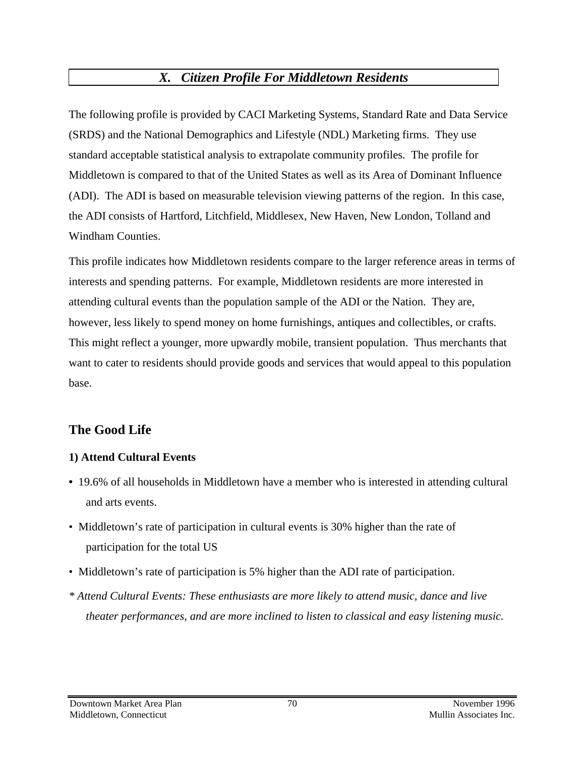# *X. Citizen Profile For Middletown Residents*

The following profile is provided by CACI Marketing Systems, Standard Rate and Data Service (SRDS) and the National Demographics and Lifestyle (NDL) Marketing firms. They use standard acceptable statistical analysis to extrapolate community profiles. The profile for Middletown is compared to that of the United States as well as its Area of Dominant Influence (ADI). The ADI is based on measurable television viewing patterns of the region. In this case, the ADI consists of Hartford, Litchfield, Middlesex, New Haven, New London, Tolland and Windham Counties.

This profile indicates how Middletown residents compare to the larger reference areas in terms of interests and spending patterns. For example, Middletown residents are more interested in attending cultural events than the population sample of the ADI or the Nation. They are, however, less likely to spend money on home furnishings, antiques and collectibles, or crafts. This might reflect a younger, more upwardly mobile, transient population. Thus merchants that want to cater to residents should provide goods and services that would appeal to this population base.

# **The Good Life**

## **1) Attend Cultural Events**

- 19.6% of all households in Middletown have a member who is interested in attending cultural and arts events.
- Middletown's rate of participation in cultural events is 30% higher than the rate of participation for the total US
- Middletown's rate of participation is 5% higher than the ADI rate of participation.
- *\* Attend Cultural Events: These enthusiasts are more likely to attend music, dance and live theater performances, and are more inclined to listen to classical and easy listening music.*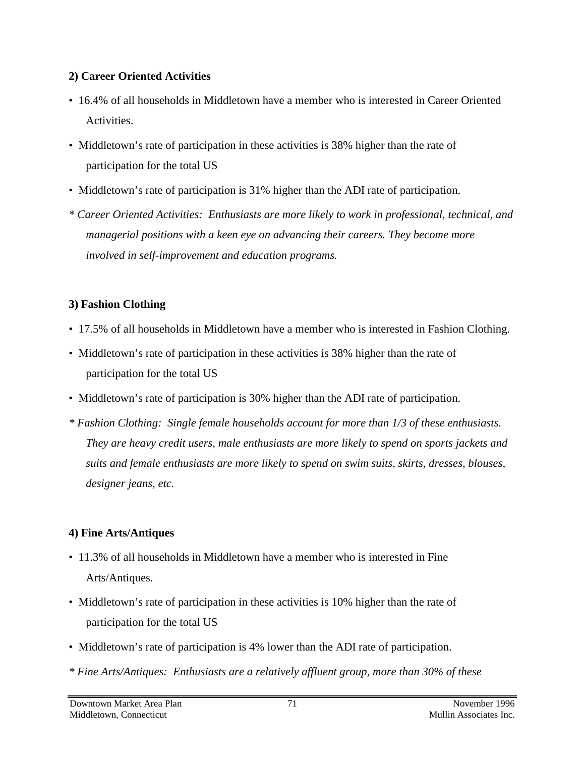## **2) Career Oriented Activities**

- 16.4% of all households in Middletown have a member who is interested in Career Oriented Activities.
- Middletown's rate of participation in these activities is 38% higher than the rate of participation for the total US
- Middletown's rate of participation is 31% higher than the ADI rate of participation.
- *\* Career Oriented Activities: Enthusiasts are more likely to work in professional, technical, and managerial positions with a keen eye on advancing their careers. They become more involved in self-improvement and education programs.*

# **3) Fashion Clothing**

- 17.5% of all households in Middletown have a member who is interested in Fashion Clothing.
- Middletown's rate of participation in these activities is 38% higher than the rate of participation for the total US
- Middletown's rate of participation is 30% higher than the ADI rate of participation.
- *\* Fashion Clothing: Single female households account for more than 1/3 of these enthusiasts. They are heavy credit users, male enthusiasts are more likely to spend on sports jackets and suits and female enthusiasts are more likely to spend on swim suits, skirts, dresses, blouses, designer jeans, etc.*

## **4) Fine Arts/Antiques**

- 11.3% of all households in Middletown have a member who is interested in Fine Arts/Antiques.
- Middletown's rate of participation in these activities is 10% higher than the rate of participation for the total US
- Middletown's rate of participation is 4% lower than the ADI rate of participation.
- *\* Fine Arts/Antiques: Enthusiasts are a relatively affluent group, more than 30% of these*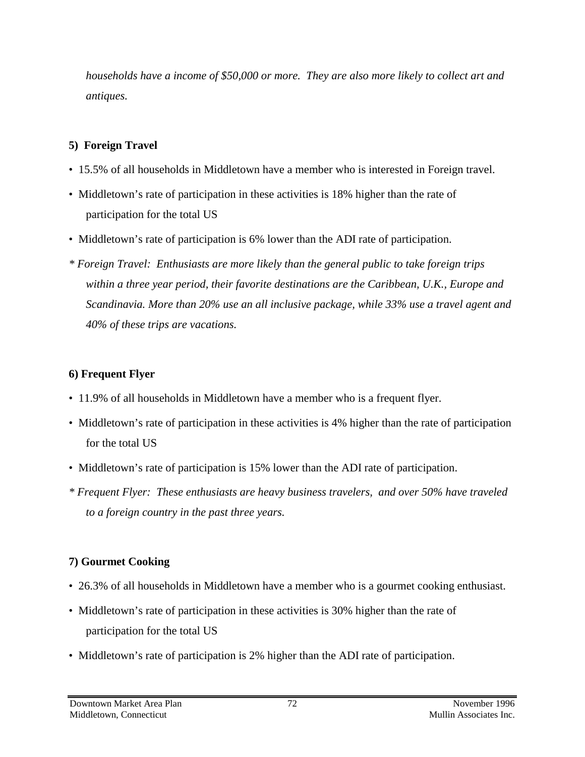*households have a income of \$50,000 or more. They are also more likely to collect art and antiques.*

## **5) Foreign Travel**

- 15.5% of all households in Middletown have a member who is interested in Foreign travel.
- Middletown's rate of participation in these activities is 18% higher than the rate of participation for the total US
- Middletown's rate of participation is 6% lower than the ADI rate of participation.
- *\* Foreign Travel: Enthusiasts are more likely than the general public to take foreign trips within a three year period, their favorite destinations are the Caribbean, U.K., Europe and Scandinavia. More than 20% use an all inclusive package, while 33% use a travel agent and 40% of these trips are vacations.*

## **6) Frequent Flyer**

- 11.9% of all households in Middletown have a member who is a frequent flyer.
- Middletown's rate of participation in these activities is 4% higher than the rate of participation for the total US
- Middletown's rate of participation is 15% lower than the ADI rate of participation.
- *\* Frequent Flyer: These enthusiasts are heavy business travelers, and over 50% have traveled to a foreign country in the past three years.*

# **7) Gourmet Cooking**

- 26.3% of all households in Middletown have a member who is a gourmet cooking enthusiast.
- Middletown's rate of participation in these activities is 30% higher than the rate of participation for the total US
- Middletown's rate of participation is 2% higher than the ADI rate of participation.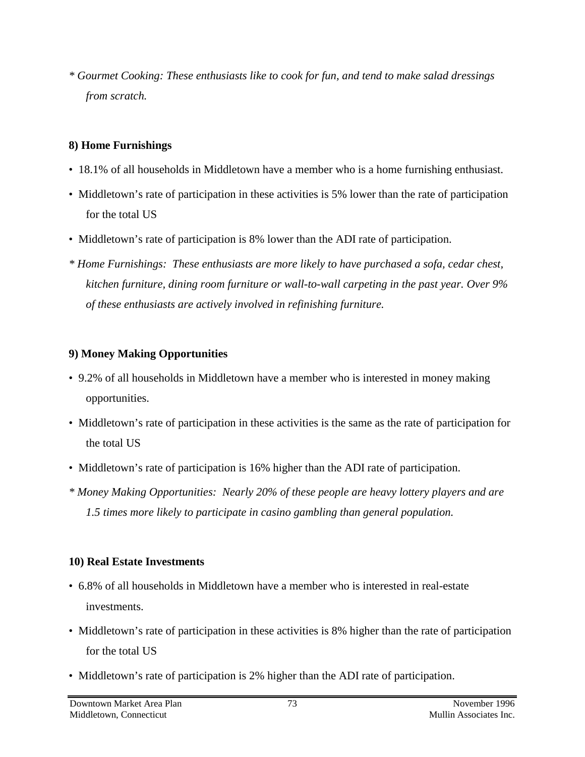*\* Gourmet Cooking: These enthusiasts like to cook for fun, and tend to make salad dressings from scratch.*

#### **8) Home Furnishings**

- 18.1% of all households in Middletown have a member who is a home furnishing enthusiast.
- Middletown's rate of participation in these activities is 5% lower than the rate of participation for the total US
- Middletown's rate of participation is 8% lower than the ADI rate of participation.
- *\* Home Furnishings: These enthusiasts are more likely to have purchased a sofa, cedar chest, kitchen furniture, dining room furniture or wall-to-wall carpeting in the past year. Over 9% of these enthusiasts are actively involved in refinishing furniture.*

### **9) Money Making Opportunities**

- 9.2% of all households in Middletown have a member who is interested in money making opportunities.
- Middletown's rate of participation in these activities is the same as the rate of participation for the total US
- Middletown's rate of participation is 16% higher than the ADI rate of participation.
- *\* Money Making Opportunities: Nearly 20% of these people are heavy lottery players and are 1.5 times more likely to participate in casino gambling than general population.*

### **10) Real Estate Investments**

- 6.8% of all households in Middletown have a member who is interested in real-estate investments.
- Middletown's rate of participation in these activities is 8% higher than the rate of participation for the total US
- Middletown's rate of participation is 2% higher than the ADI rate of participation.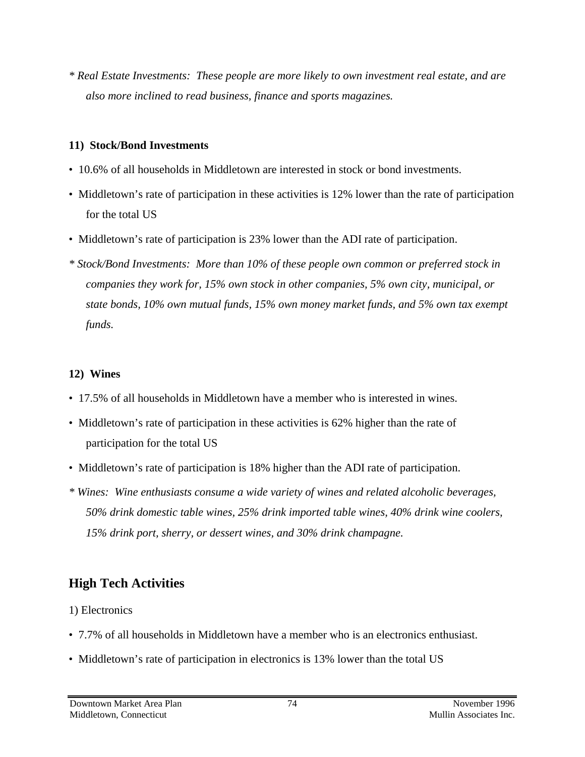*\* Real Estate Investments: These people are more likely to own investment real estate, and are also more inclined to read business, finance and sports magazines.*

#### **11) Stock/Bond Investments**

- 10.6% of all households in Middletown are interested in stock or bond investments.
- Middletown's rate of participation in these activities is 12% lower than the rate of participation for the total US
- Middletown's rate of participation is 23% lower than the ADI rate of participation.
- *\* Stock/Bond Investments: More than 10% of these people own common or preferred stock in companies they work for, 15% own stock in other companies, 5% own city, municipal, or state bonds, 10% own mutual funds, 15% own money market funds, and 5% own tax exempt funds.*

### **12) Wines**

- 17.5% of all households in Middletown have a member who is interested in wines.
- Middletown's rate of participation in these activities is 62% higher than the rate of participation for the total US
- Middletown's rate of participation is 18% higher than the ADI rate of participation.
- *\* Wines: Wine enthusiasts consume a wide variety of wines and related alcoholic beverages, 50% drink domestic table wines, 25% drink imported table wines, 40% drink wine coolers, 15% drink port, sherry, or dessert wines, and 30% drink champagne.*

# **High Tech Activities**

1) Electronics

- 7.7% of all households in Middletown have a member who is an electronics enthusiast.
- Middletown's rate of participation in electronics is 13% lower than the total US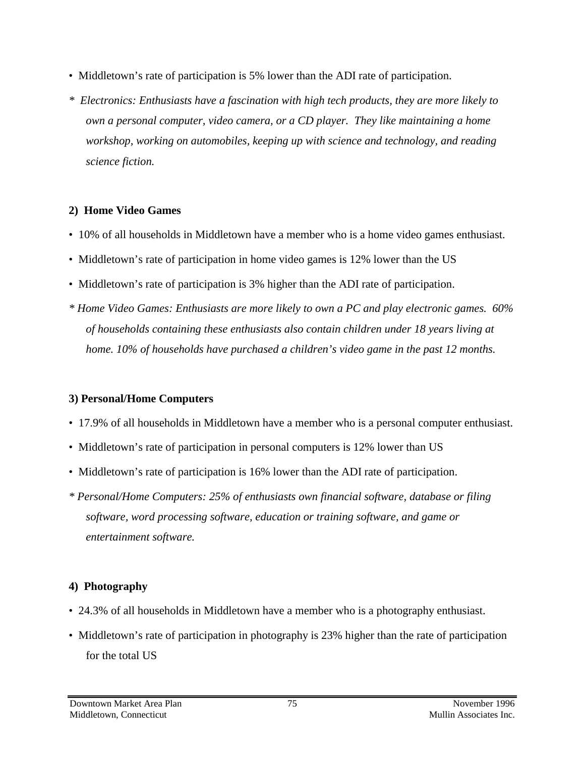- Middletown's rate of participation is 5% lower than the ADI rate of participation.
- *\* Electronics: Enthusiasts have a fascination with high tech products, they are more likely to own a personal computer, video camera, or a CD player. They like maintaining a home workshop, working on automobiles, keeping up with science and technology, and reading science fiction.*

### **2) Home Video Games**

- 10% of all households in Middletown have a member who is a home video games enthusiast.
- Middletown's rate of participation in home video games is 12% lower than the US
- Middletown's rate of participation is 3% higher than the ADI rate of participation.
- *\* Home Video Games: Enthusiasts are more likely to own a PC and play electronic games. 60% of households containing these enthusiasts also contain children under 18 years living at home. 10% of households have purchased a children's video game in the past 12 months.*

### **3) Personal/Home Computers**

- 17.9% of all households in Middletown have a member who is a personal computer enthusiast.
- Middletown's rate of participation in personal computers is 12% lower than US
- Middletown's rate of participation is 16% lower than the ADI rate of participation.
- *\* Personal/Home Computers: 25% of enthusiasts own financial software, database or filing software, word processing software, education or training software, and game or entertainment software.*

### **4) Photography**

- 24.3% of all households in Middletown have a member who is a photography enthusiast.
- Middletown's rate of participation in photography is 23% higher than the rate of participation for the total US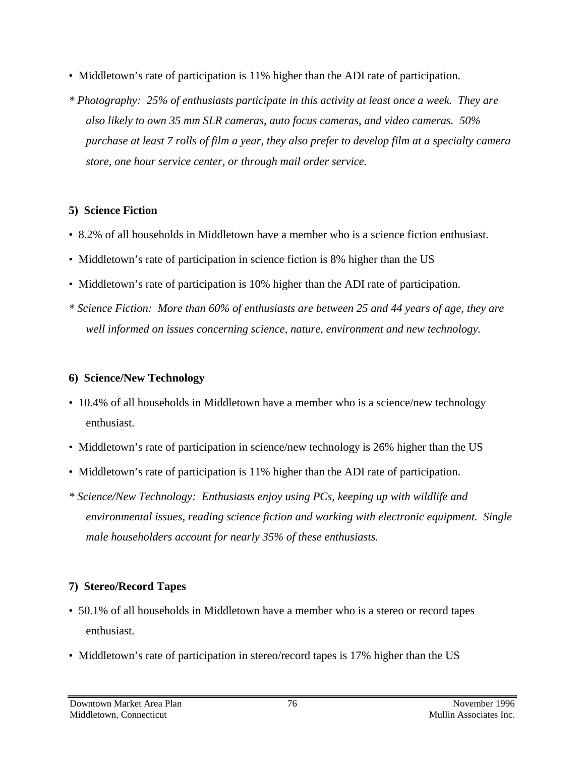- Middletown's rate of participation is 11% higher than the ADI rate of participation.
- *\* Photography: 25% of enthusiasts participate in this activity at least once a week. They are also likely to own 35 mm SLR cameras, auto focus cameras, and video cameras. 50% purchase at least 7 rolls of film a year, they also prefer to develop film at a specialty camera store, one hour service center, or through mail order service.*

### **5) Science Fiction**

- 8.2% of all households in Middletown have a member who is a science fiction enthusiast.
- Middletown's rate of participation in science fiction is 8% higher than the US
- Middletown's rate of participation is 10% higher than the ADI rate of participation.
- *\* Science Fiction: More than 60% of enthusiasts are between 25 and 44 years of age, they are well informed on issues concerning science, nature, environment and new technology.*

### **6) Science/New Technology**

- 10.4% of all households in Middletown have a member who is a science/new technology enthusiast.
- Middletown's rate of participation in science/new technology is 26% higher than the US
- Middletown's rate of participation is 11% higher than the ADI rate of participation.
- *\* Science/New Technology: Enthusiasts enjoy using PCs, keeping up with wildlife and environmental issues, reading science fiction and working with electronic equipment. Single male householders account for nearly 35% of these enthusiasts.*

## **7) Stereo/Record Tapes**

- 50.1% of all households in Middletown have a member who is a stereo or record tapes enthusiast.
- Middletown's rate of participation in stereo/record tapes is 17% higher than the US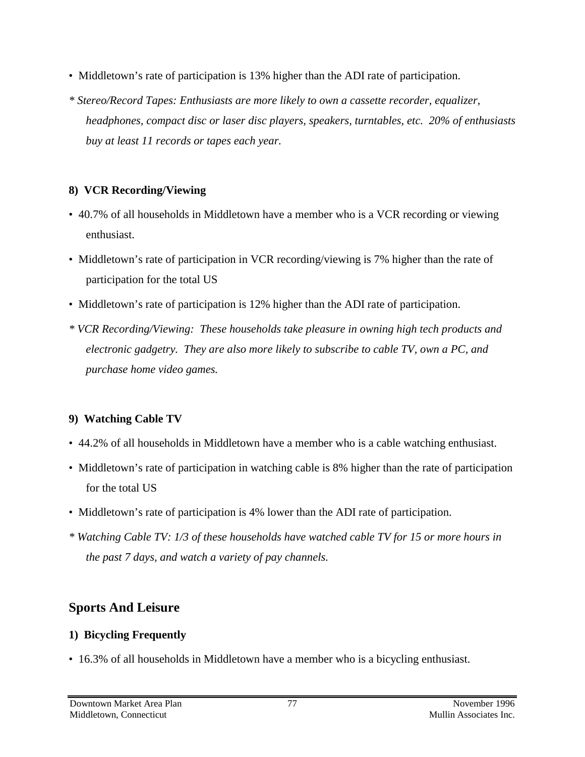- Middletown's rate of participation is 13% higher than the ADI rate of participation.
- *\* Stereo/Record Tapes: Enthusiasts are more likely to own a cassette recorder, equalizer, headphones, compact disc or laser disc players, speakers, turntables, etc. 20% of enthusiasts buy at least 11 records or tapes each year.*

### **8) VCR Recording/Viewing**

- 40.7% of all households in Middletown have a member who is a VCR recording or viewing enthusiast.
- Middletown's rate of participation in VCR recording/viewing is 7% higher than the rate of participation for the total US
- Middletown's rate of participation is 12% higher than the ADI rate of participation.
- *\* VCR Recording/Viewing: These households take pleasure in owning high tech products and electronic gadgetry. They are also more likely to subscribe to cable TV, own a PC, and purchase home video games.*

## **9) Watching Cable TV**

- 44.2% of all households in Middletown have a member who is a cable watching enthusiast.
- Middletown's rate of participation in watching cable is 8% higher than the rate of participation for the total US
- Middletown's rate of participation is 4% lower than the ADI rate of participation.
- *\* Watching Cable TV: 1/3 of these households have watched cable TV for 15 or more hours in the past 7 days, and watch a variety of pay channels.*

# **Sports And Leisure**

## **1) Bicycling Frequently**

• 16.3% of all households in Middletown have a member who is a bicycling enthusiast.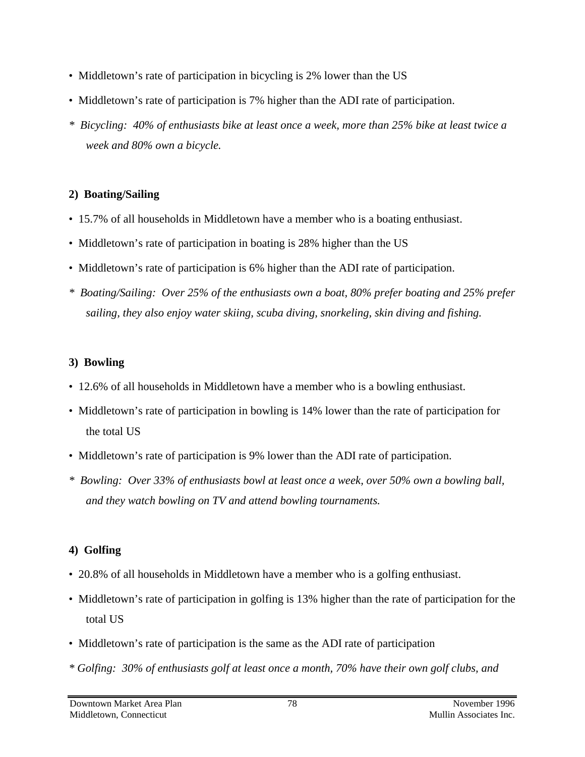- Middletown's rate of participation in bicycling is 2% lower than the US
- Middletown's rate of participation is 7% higher than the ADI rate of participation.
- *\* Bicycling: 40% of enthusiasts bike at least once a week, more than 25% bike at least twice a week and 80% own a bicycle.*

### **2) Boating/Sailing**

- 15.7% of all households in Middletown have a member who is a boating enthusiast.
- Middletown's rate of participation in boating is 28% higher than the US
- Middletown's rate of participation is 6% higher than the ADI rate of participation.
- *\* Boating/Sailing: Over 25% of the enthusiasts own a boat, 80% prefer boating and 25% prefer sailing, they also enjoy water skiing, scuba diving, snorkeling, skin diving and fishing.*

### **3) Bowling**

- 12.6% of all households in Middletown have a member who is a bowling enthusiast.
- Middletown's rate of participation in bowling is 14% lower than the rate of participation for the total US
- Middletown's rate of participation is 9% lower than the ADI rate of participation.
- *\* Bowling: Over 33% of enthusiasts bowl at least once a week, over 50% own a bowling ball, and they watch bowling on TV and attend bowling tournaments.*

## **4) Golfing**

- 20.8% of all households in Middletown have a member who is a golfing enthusiast.
- Middletown's rate of participation in golfing is 13% higher than the rate of participation for the total US
- Middletown's rate of participation is the same as the ADI rate of participation
- *\* Golfing: 30% of enthusiasts golf at least once a month, 70% have their own golf clubs, and*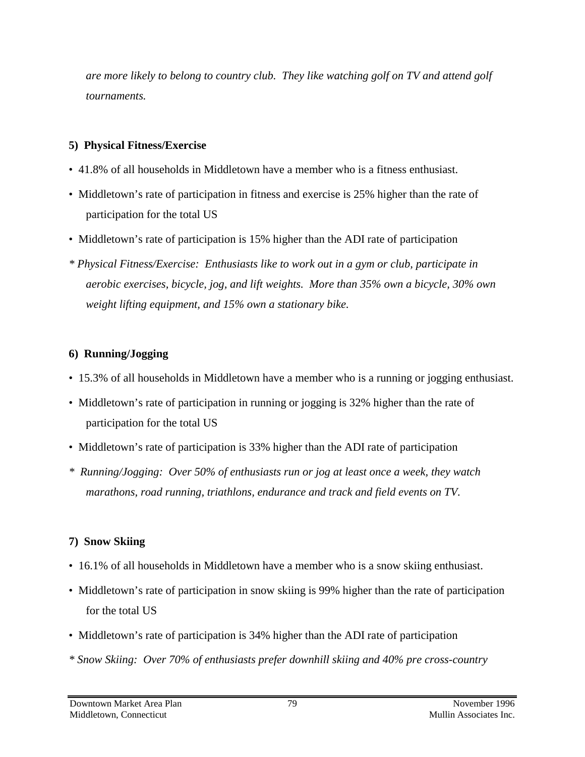*are more likely to belong to country club. They like watching golf on TV and attend golf tournaments.*

### **5) Physical Fitness/Exercise**

- 41.8% of all households in Middletown have a member who is a fitness enthusiast.
- Middletown's rate of participation in fitness and exercise is 25% higher than the rate of participation for the total US
- Middletown's rate of participation is 15% higher than the ADI rate of participation
- *\* Physical Fitness/Exercise: Enthusiasts like to work out in a gym or club, participate in aerobic exercises, bicycle, jog, and lift weights. More than 35% own a bicycle, 30% own weight lifting equipment, and 15% own a stationary bike.*

### **6) Running/Jogging**

- 15.3% of all households in Middletown have a member who is a running or jogging enthusiast.
- Middletown's rate of participation in running or jogging is 32% higher than the rate of participation for the total US
- Middletown's rate of participation is 33% higher than the ADI rate of participation
- *\* Running/Jogging: Over 50% of enthusiasts run or jog at least once a week, they watch marathons, road running, triathlons, endurance and track and field events on TV.*

## **7) Snow Skiing**

- 16.1% of all households in Middletown have a member who is a snow skiing enthusiast.
- Middletown's rate of participation in snow skiing is 99% higher than the rate of participation for the total US
- Middletown's rate of participation is 34% higher than the ADI rate of participation
- *\* Snow Skiing: Over 70% of enthusiasts prefer downhill skiing and 40% pre cross-country*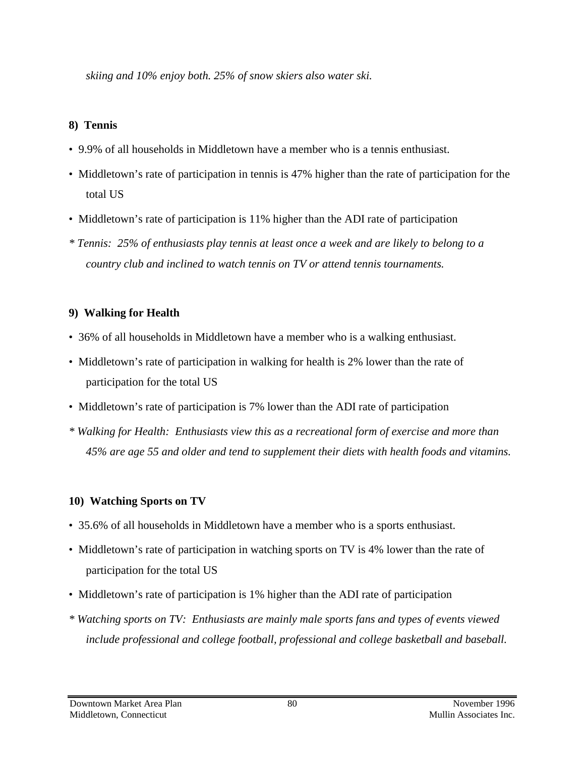*skiing and 10% enjoy both. 25% of snow skiers also water ski.*

### **8) Tennis**

- 9.9% of all households in Middletown have a member who is a tennis enthusiast.
- Middletown's rate of participation in tennis is 47% higher than the rate of participation for the total US
- Middletown's rate of participation is 11% higher than the ADI rate of participation
- *\* Tennis: 25% of enthusiasts play tennis at least once a week and are likely to belong to a country club and inclined to watch tennis on TV or attend tennis tournaments.*

## **9) Walking for Health**

- 36% of all households in Middletown have a member who is a walking enthusiast.
- Middletown's rate of participation in walking for health is 2% lower than the rate of participation for the total US
- Middletown's rate of participation is 7% lower than the ADI rate of participation
- *\* Walking for Health: Enthusiasts view this as a recreational form of exercise and more than 45% are age 55 and older and tend to supplement their diets with health foods and vitamins.*

## **10) Watching Sports on TV**

- 35.6% of all households in Middletown have a member who is a sports enthusiast.
- Middletown's rate of participation in watching sports on TV is 4% lower than the rate of participation for the total US
- Middletown's rate of participation is 1% higher than the ADI rate of participation
- *\* Watching sports on TV: Enthusiasts are mainly male sports fans and types of events viewed include professional and college football, professional and college basketball and baseball.*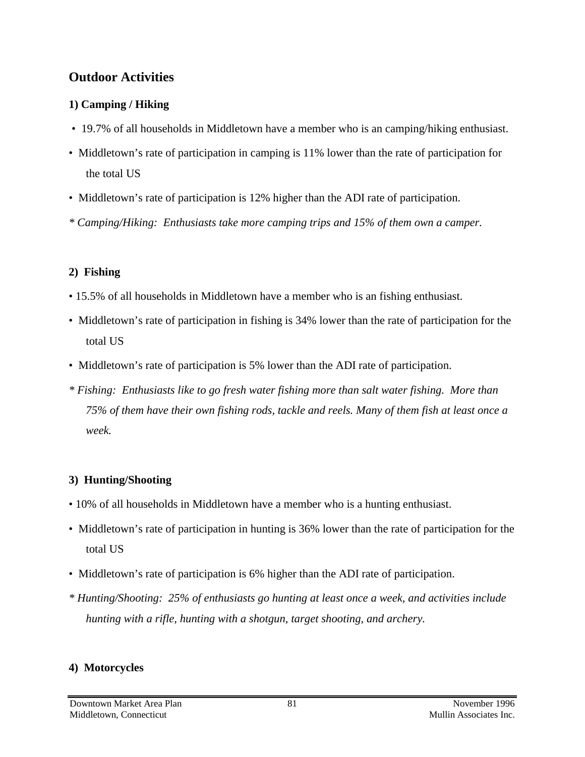## **Outdoor Activities**

#### **1) Camping / Hiking**

- 19.7% of all households in Middletown have a member who is an camping/hiking enthusiast.
- Middletown's rate of participation in camping is 11% lower than the rate of participation for the total US
- Middletown's rate of participation is 12% higher than the ADI rate of participation.
- *\* Camping/Hiking: Enthusiasts take more camping trips and 15% of them own a camper.*

### **2) Fishing**

- 15.5% of all households in Middletown have a member who is an fishing enthusiast.
- Middletown's rate of participation in fishing is 34% lower than the rate of participation for the total US
- Middletown's rate of participation is 5% lower than the ADI rate of participation.
- *\* Fishing: Enthusiasts like to go fresh water fishing more than salt water fishing. More than 75% of them have their own fishing rods, tackle and reels. Many of them fish at least once a week.*

## **3) Hunting/Shooting**

- 10% of all households in Middletown have a member who is a hunting enthusiast.
- Middletown's rate of participation in hunting is 36% lower than the rate of participation for the total US
- Middletown's rate of participation is 6% higher than the ADI rate of participation.
- *\* Hunting/Shooting: 25% of enthusiasts go hunting at least once a week, and activities include hunting with a rifle, hunting with a shotgun, target shooting, and archery.*

## **4) Motorcycles**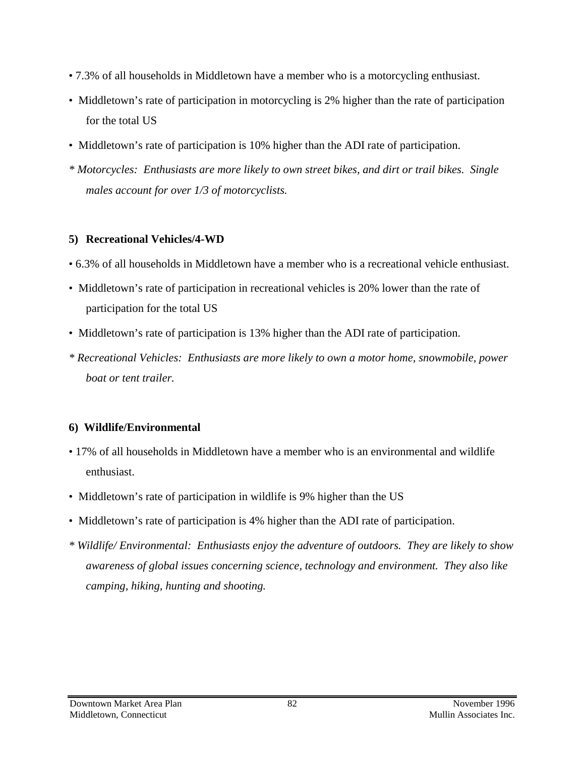- 7.3% of all households in Middletown have a member who is a motorcycling enthusiast.
- Middletown's rate of participation in motorcycling is 2% higher than the rate of participation for the total US
- Middletown's rate of participation is 10% higher than the ADI rate of participation.
- *\* Motorcycles: Enthusiasts are more likely to own street bikes, and dirt or trail bikes. Single males account for over 1/3 of motorcyclists.*

### **5) Recreational Vehicles/4-WD**

- 6.3% of all households in Middletown have a member who is a recreational vehicle enthusiast.
- Middletown's rate of participation in recreational vehicles is 20% lower than the rate of participation for the total US
- Middletown's rate of participation is 13% higher than the ADI rate of participation.
- *\* Recreational Vehicles: Enthusiasts are more likely to own a motor home, snowmobile, power boat or tent trailer.*

## **6) Wildlife/Environmental**

- 17% of all households in Middletown have a member who is an environmental and wildlife enthusiast.
- Middletown's rate of participation in wildlife is 9% higher than the US
- Middletown's rate of participation is 4% higher than the ADI rate of participation.
- *\* Wildlife/ Environmental: Enthusiasts enjoy the adventure of outdoors. They are likely to show awareness of global issues concerning science, technology and environment. They also like camping, hiking, hunting and shooting.*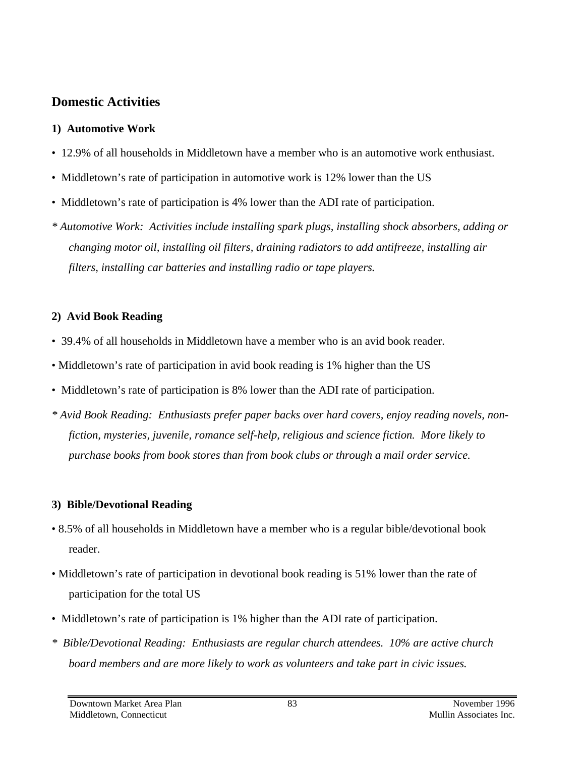## **Domestic Activities**

### **1) Automotive Work**

- 12.9% of all households in Middletown have a member who is an automotive work enthusiast.
- Middletown's rate of participation in automotive work is 12% lower than the US
- Middletown's rate of participation is 4% lower than the ADI rate of participation.
- *\* Automotive Work: Activities include installing spark plugs, installing shock absorbers, adding or changing motor oil, installing oil filters, draining radiators to add antifreeze, installing air filters, installing car batteries and installing radio or tape players.*

## **2) Avid Book Reading**

- 39.4% of all households in Middletown have a member who is an avid book reader.
- Middletown's rate of participation in avid book reading is 1% higher than the US
- Middletown's rate of participation is 8% lower than the ADI rate of participation.
- *\* Avid Book Reading: Enthusiasts prefer paper backs over hard covers, enjoy reading novels, nonfiction, mysteries, juvenile, romance self-help, religious and science fiction. More likely to purchase books from book stores than from book clubs or through a mail order service.*

## **3) Bible/Devotional Reading**

- 8.5% of all households in Middletown have a member who is a regular bible/devotional book reader.
- Middletown's rate of participation in devotional book reading is 51% lower than the rate of participation for the total US
- Middletown's rate of participation is 1% higher than the ADI rate of participation.
- *\* Bible/Devotional Reading: Enthusiasts are regular church attendees. 10% are active church board members and are more likely to work as volunteers and take part in civic issues.*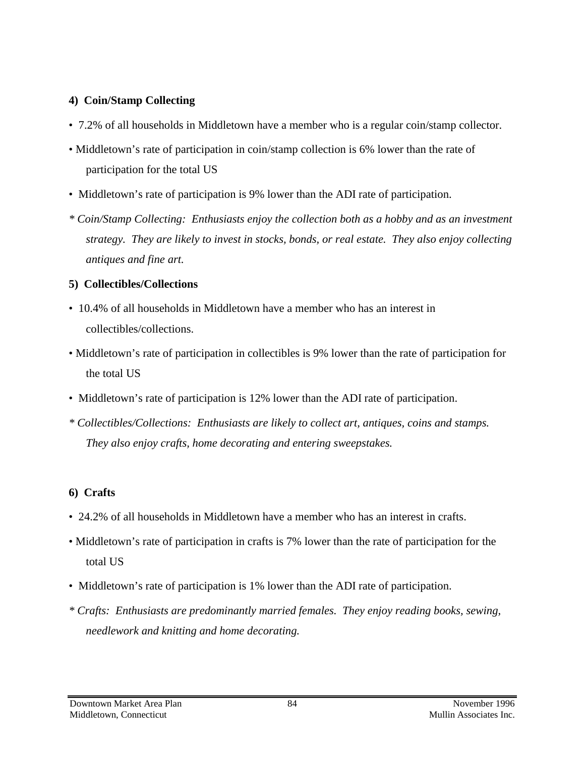#### **4) Coin/Stamp Collecting**

- 7.2% of all households in Middletown have a member who is a regular coin/stamp collector.
- Middletown's rate of participation in coin/stamp collection is 6% lower than the rate of participation for the total US
- Middletown's rate of participation is 9% lower than the ADI rate of participation.
- *\* Coin/Stamp Collecting: Enthusiasts enjoy the collection both as a hobby and as an investment strategy. They are likely to invest in stocks, bonds, or real estate. They also enjoy collecting antiques and fine art.*

#### **5) Collectibles/Collections**

- 10.4% of all households in Middletown have a member who has an interest in collectibles/collections.
- Middletown's rate of participation in collectibles is 9% lower than the rate of participation for the total US
- Middletown's rate of participation is 12% lower than the ADI rate of participation.
- *\* Collectibles/Collections: Enthusiasts are likely to collect art, antiques, coins and stamps. They also enjoy crafts, home decorating and entering sweepstakes.*

### **6) Crafts**

- 24.2% of all households in Middletown have a member who has an interest in crafts.
- Middletown's rate of participation in crafts is 7% lower than the rate of participation for the total US
- Middletown's rate of participation is 1% lower than the ADI rate of participation.
- *\* Crafts: Enthusiasts are predominantly married females. They enjoy reading books, sewing, needlework and knitting and home decorating.*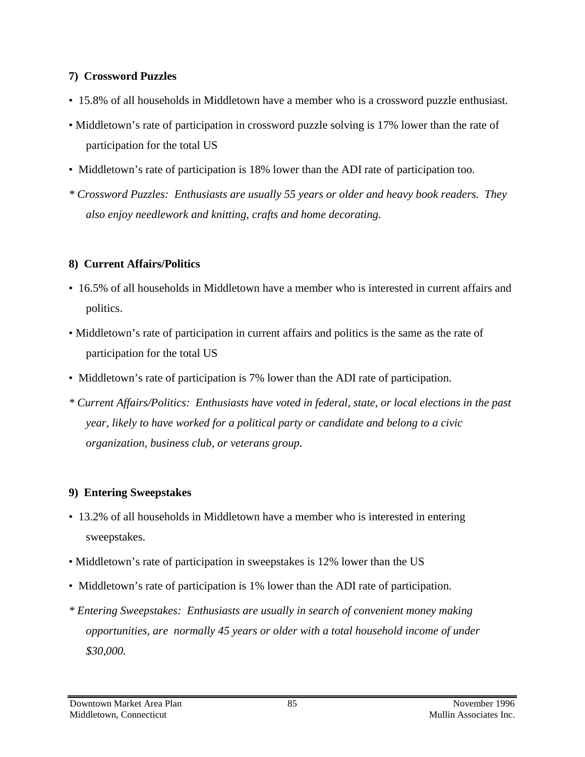#### **7) Crossword Puzzles**

- 15.8% of all households in Middletown have a member who is a crossword puzzle enthusiast.
- Middletown's rate of participation in crossword puzzle solving is 17% lower than the rate of participation for the total US
- Middletown's rate of participation is 18% lower than the ADI rate of participation too.
- *\* Crossword Puzzles: Enthusiasts are usually 55 years or older and heavy book readers. They also enjoy needlework and knitting, crafts and home decorating.*

### **8) Current Affairs/Politics**

- 16.5% of all households in Middletown have a member who is interested in current affairs and politics.
- Middletown's rate of participation in current affairs and politics is the same as the rate of participation for the total US
- Middletown's rate of participation is 7% lower than the ADI rate of participation.
- *\* Current Affairs/Politics: Enthusiasts have voted in federal, state, or local elections in the past year, likely to have worked for a political party or candidate and belong to a civic organization, business club, or veterans group.*

## **9) Entering Sweepstakes**

- 13.2% of all households in Middletown have a member who is interested in entering sweepstakes.
- Middletown's rate of participation in sweepstakes is 12% lower than the US
- Middletown's rate of participation is 1% lower than the ADI rate of participation.
- *\* Entering Sweepstakes: Enthusiasts are usually in search of convenient money making opportunities, are normally 45 years or older with a total household income of under \$30,000.*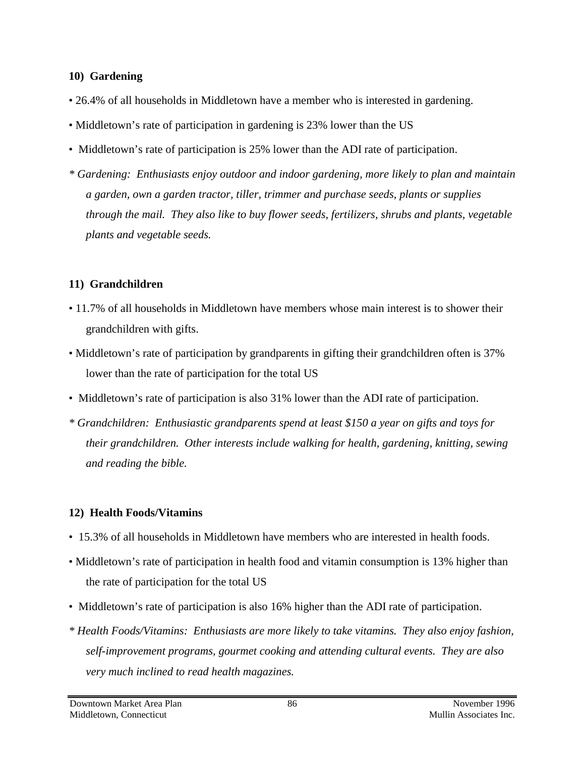#### **10) Gardening**

- 26.4% of all households in Middletown have a member who is interested in gardening.
- Middletown's rate of participation in gardening is 23% lower than the US
- Middletown's rate of participation is 25% lower than the ADI rate of participation.
- *\* Gardening: Enthusiasts enjoy outdoor and indoor gardening, more likely to plan and maintain a garden, own a garden tractor, tiller, trimmer and purchase seeds, plants or supplies through the mail. They also like to buy flower seeds, fertilizers, shrubs and plants, vegetable plants and vegetable seeds.*

### **11) Grandchildren**

- 11.7% of all households in Middletown have members whose main interest is to shower their grandchildren with gifts.
- Middletown's rate of participation by grandparents in gifting their grandchildren often is 37% lower than the rate of participation for the total US
- Middletown's rate of participation is also 31% lower than the ADI rate of participation.
- *\* Grandchildren: Enthusiastic grandparents spend at least \$150 a year on gifts and toys for their grandchildren. Other interests include walking for health, gardening, knitting, sewing and reading the bible.*

### **12) Health Foods/Vitamins**

- 15.3% of all households in Middletown have members who are interested in health foods.
- Middletown's rate of participation in health food and vitamin consumption is 13% higher than the rate of participation for the total US
- Middletown's rate of participation is also 16% higher than the ADI rate of participation.
- *\* Health Foods/Vitamins: Enthusiasts are more likely to take vitamins. They also enjoy fashion, self-improvement programs, gourmet cooking and attending cultural events. They are also very much inclined to read health magazines.*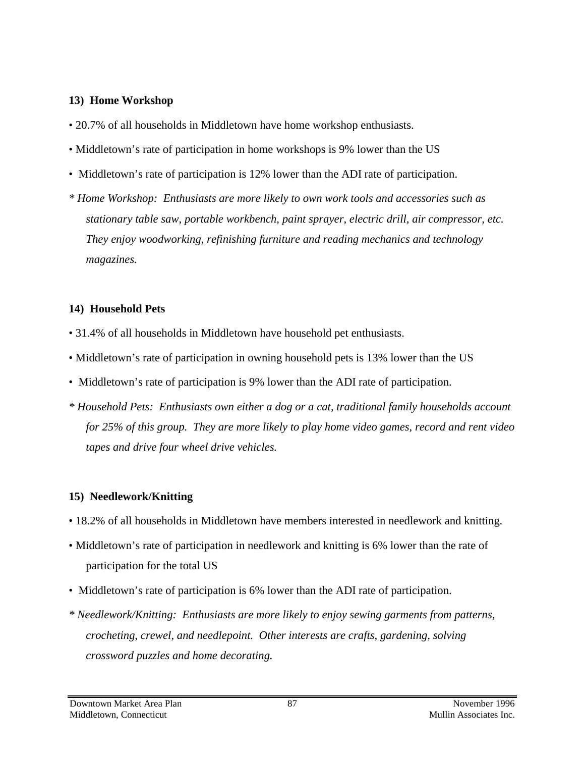#### **13) Home Workshop**

- 20.7% of all households in Middletown have home workshop enthusiasts.
- Middletown's rate of participation in home workshops is 9% lower than the US
- Middletown's rate of participation is 12% lower than the ADI rate of participation.
- *\* Home Workshop: Enthusiasts are more likely to own work tools and accessories such as stationary table saw, portable workbench, paint sprayer, electric drill, air compressor, etc. They enjoy woodworking, refinishing furniture and reading mechanics and technology magazines.*

#### **14) Household Pets**

- 31.4% of all households in Middletown have household pet enthusiasts.
- Middletown's rate of participation in owning household pets is 13% lower than the US
- Middletown's rate of participation is 9% lower than the ADI rate of participation.
- *\* Household Pets: Enthusiasts own either a dog or a cat, traditional family households account for 25% of this group. They are more likely to play home video games, record and rent video tapes and drive four wheel drive vehicles.*

#### **15) Needlework/Knitting**

- 18.2% of all households in Middletown have members interested in needlework and knitting.
- Middletown's rate of participation in needlework and knitting is 6% lower than the rate of participation for the total US
- Middletown's rate of participation is 6% lower than the ADI rate of participation.
- *\* Needlework/Knitting: Enthusiasts are more likely to enjoy sewing garments from patterns, crocheting, crewel, and needlepoint. Other interests are crafts, gardening, solving crossword puzzles and home decorating.*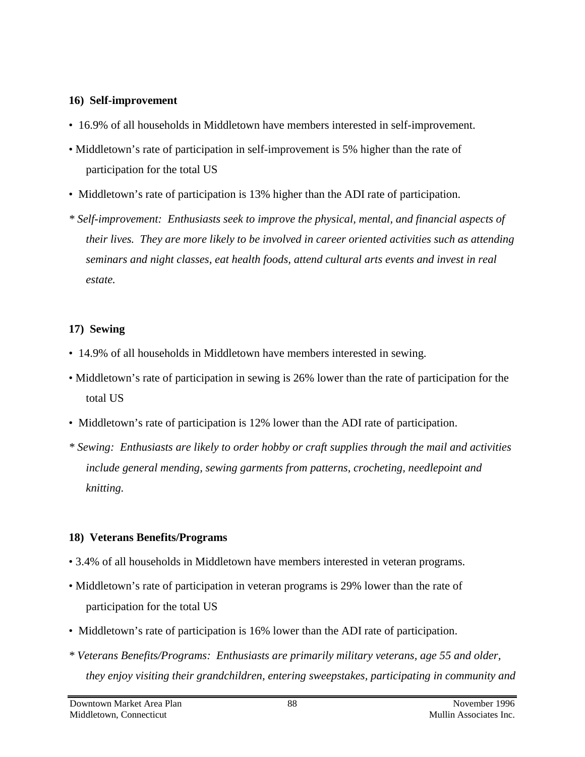#### **16) Self-improvement**

- 16.9% of all households in Middletown have members interested in self-improvement.
- Middletown's rate of participation in self-improvement is 5% higher than the rate of participation for the total US
- Middletown's rate of participation is 13% higher than the ADI rate of participation.
- *\* Self-improvement: Enthusiasts seek to improve the physical, mental, and financial aspects of their lives. They are more likely to be involved in career oriented activities such as attending seminars and night classes, eat health foods, attend cultural arts events and invest in real estate.*

#### **17) Sewing**

- 14.9% of all households in Middletown have members interested in sewing.
- Middletown's rate of participation in sewing is 26% lower than the rate of participation for the total US
- Middletown's rate of participation is 12% lower than the ADI rate of participation.
- *\* Sewing: Enthusiasts are likely to order hobby or craft supplies through the mail and activities include general mending, sewing garments from patterns, crocheting, needlepoint and knitting.*

#### **18) Veterans Benefits/Programs**

- 3.4% of all households in Middletown have members interested in veteran programs.
- Middletown's rate of participation in veteran programs is 29% lower than the rate of participation for the total US
- Middletown's rate of participation is 16% lower than the ADI rate of participation.
- *\* Veterans Benefits/Programs: Enthusiasts are primarily military veterans, age 55 and older, they enjoy visiting their grandchildren, entering sweepstakes, participating in community and*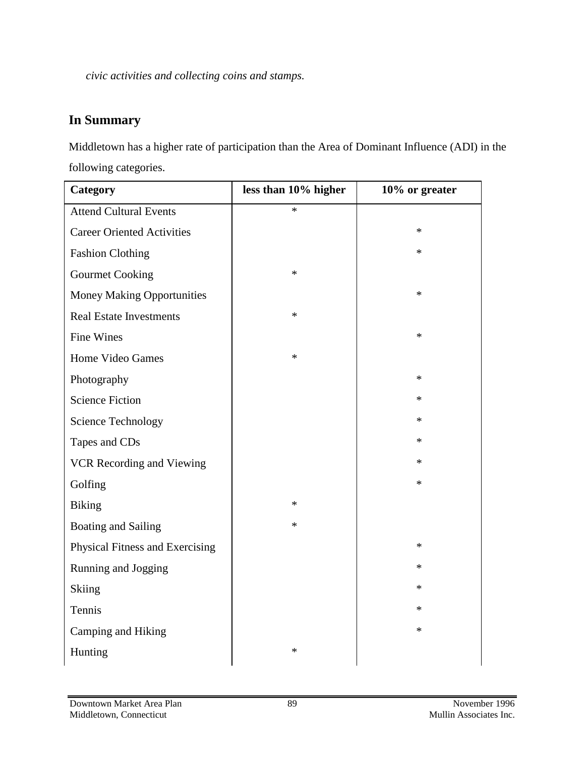*civic activities and collecting coins and stamps.*

# **In Summary**

Middletown has a higher rate of participation than the Area of Dominant Influence (ADI) in the following categories.

| Category                          | less than 10% higher | 10% or greater |
|-----------------------------------|----------------------|----------------|
| <b>Attend Cultural Events</b>     | $\ast$               |                |
| <b>Career Oriented Activities</b> |                      | $\ast$         |
| <b>Fashion Clothing</b>           |                      | *              |
| <b>Gourmet Cooking</b>            | $\ast$               |                |
| <b>Money Making Opportunities</b> |                      | $\ast$         |
| <b>Real Estate Investments</b>    | $\ast$               |                |
| <b>Fine Wines</b>                 |                      | $\ast$         |
| Home Video Games                  | $\ast$               |                |
| Photography                       |                      | $\ast$         |
| <b>Science Fiction</b>            |                      | *              |
| <b>Science Technology</b>         |                      | *              |
| Tapes and CDs                     |                      | $\ast$         |
| VCR Recording and Viewing         |                      | *              |
| Golfing                           |                      | *              |
| <b>Biking</b>                     | $\ast$               |                |
| <b>Boating and Sailing</b>        | $\ast$               |                |
| Physical Fitness and Exercising   |                      | $\ast$         |
| Running and Jogging               |                      | *              |
| Skiing                            |                      | $\ast$         |
| Tennis                            |                      | $\ast$         |
| Camping and Hiking                |                      | $\ast$         |
| Hunting                           | $\ast$               |                |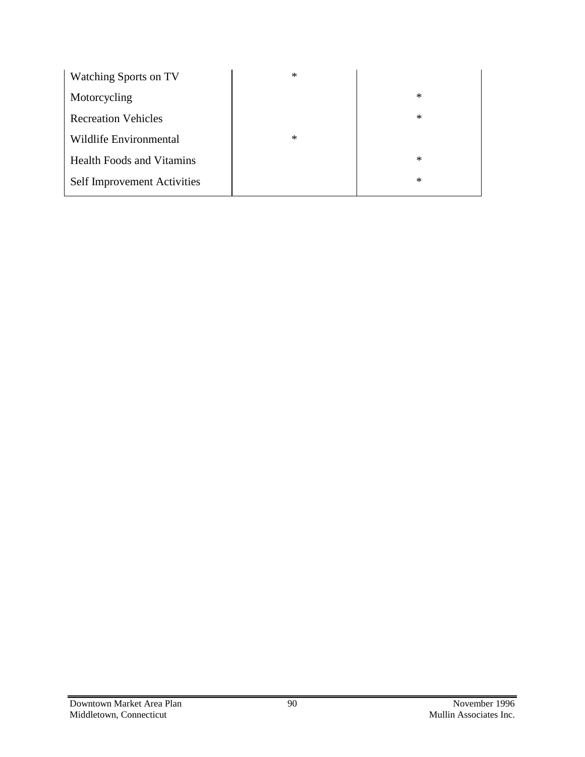| <b>Watching Sports on TV</b>       | $\ast$ |        |
|------------------------------------|--------|--------|
| Motorcycling                       |        | $\ast$ |
| <b>Recreation Vehicles</b>         |        | $\ast$ |
| Wildlife Environmental             | $\ast$ |        |
| <b>Health Foods and Vitamins</b>   |        | $\ast$ |
| <b>Self Improvement Activities</b> |        | $\ast$ |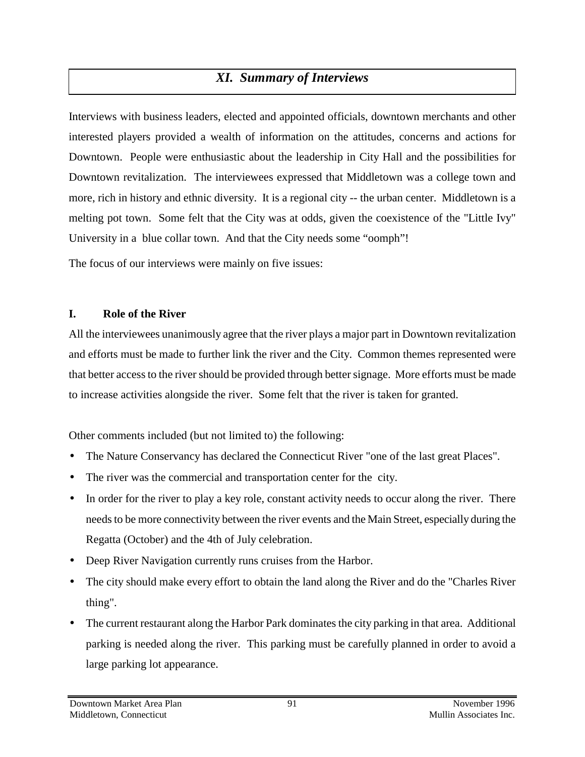# *XI. Summary of Interviews*

Interviews with business leaders, elected and appointed officials, downtown merchants and other interested players provided a wealth of information on the attitudes, concerns and actions for Downtown. People were enthusiastic about the leadership in City Hall and the possibilities for Downtown revitalization. The interviewees expressed that Middletown was a college town and more, rich in history and ethnic diversity. It is a regional city -- the urban center. Middletown is a melting pot town. Some felt that the City was at odds, given the coexistence of the "Little Ivy" University in a blue collar town. And that the City needs some "oomph"!

The focus of our interviews were mainly on five issues:

#### **I. Role of the River**

All the interviewees unanimously agree that the river plays a major part in Downtown revitalization and efforts must be made to further link the river and the City. Common themes represented were that better access to the river should be provided through better signage. More efforts must be made to increase activities alongside the river. Some felt that the river is taken for granted.

Other comments included (but not limited to) the following:

- The Nature Conservancy has declared the Connecticut River "one of the last great Places".
- The river was the commercial and transportation center for the city.
- In order for the river to play a key role, constant activity needs to occur along the river. There needs to be more connectivity between the river events and the Main Street, especially during the Regatta (October) and the 4th of July celebration.
- Deep River Navigation currently runs cruises from the Harbor.
- The city should make every effort to obtain the land along the River and do the "Charles River" thing".
- The current restaurant along the Harbor Park dominates the city parking in that area. Additional parking is needed along the river. This parking must be carefully planned in order to avoid a large parking lot appearance.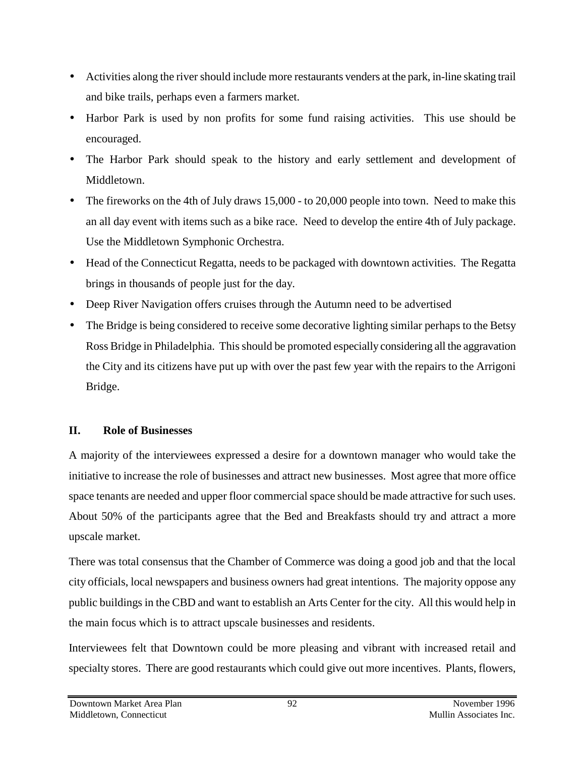- Activities along the river should include more restaurants venders at the park, in-line skating trail and bike trails, perhaps even a farmers market.
- Harbor Park is used by non profits for some fund raising activities. This use should be encouraged.
- The Harbor Park should speak to the history and early settlement and development of Middletown.
- The fireworks on the 4th of July draws 15,000 to 20,000 people into town. Need to make this an all day event with items such as a bike race. Need to develop the entire 4th of July package. Use the Middletown Symphonic Orchestra.
- Head of the Connecticut Regatta, needs to be packaged with downtown activities. The Regatta brings in thousands of people just for the day.
- Deep River Navigation offers cruises through the Autumn need to be advertised
- The Bridge is being considered to receive some decorative lighting similar perhaps to the Betsy Ross Bridge in Philadelphia. This should be promoted especially considering all the aggravation the City and its citizens have put up with over the past few year with the repairs to the Arrigoni Bridge.

### **II. Role of Businesses**

A majority of the interviewees expressed a desire for a downtown manager who would take the initiative to increase the role of businesses and attract new businesses. Most agree that more office space tenants are needed and upper floor commercial space should be made attractive for such uses. About 50% of the participants agree that the Bed and Breakfasts should try and attract a more upscale market.

There was total consensus that the Chamber of Commerce was doing a good job and that the local city officials, local newspapers and business owners had great intentions. The majority oppose any public buildings in the CBD and want to establish an Arts Center for the city. All this would help in the main focus which is to attract upscale businesses and residents.

Interviewees felt that Downtown could be more pleasing and vibrant with increased retail and specialty stores. There are good restaurants which could give out more incentives. Plants, flowers,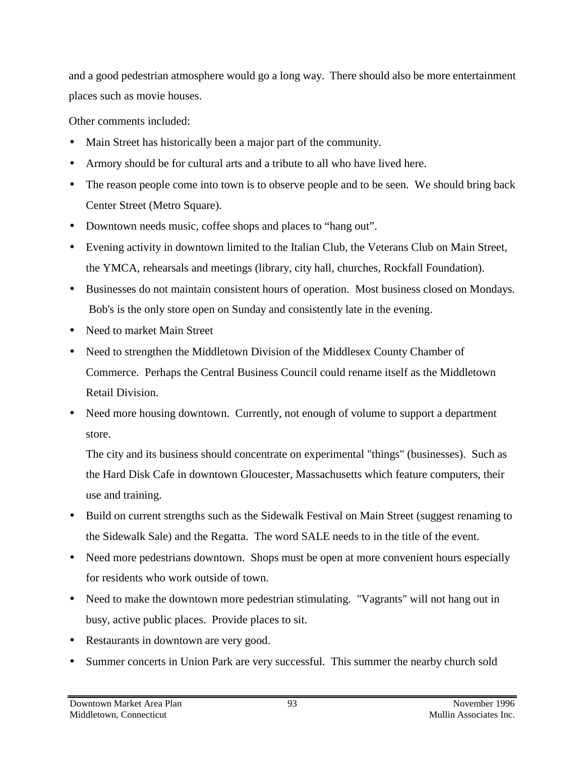and a good pedestrian atmosphere would go a long way. There should also be more entertainment places such as movie houses.

Other comments included:

- Main Street has historically been a major part of the community.
- Armory should be for cultural arts and a tribute to all who have lived here.
- The reason people come into town is to observe people and to be seen. We should bring back Center Street (Metro Square).
- Downtown needs music, coffee shops and places to "hang out".
- Evening activity in downtown limited to the Italian Club, the Veterans Club on Main Street, the YMCA, rehearsals and meetings (library, city hall, churches, Rockfall Foundation).
- Businesses do not maintain consistent hours of operation. Most business closed on Mondays. Bob's is the only store open on Sunday and consistently late in the evening.
- Need to market Main Street
- Need to strengthen the Middletown Division of the Middlesex County Chamber of Commerce. Perhaps the Central Business Council could rename itself as the Middletown Retail Division.
- Need more housing downtown. Currently, not enough of volume to support a department store.

The city and its business should concentrate on experimental "things" (businesses). Such as the Hard Disk Cafe in downtown Gloucester, Massachusetts which feature computers, their use and training.

- Build on current strengths such as the Sidewalk Festival on Main Street (suggest renaming to the Sidewalk Sale) and the Regatta. The word SALE needs to in the title of the event.
- Need more pedestrians downtown. Shops must be open at more convenient hours especially for residents who work outside of town.
- Need to make the downtown more pedestrian stimulating. "Vagrants" will not hang out in busy, active public places. Provide places to sit.
- Restaurants in downtown are very good.
- Summer concerts in Union Park are very successful. This summer the nearby church sold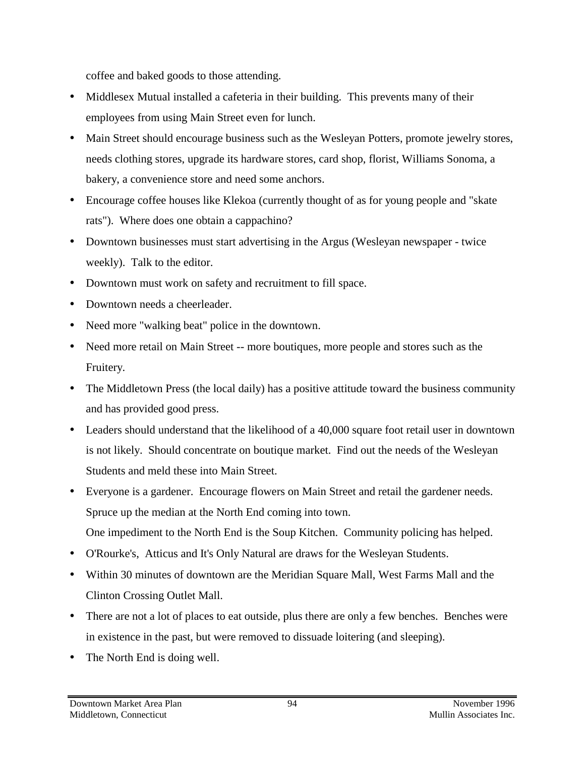coffee and baked goods to those attending.

- Middlesex Mutual installed a cafeteria in their building. This prevents many of their employees from using Main Street even for lunch.
- Main Street should encourage business such as the Wesleyan Potters, promote jewelry stores, needs clothing stores, upgrade its hardware stores, card shop, florist, Williams Sonoma, a bakery, a convenience store and need some anchors.
- Encourage coffee houses like Klekoa (currently thought of as for young people and "skate" rats"). Where does one obtain a cappachino?
- Downtown businesses must start advertising in the Argus (Wesleyan newspaper twice weekly). Talk to the editor.
- Downtown must work on safety and recruitment to fill space.
- Downtown needs a cheerleader.
- Need more "walking beat" police in the downtown.
- Need more retail on Main Street -- more boutiques, more people and stores such as the Fruitery.
- The Middletown Press (the local daily) has a positive attitude toward the business community and has provided good press.
- Leaders should understand that the likelihood of a 40,000 square foot retail user in downtown is not likely. Should concentrate on boutique market. Find out the needs of the Wesleyan Students and meld these into Main Street.
- Everyone is a gardener. Encourage flowers on Main Street and retail the gardener needs. Spruce up the median at the North End coming into town. One impediment to the North End is the Soup Kitchen. Community policing has helped.
- O'Rourke's, Atticus and It's Only Natural are draws for the Wesleyan Students.
- Within 30 minutes of downtown are the Meridian Square Mall, West Farms Mall and the Clinton Crossing Outlet Mall.
- There are not a lot of places to eat outside, plus there are only a few benches. Benches were in existence in the past, but were removed to dissuade loitering (and sleeping).
- The North End is doing well.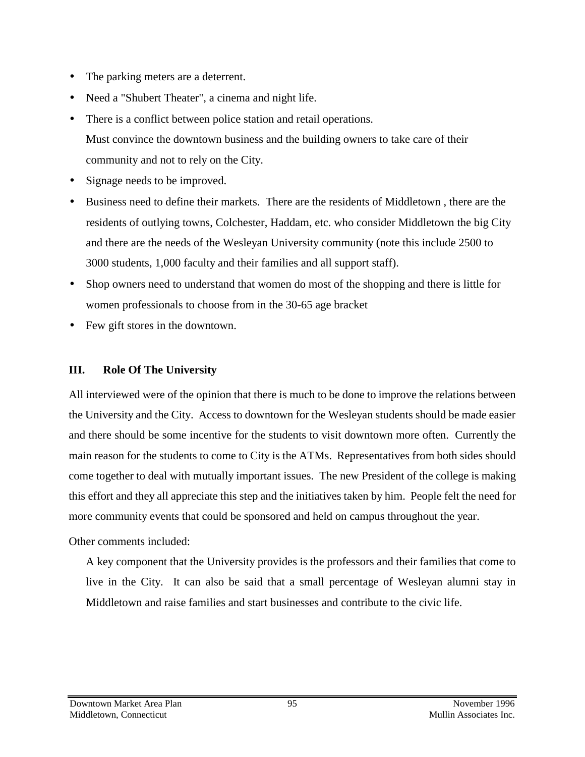- The parking meters are a deterrent.
- Need a "Shubert Theater", a cinema and night life.
- There is a conflict between police station and retail operations. Must convince the downtown business and the building owners to take care of their community and not to rely on the City.
- Signage needs to be improved.
- Business need to define their markets. There are the residents of Middletown , there are the residents of outlying towns, Colchester, Haddam, etc. who consider Middletown the big City and there are the needs of the Wesleyan University community (note this include 2500 to 3000 students, 1,000 faculty and their families and all support staff).
- Shop owners need to understand that women do most of the shopping and there is little for women professionals to choose from in the 30-65 age bracket
- Few gift stores in the downtown.

### **III. Role Of The University**

All interviewed were of the opinion that there is much to be done to improve the relations between the University and the City. Access to downtown for the Wesleyan students should be made easier and there should be some incentive for the students to visit downtown more often. Currently the main reason for the students to come to City is the ATMs. Representatives from both sides should come together to deal with mutually important issues. The new President of the college is making this effort and they all appreciate this step and the initiatives taken by him. People felt the need for more community events that could be sponsored and held on campus throughout the year.

Other comments included:

A key component that the University provides is the professors and their families that come to live in the City. It can also be said that a small percentage of Wesleyan alumni stay in Middletown and raise families and start businesses and contribute to the civic life.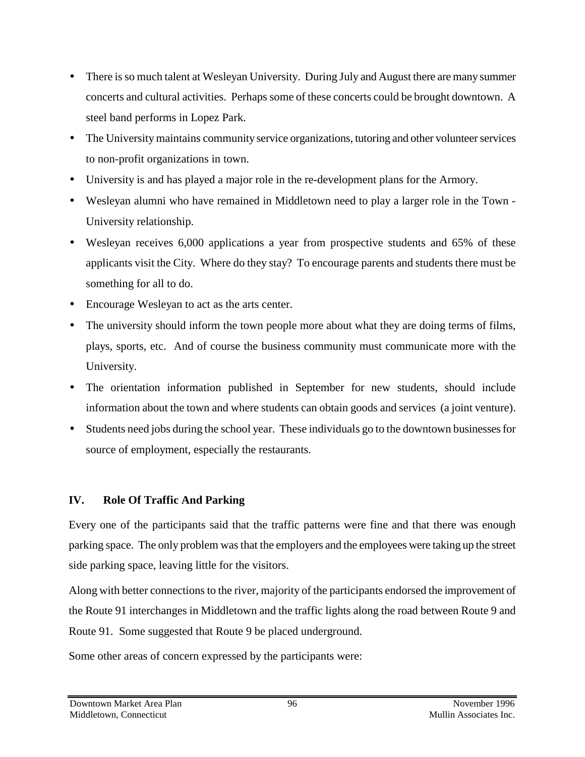- There is so much talent at Wesleyan University. During July and August there are many summer concerts and cultural activities. Perhaps some of these concerts could be brought downtown. A steel band performs in Lopez Park.
- The University maintains community service organizations, tutoring and other volunteer services to non-profit organizations in town.
- University is and has played a major role in the re-development plans for the Armory.
- Wesleyan alumni who have remained in Middletown need to play a larger role in the Town University relationship.
- Wesleyan receives 6,000 applications a year from prospective students and 65% of these applicants visit the City. Where do they stay? To encourage parents and students there must be something for all to do.
- Encourage Wesleyan to act as the arts center.
- The university should inform the town people more about what they are doing terms of films, plays, sports, etc. And of course the business community must communicate more with the University.
- The orientation information published in September for new students, should include information about the town and where students can obtain goods and services (a joint venture).
- Students need jobs during the school year. These individuals go to the downtown businesses for source of employment, especially the restaurants.

## **IV. Role Of Traffic And Parking**

Every one of the participants said that the traffic patterns were fine and that there was enough parking space. The only problem was that the employers and the employees were taking up the street side parking space, leaving little for the visitors.

Along with better connections to the river, majority of the participants endorsed the improvement of the Route 91 interchanges in Middletown and the traffic lights along the road between Route 9 and Route 91. Some suggested that Route 9 be placed underground.

Some other areas of concern expressed by the participants were: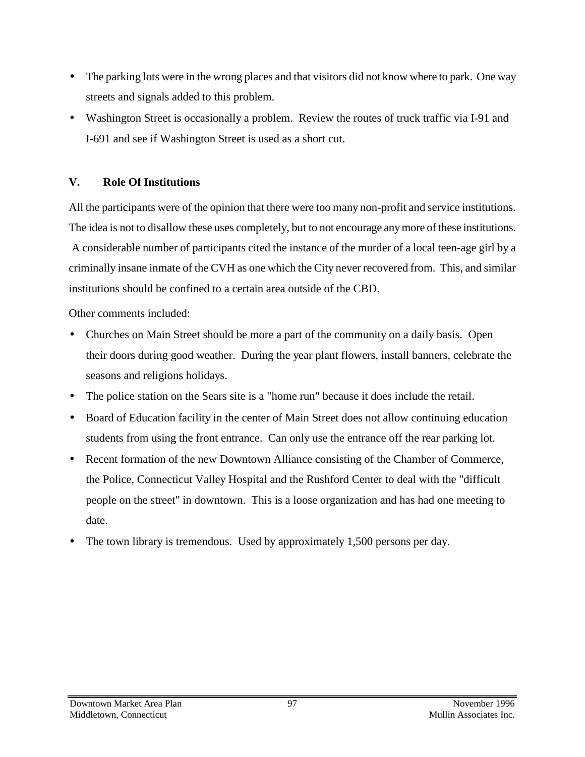- The parking lots were in the wrong places and that visitors did not know where to park. One way streets and signals added to this problem.
- Washington Street is occasionally a problem. Review the routes of truck traffic via I-91 and I-691 and see if Washington Street is used as a short cut.

### **V. Role Of Institutions**

All the participants were of the opinion that there were too many non-profit and service institutions. The idea is not to disallow these uses completely, but to not encourage any more of these institutions. A considerable number of participants cited the instance of the murder of a local teen-age girl by a criminally insane inmate of the CVH as one which the City never recovered from. This, and similar institutions should be confined to a certain area outside of the CBD.

Other comments included:

- Churches on Main Street should be more a part of the community on a daily basis. Open their doors during good weather. During the year plant flowers, install banners, celebrate the seasons and religions holidays.
- The police station on the Sears site is a "home run" because it does include the retail.
- Board of Education facility in the center of Main Street does not allow continuing education students from using the front entrance. Can only use the entrance off the rear parking lot.
- Recent formation of the new Downtown Alliance consisting of the Chamber of Commerce, the Police, Connecticut Valley Hospital and the Rushford Center to deal with the "difficult people on the street" in downtown. This is a loose organization and has had one meeting to date.
- The town library is tremendous. Used by approximately 1,500 persons per day.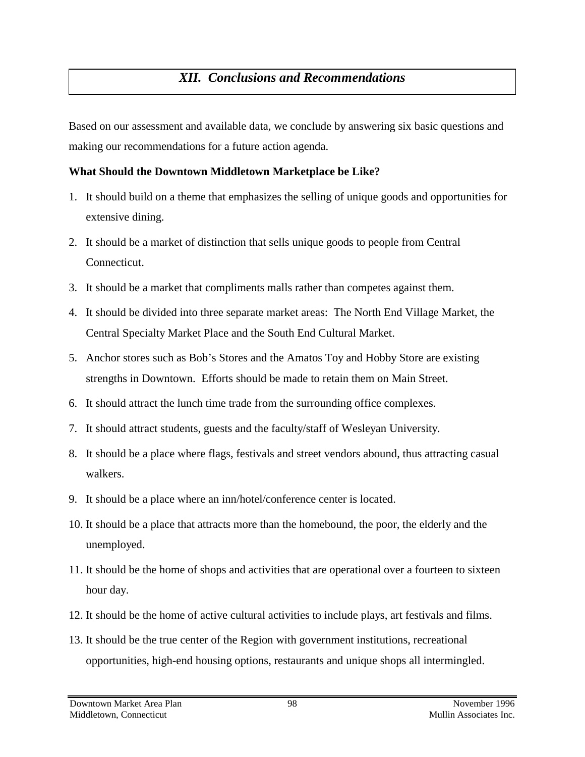# *XII. Conclusions and Recommendations*

Based on our assessment and available data, we conclude by answering six basic questions and making our recommendations for a future action agenda.

#### **What Should the Downtown Middletown Marketplace be Like?**

- 1. It should build on a theme that emphasizes the selling of unique goods and opportunities for extensive dining.
- 2. It should be a market of distinction that sells unique goods to people from Central Connecticut.
- 3. It should be a market that compliments malls rather than competes against them.
- 4. It should be divided into three separate market areas: The North End Village Market, the Central Specialty Market Place and the South End Cultural Market.
- 5. Anchor stores such as Bob's Stores and the Amatos Toy and Hobby Store are existing strengths in Downtown. Efforts should be made to retain them on Main Street.
- 6. It should attract the lunch time trade from the surrounding office complexes.
- 7. It should attract students, guests and the faculty/staff of Wesleyan University.
- 8. It should be a place where flags, festivals and street vendors abound, thus attracting casual walkers.
- 9. It should be a place where an inn/hotel/conference center is located.
- 10. It should be a place that attracts more than the homebound, the poor, the elderly and the unemployed.
- 11. It should be the home of shops and activities that are operational over a fourteen to sixteen hour day.
- 12. It should be the home of active cultural activities to include plays, art festivals and films.
- 13. It should be the true center of the Region with government institutions, recreational opportunities, high-end housing options, restaurants and unique shops all intermingled.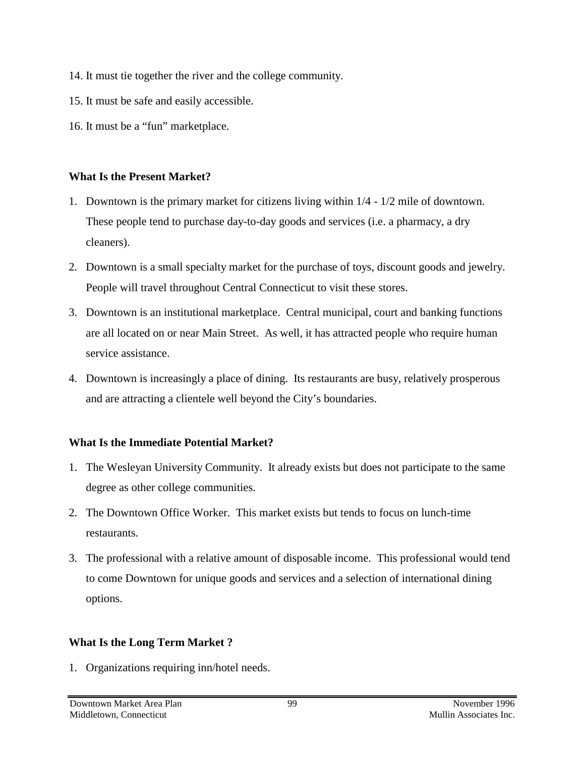- 14. It must tie together the river and the college community.
- 15. It must be safe and easily accessible.
- 16. It must be a "fun" marketplace.

### **What Is the Present Market?**

- 1. Downtown is the primary market for citizens living within 1/4 1/2 mile of downtown. These people tend to purchase day-to-day goods and services (i.e. a pharmacy, a dry cleaners).
- 2. Downtown is a small specialty market for the purchase of toys, discount goods and jewelry. People will travel throughout Central Connecticut to visit these stores.
- 3. Downtown is an institutional marketplace. Central municipal, court and banking functions are all located on or near Main Street. As well, it has attracted people who require human service assistance.
- 4. Downtown is increasingly a place of dining. Its restaurants are busy, relatively prosperous and are attracting a clientele well beyond the City's boundaries.

## **What Is the Immediate Potential Market?**

- 1. The Wesleyan University Community. It already exists but does not participate to the same degree as other college communities.
- 2. The Downtown Office Worker. This market exists but tends to focus on lunch-time restaurants.
- 3. The professional with a relative amount of disposable income. This professional would tend to come Downtown for unique goods and services and a selection of international dining options.

## **What Is the Long Term Market ?**

1. Organizations requiring inn/hotel needs.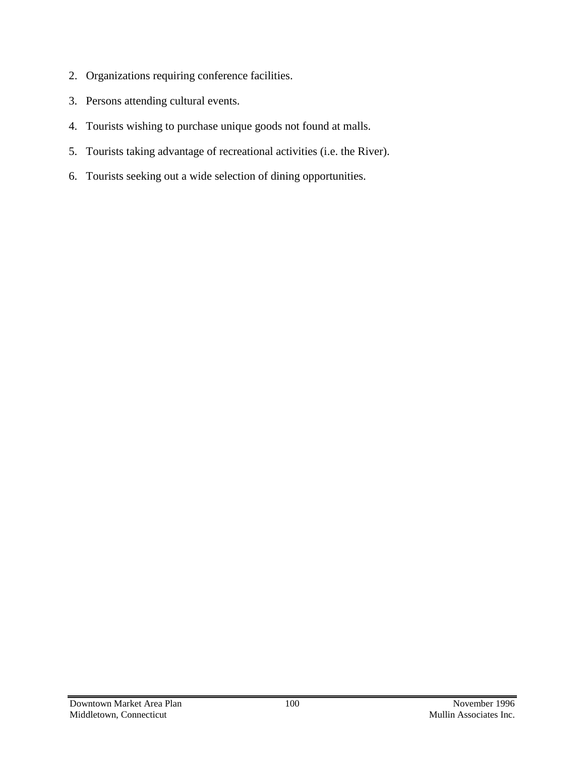- 2. Organizations requiring conference facilities.
- 3. Persons attending cultural events.
- 4. Tourists wishing to purchase unique goods not found at malls.
- 5. Tourists taking advantage of recreational activities (i.e. the River).
- 6. Tourists seeking out a wide selection of dining opportunities.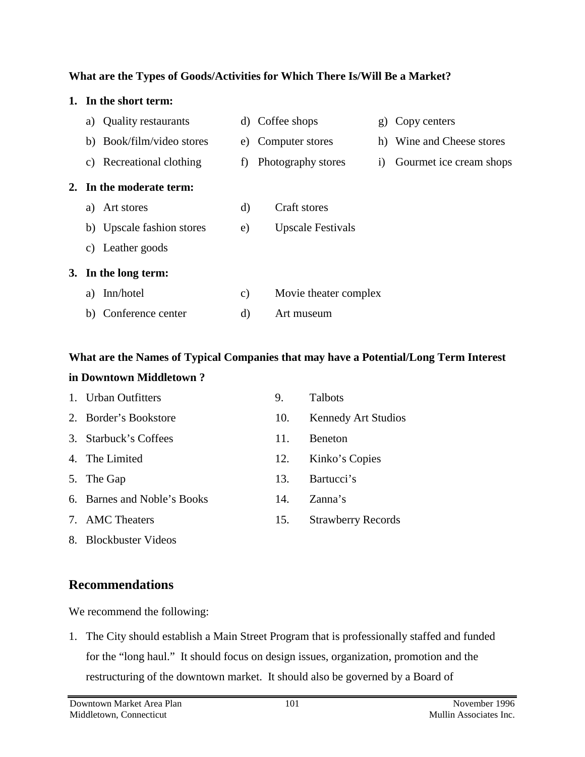#### **What are the Types of Goods/Activities for Which There Is/Will Be a Market?**

| 1. |    | In the short term:         |               |                          |              |                           |
|----|----|----------------------------|---------------|--------------------------|--------------|---------------------------|
|    | a) | <b>Quality restaurants</b> |               | d) Coffee shops          | $\mathbf{g}$ | Copy centers              |
|    |    | b) Book/film/video stores  | e)            | Computer stores          |              | h) Wine and Cheese stores |
|    | C) | Recreational clothing      | f)            | Photography stores       | $\rm i)$     | Gourmet ice cream shops   |
| 2. |    | In the moderate term:      |               |                          |              |                           |
|    | a) | Art stores                 | d)            | Craft stores             |              |                           |
|    |    | b) Upscale fashion stores  | e)            | <b>Upscale Festivals</b> |              |                           |
|    | C) | Leather goods              |               |                          |              |                           |
| 3. |    | In the long term:          |               |                          |              |                           |
|    | a) | Inn/hotel                  | $\mathbf{c})$ | Movie theater complex    |              |                           |
|    | b) | Conference center          | d)            | Art museum               |              |                           |

## **What are the Names of Typical Companies that may have a Potential/Long Term Interest in Downtown Middletown ?**

| 1. Urban Outfitters         | 9.  | <b>Talbots</b>            |
|-----------------------------|-----|---------------------------|
| 2. Border's Bookstore       | 10. | Kennedy Art Studios       |
| 3. Starbuck's Coffees       | 11. | <b>Beneton</b>            |
| 4. The Limited              | 12. | Kinko's Copies            |
| 5. The Gap                  | 13. | Bartucci's                |
| 6. Barnes and Noble's Books | 14. | Zanna's                   |
| 7. AMC Theaters             | 15. | <b>Strawberry Records</b> |

8. Blockbuster Videos

## **Recommendations**

We recommend the following:

1. The City should establish a Main Street Program that is professionally staffed and funded for the "long haul." It should focus on design issues, organization, promotion and the restructuring of the downtown market. It should also be governed by a Board of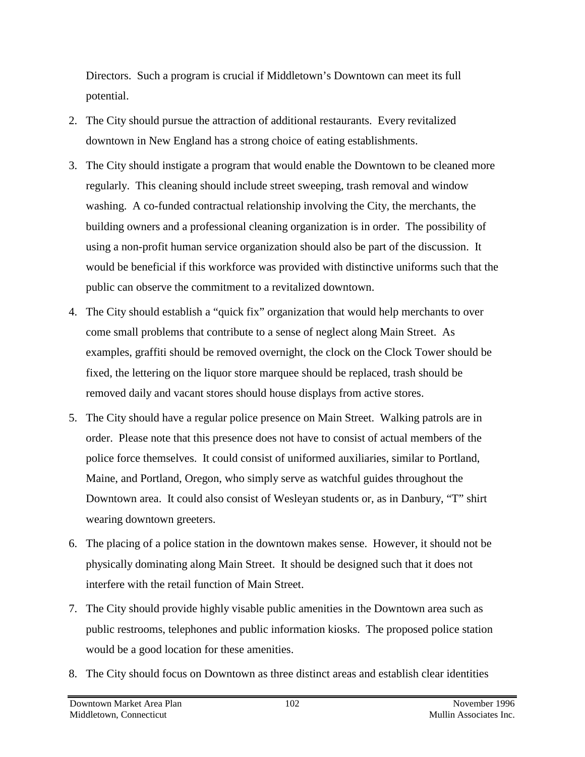Directors. Such a program is crucial if Middletown's Downtown can meet its full potential.

- 2. The City should pursue the attraction of additional restaurants. Every revitalized downtown in New England has a strong choice of eating establishments.
- 3. The City should instigate a program that would enable the Downtown to be cleaned more regularly. This cleaning should include street sweeping, trash removal and window washing. A co-funded contractual relationship involving the City, the merchants, the building owners and a professional cleaning organization is in order. The possibility of using a non-profit human service organization should also be part of the discussion. It would be beneficial if this workforce was provided with distinctive uniforms such that the public can observe the commitment to a revitalized downtown.
- 4. The City should establish a "quick fix" organization that would help merchants to over come small problems that contribute to a sense of neglect along Main Street. As examples, graffiti should be removed overnight, the clock on the Clock Tower should be fixed, the lettering on the liquor store marquee should be replaced, trash should be removed daily and vacant stores should house displays from active stores.
- 5. The City should have a regular police presence on Main Street. Walking patrols are in order. Please note that this presence does not have to consist of actual members of the police force themselves. It could consist of uniformed auxiliaries, similar to Portland, Maine, and Portland, Oregon, who simply serve as watchful guides throughout the Downtown area. It could also consist of Wesleyan students or, as in Danbury, "T" shirt wearing downtown greeters.
- 6. The placing of a police station in the downtown makes sense. However, it should not be physically dominating along Main Street. It should be designed such that it does not interfere with the retail function of Main Street.
- 7. The City should provide highly visable public amenities in the Downtown area such as public restrooms, telephones and public information kiosks. The proposed police station would be a good location for these amenities.
- 8. The City should focus on Downtown as three distinct areas and establish clear identities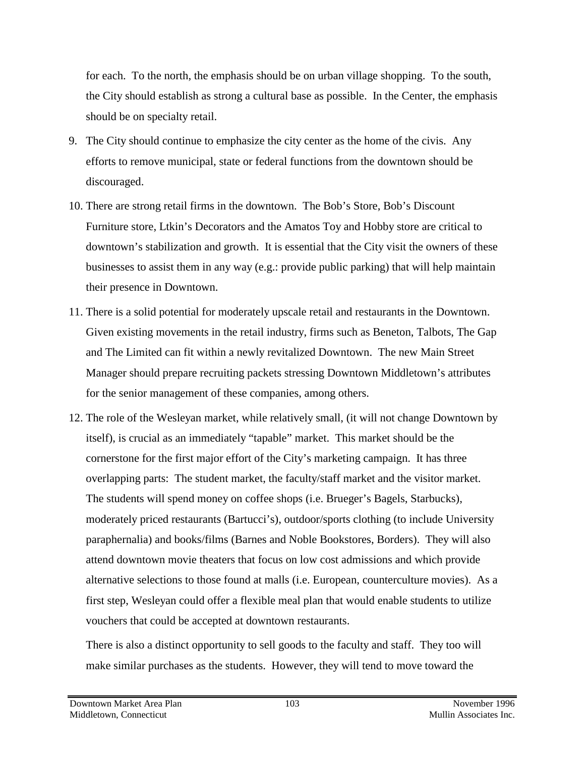for each. To the north, the emphasis should be on urban village shopping. To the south, the City should establish as strong a cultural base as possible. In the Center, the emphasis should be on specialty retail.

- 9. The City should continue to emphasize the city center as the home of the civis. Any efforts to remove municipal, state or federal functions from the downtown should be discouraged.
- 10. There are strong retail firms in the downtown. The Bob's Store, Bob's Discount Furniture store, Ltkin's Decorators and the Amatos Toy and Hobby store are critical to downtown's stabilization and growth. It is essential that the City visit the owners of these businesses to assist them in any way (e.g.: provide public parking) that will help maintain their presence in Downtown.
- 11. There is a solid potential for moderately upscale retail and restaurants in the Downtown. Given existing movements in the retail industry, firms such as Beneton, Talbots, The Gap and The Limited can fit within a newly revitalized Downtown. The new Main Street Manager should prepare recruiting packets stressing Downtown Middletown's attributes for the senior management of these companies, among others.
- 12. The role of the Wesleyan market, while relatively small, (it will not change Downtown by itself), is crucial as an immediately "tapable" market. This market should be the cornerstone for the first major effort of the City's marketing campaign. It has three overlapping parts: The student market, the faculty/staff market and the visitor market. The students will spend money on coffee shops (i.e. Brueger's Bagels, Starbucks), moderately priced restaurants (Bartucci's), outdoor/sports clothing (to include University paraphernalia) and books/films (Barnes and Noble Bookstores, Borders). They will also attend downtown movie theaters that focus on low cost admissions and which provide alternative selections to those found at malls (i.e. European, counterculture movies). As a first step, Wesleyan could offer a flexible meal plan that would enable students to utilize vouchers that could be accepted at downtown restaurants.

There is also a distinct opportunity to sell goods to the faculty and staff. They too will make similar purchases as the students. However, they will tend to move toward the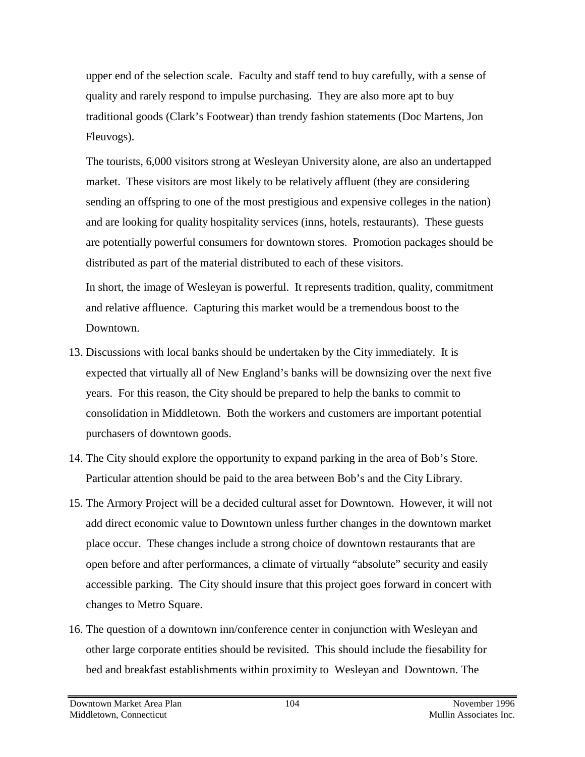upper end of the selection scale. Faculty and staff tend to buy carefully, with a sense of quality and rarely respond to impulse purchasing. They are also more apt to buy traditional goods (Clark's Footwear) than trendy fashion statements (Doc Martens, Jon Fleuvogs).

The tourists, 6,000 visitors strong at Wesleyan University alone, are also an undertapped market. These visitors are most likely to be relatively affluent (they are considering sending an offspring to one of the most prestigious and expensive colleges in the nation) and are looking for quality hospitality services (inns, hotels, restaurants). These guests are potentially powerful consumers for downtown stores. Promotion packages should be distributed as part of the material distributed to each of these visitors.

In short, the image of Wesleyan is powerful. It represents tradition, quality, commitment and relative affluence. Capturing this market would be a tremendous boost to the Downtown.

- 13. Discussions with local banks should be undertaken by the City immediately. It is expected that virtually all of New England's banks will be downsizing over the next five years. For this reason, the City should be prepared to help the banks to commit to consolidation in Middletown. Both the workers and customers are important potential purchasers of downtown goods.
- 14. The City should explore the opportunity to expand parking in the area of Bob's Store. Particular attention should be paid to the area between Bob's and the City Library.
- 15. The Armory Project will be a decided cultural asset for Downtown. However, it will not add direct economic value to Downtown unless further changes in the downtown market place occur. These changes include a strong choice of downtown restaurants that are open before and after performances, a climate of virtually "absolute" security and easily accessible parking. The City should insure that this project goes forward in concert with changes to Metro Square.
- 16. The question of a downtown inn/conference center in conjunction with Wesleyan and other large corporate entities should be revisited. This should include the fiesability for bed and breakfast establishments within proximity to Wesleyan and Downtown. The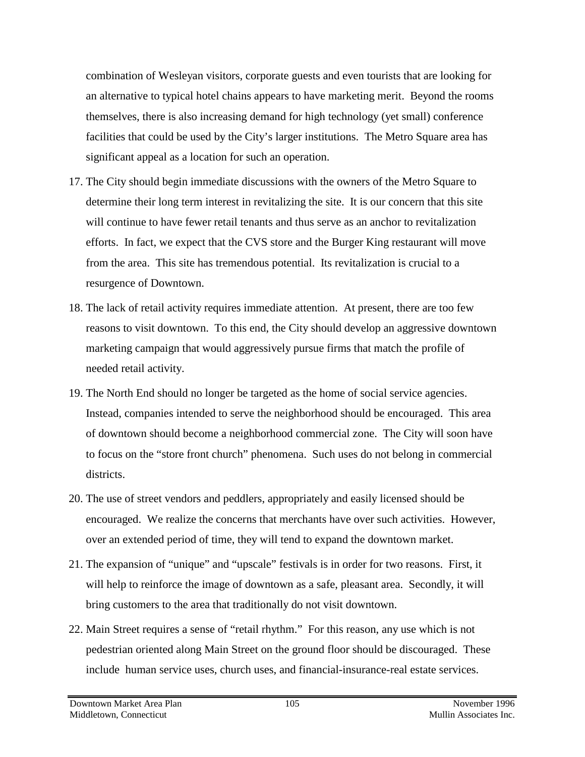combination of Wesleyan visitors, corporate guests and even tourists that are looking for an alternative to typical hotel chains appears to have marketing merit. Beyond the rooms themselves, there is also increasing demand for high technology (yet small) conference facilities that could be used by the City's larger institutions. The Metro Square area has significant appeal as a location for such an operation.

- 17. The City should begin immediate discussions with the owners of the Metro Square to determine their long term interest in revitalizing the site. It is our concern that this site will continue to have fewer retail tenants and thus serve as an anchor to revitalization efforts. In fact, we expect that the CVS store and the Burger King restaurant will move from the area. This site has tremendous potential. Its revitalization is crucial to a resurgence of Downtown.
- 18. The lack of retail activity requires immediate attention. At present, there are too few reasons to visit downtown. To this end, the City should develop an aggressive downtown marketing campaign that would aggressively pursue firms that match the profile of needed retail activity.
- 19. The North End should no longer be targeted as the home of social service agencies. Instead, companies intended to serve the neighborhood should be encouraged. This area of downtown should become a neighborhood commercial zone. The City will soon have to focus on the "store front church" phenomena. Such uses do not belong in commercial districts.
- 20. The use of street vendors and peddlers, appropriately and easily licensed should be encouraged. We realize the concerns that merchants have over such activities. However, over an extended period of time, they will tend to expand the downtown market.
- 21. The expansion of "unique" and "upscale" festivals is in order for two reasons. First, it will help to reinforce the image of downtown as a safe, pleasant area. Secondly, it will bring customers to the area that traditionally do not visit downtown.
- 22. Main Street requires a sense of "retail rhythm." For this reason, any use which is not pedestrian oriented along Main Street on the ground floor should be discouraged. These include human service uses, church uses, and financial-insurance-real estate services.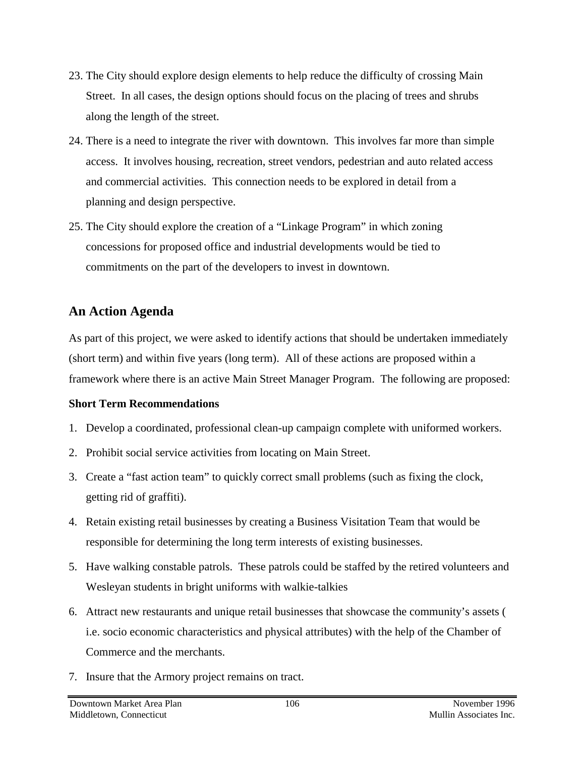- 23. The City should explore design elements to help reduce the difficulty of crossing Main Street. In all cases, the design options should focus on the placing of trees and shrubs along the length of the street.
- 24. There is a need to integrate the river with downtown. This involves far more than simple access. It involves housing, recreation, street vendors, pedestrian and auto related access and commercial activities. This connection needs to be explored in detail from a planning and design perspective.
- 25. The City should explore the creation of a "Linkage Program" in which zoning concessions for proposed office and industrial developments would be tied to commitments on the part of the developers to invest in downtown.

## **An Action Agenda**

As part of this project, we were asked to identify actions that should be undertaken immediately (short term) and within five years (long term). All of these actions are proposed within a framework where there is an active Main Street Manager Program. The following are proposed:

#### **Short Term Recommendations**

- 1. Develop a coordinated, professional clean-up campaign complete with uniformed workers.
- 2. Prohibit social service activities from locating on Main Street.
- 3. Create a "fast action team" to quickly correct small problems (such as fixing the clock, getting rid of graffiti).
- 4. Retain existing retail businesses by creating a Business Visitation Team that would be responsible for determining the long term interests of existing businesses.
- 5. Have walking constable patrols. These patrols could be staffed by the retired volunteers and Wesleyan students in bright uniforms with walkie-talkies
- 6. Attract new restaurants and unique retail businesses that showcase the community's assets ( i.e. socio economic characteristics and physical attributes) with the help of the Chamber of Commerce and the merchants.
- 7. Insure that the Armory project remains on tract.